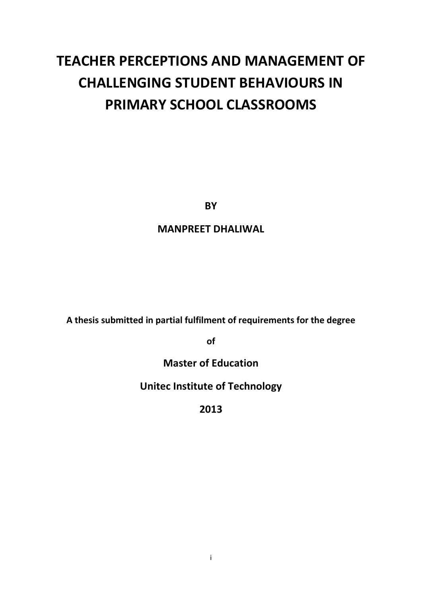# **TEACHER PERCEPTIONS AND MANAGEMENT OF CHALLENGING STUDENT BEHAVIOURS IN PRIMARY SCHOOL CLASSROOMS**

**BY** 

### **MANPREET DHALIWAL**

**A thesis submitted in partial fulfilment of requirements for the degree**

**of**

**Master of Education** 

**Unitec Institute of Technology**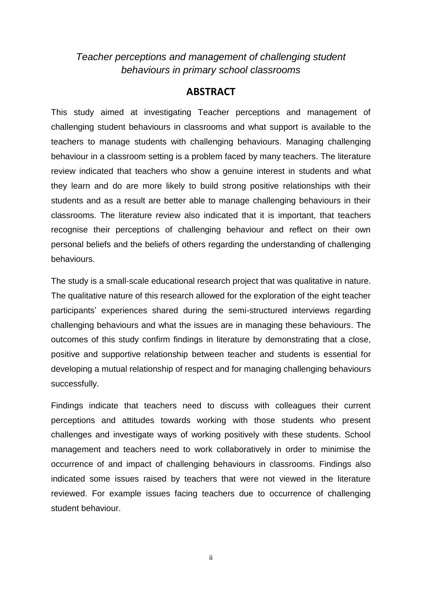### *Teacher perceptions and management of challenging student behaviours in primary school classrooms*

### **ABSTRACT**

This study aimed at investigating Teacher perceptions and management of challenging student behaviours in classrooms and what support is available to the teachers to manage students with challenging behaviours. Managing challenging behaviour in a classroom setting is a problem faced by many teachers. The literature review indicated that teachers who show a genuine interest in students and what they learn and do are more likely to build strong positive relationships with their students and as a result are better able to manage challenging behaviours in their classrooms. The literature review also indicated that it is important, that teachers recognise their perceptions of challenging behaviour and reflect on their own personal beliefs and the beliefs of others regarding the understanding of challenging behaviours.

The study is a small-scale educational research project that was qualitative in nature. The qualitative nature of this research allowed for the exploration of the eight teacher participants' experiences shared during the semi-structured interviews regarding challenging behaviours and what the issues are in managing these behaviours. The outcomes of this study confirm findings in literature by demonstrating that a close, positive and supportive relationship between teacher and students is essential for developing a mutual relationship of respect and for managing challenging behaviours successfully.

Findings indicate that teachers need to discuss with colleagues their current perceptions and attitudes towards working with those students who present challenges and investigate ways of working positively with these students. School management and teachers need to work collaboratively in order to minimise the occurrence of and impact of challenging behaviours in classrooms. Findings also indicated some issues raised by teachers that were not viewed in the literature reviewed. For example issues facing teachers due to occurrence of challenging student behaviour.

ii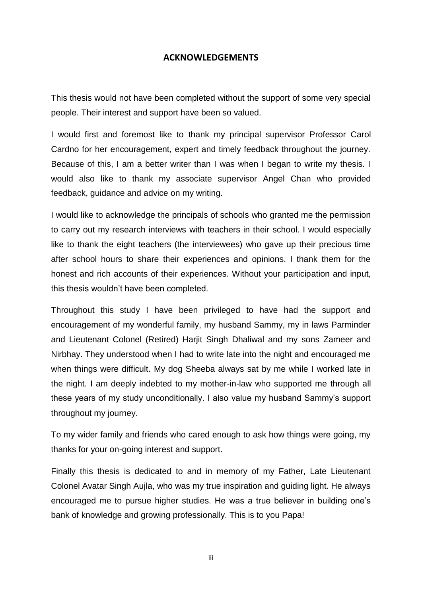#### **ACKNOWLEDGEMENTS**

This thesis would not have been completed without the support of some very special people. Their interest and support have been so valued.

I would first and foremost like to thank my principal supervisor Professor Carol Cardno for her encouragement, expert and timely feedback throughout the journey. Because of this, I am a better writer than I was when I began to write my thesis. I would also like to thank my associate supervisor Angel Chan who provided feedback, guidance and advice on my writing.

I would like to acknowledge the principals of schools who granted me the permission to carry out my research interviews with teachers in their school. I would especially like to thank the eight teachers (the interviewees) who gave up their precious time after school hours to share their experiences and opinions. I thank them for the honest and rich accounts of their experiences. Without your participation and input, this thesis wouldn't have been completed.

Throughout this study I have been privileged to have had the support and encouragement of my wonderful family, my husband Sammy, my in laws Parminder and Lieutenant Colonel (Retired) Harjit Singh Dhaliwal and my sons Zameer and Nirbhay. They understood when I had to write late into the night and encouraged me when things were difficult. My dog Sheeba always sat by me while I worked late in the night. I am deeply indebted to my mother-in-law who supported me through all these years of my study unconditionally. I also value my husband Sammy's support throughout my journey.

To my wider family and friends who cared enough to ask how things were going, my thanks for your on-going interest and support.

Finally this thesis is dedicated to and in memory of my Father, Late Lieutenant Colonel Avatar Singh Aujla, who was my true inspiration and guiding light. He always encouraged me to pursue higher studies. He was a true believer in building one's bank of knowledge and growing professionally. This is to you Papa!

iii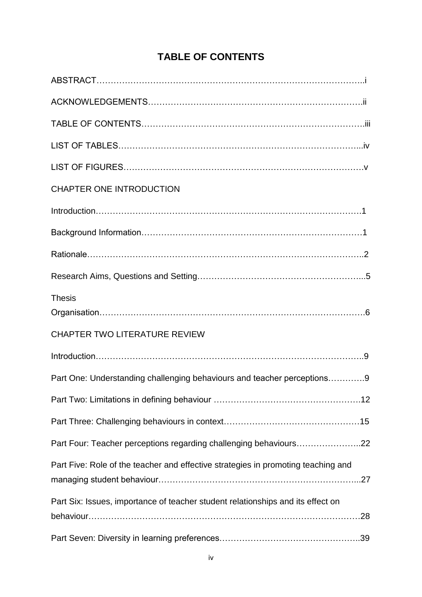## **TABLE OF CONTENTS**

| <b>CHAPTER ONE INTRODUCTION</b>                                                   |  |
|-----------------------------------------------------------------------------------|--|
|                                                                                   |  |
|                                                                                   |  |
|                                                                                   |  |
|                                                                                   |  |
| <b>Thesis</b>                                                                     |  |
| <b>CHAPTER TWO LITERATURE REVIEW</b>                                              |  |
|                                                                                   |  |
| Part One: Understanding challenging behaviours and teacher perceptions9           |  |
|                                                                                   |  |
|                                                                                   |  |
| Part Four: Teacher perceptions regarding challenging behaviours22                 |  |
| Part Five: Role of the teacher and effective strategies in promoting teaching and |  |
| Part Six: Issues, importance of teacher student relationships and its effect on   |  |
|                                                                                   |  |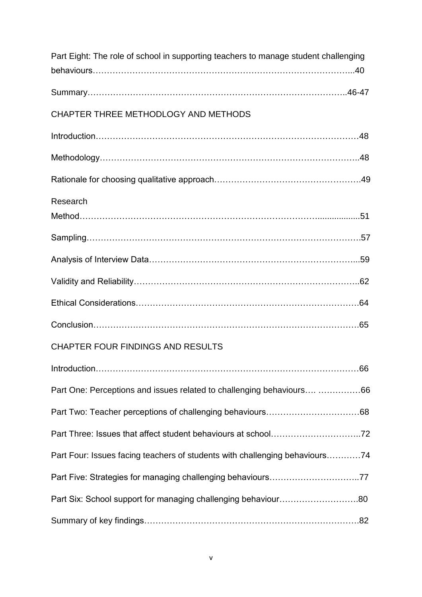| Part Eight: The role of school in supporting teachers to manage student challenging |  |
|-------------------------------------------------------------------------------------|--|
|                                                                                     |  |
| CHAPTER THREE METHODLOGY AND METHODS                                                |  |
|                                                                                     |  |
|                                                                                     |  |
|                                                                                     |  |
| Research                                                                            |  |
|                                                                                     |  |
|                                                                                     |  |
|                                                                                     |  |
|                                                                                     |  |
|                                                                                     |  |
| CHAPTER FOUR FINDINGS AND RESULTS                                                   |  |
|                                                                                     |  |
| Part One: Perceptions and issues related to challenging behaviours 66               |  |
|                                                                                     |  |
|                                                                                     |  |
| Part Four: Issues facing teachers of students with challenging behaviours74         |  |
|                                                                                     |  |
| Part Six: School support for managing challenging behaviour80                       |  |
|                                                                                     |  |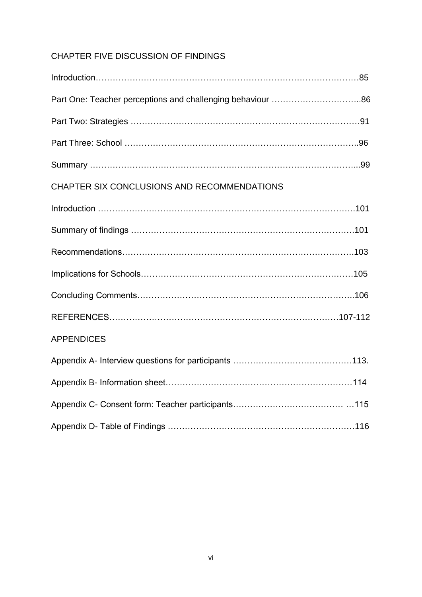### CHAPTER FIVE DISCUSSION OF FINDINGS

| Part One: Teacher perceptions and challenging behaviour 86 |  |
|------------------------------------------------------------|--|
|                                                            |  |
|                                                            |  |
|                                                            |  |
| CHAPTER SIX CONCLUSIONS AND RECOMMENDATIONS                |  |
|                                                            |  |
|                                                            |  |
|                                                            |  |
|                                                            |  |
|                                                            |  |
|                                                            |  |
| <b>APPENDICES</b>                                          |  |
|                                                            |  |
|                                                            |  |
|                                                            |  |
|                                                            |  |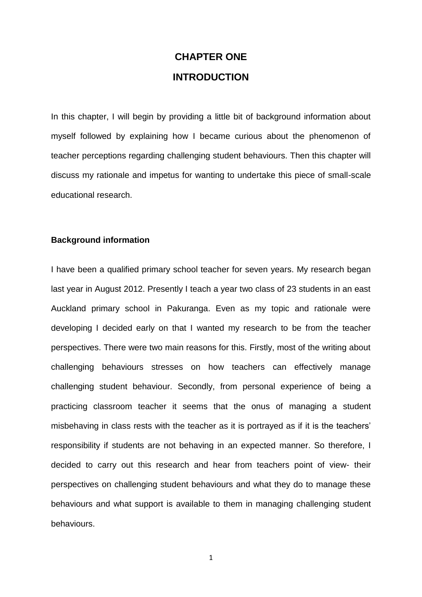## **CHAPTER ONE INTRODUCTION**

In this chapter, I will begin by providing a little bit of background information about myself followed by explaining how I became curious about the phenomenon of teacher perceptions regarding challenging student behaviours. Then this chapter will discuss my rationale and impetus for wanting to undertake this piece of small-scale educational research.

#### **Background information**

I have been a qualified primary school teacher for seven years. My research began last year in August 2012. Presently I teach a year two class of 23 students in an east Auckland primary school in Pakuranga. Even as my topic and rationale were developing I decided early on that I wanted my research to be from the teacher perspectives. There were two main reasons for this. Firstly, most of the writing about challenging behaviours stresses on how teachers can effectively manage challenging student behaviour. Secondly, from personal experience of being a practicing classroom teacher it seems that the onus of managing a student misbehaving in class rests with the teacher as it is portrayed as if it is the teachers' responsibility if students are not behaving in an expected manner. So therefore, I decided to carry out this research and hear from teachers point of view- their perspectives on challenging student behaviours and what they do to manage these behaviours and what support is available to them in managing challenging student behaviours.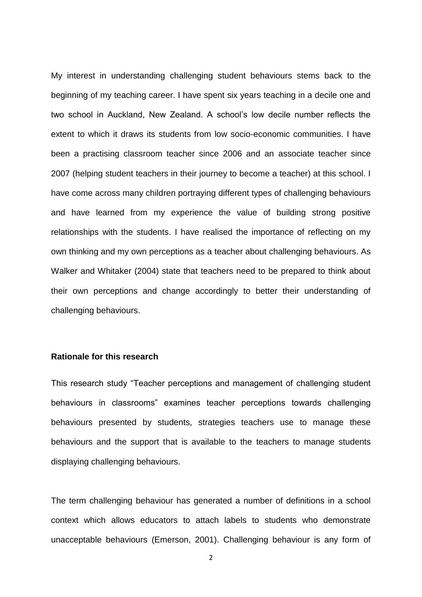My interest in understanding challenging student behaviours stems back to the beginning of my teaching career. I have spent six years teaching in a decile one and two school in Auckland, New Zealand. A school's low decile number reflects the extent to which it draws its students from low socio-economic communities. I have been a practising classroom teacher since 2006 and an associate teacher since 2007 (helping student teachers in their journey to become a teacher) at this school. I have come across many children portraying different types of challenging behaviours and have learned from my experience the value of building strong positive relationships with the students. I have realised the importance of reflecting on my own thinking and my own perceptions as a teacher about challenging behaviours. As Walker and Whitaker (2004) state that teachers need to be prepared to think about their own perceptions and change accordingly to better their understanding of challenging behaviours.

#### **Rationale for this research**

This research study "Teacher perceptions and management of challenging student behaviours in classrooms" examines teacher perceptions towards challenging behaviours presented by students, strategies teachers use to manage these behaviours and the support that is available to the teachers to manage students displaying challenging behaviours.

The term challenging behaviour has generated a number of definitions in a school context which allows educators to attach labels to students who demonstrate unacceptable behaviours (Emerson, 2001). Challenging behaviour is any form of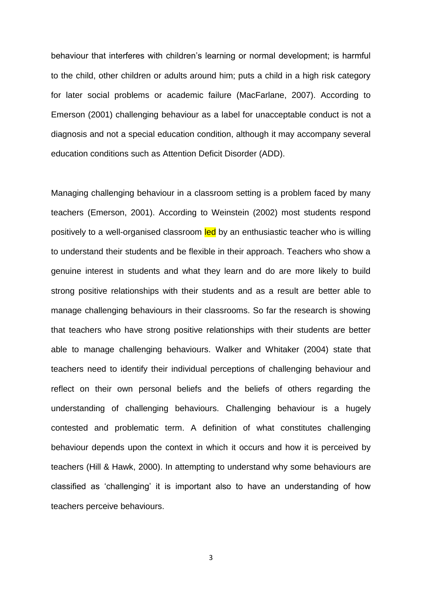behaviour that interferes with children's learning or normal development; is harmful to the child, other children or adults around him; puts a child in a high risk category for later social problems or academic failure (MacFarlane, 2007). According to Emerson (2001) challenging behaviour as a label for unacceptable conduct is not a diagnosis and not a special education condition, although it may accompany several education conditions such as Attention Deficit Disorder (ADD).

Managing challenging behaviour in a classroom setting is a problem faced by many teachers (Emerson, 2001). According to Weinstein (2002) most students respond positively to a well-organised classroom led by an enthusiastic teacher who is willing to understand their students and be flexible in their approach. Teachers who show a genuine interest in students and what they learn and do are more likely to build strong positive relationships with their students and as a result are better able to manage challenging behaviours in their classrooms. So far the research is showing that teachers who have strong positive relationships with their students are better able to manage challenging behaviours. Walker and Whitaker (2004) state that teachers need to identify their individual perceptions of challenging behaviour and reflect on their own personal beliefs and the beliefs of others regarding the understanding of challenging behaviours. Challenging behaviour is a hugely contested and problematic term. A definition of what constitutes challenging behaviour depends upon the context in which it occurs and how it is perceived by teachers (Hill & Hawk, 2000). In attempting to understand why some behaviours are classified as 'challenging' it is important also to have an understanding of how teachers perceive behaviours.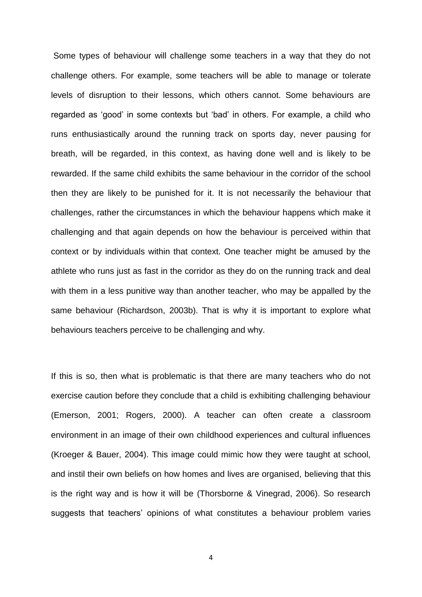Some types of behaviour will challenge some teachers in a way that they do not challenge others. For example, some teachers will be able to manage or tolerate levels of disruption to their lessons, which others cannot. Some behaviours are regarded as 'good' in some contexts but 'bad' in others. For example, a child who runs enthusiastically around the running track on sports day, never pausing for breath, will be regarded, in this context, as having done well and is likely to be rewarded. If the same child exhibits the same behaviour in the corridor of the school then they are likely to be punished for it. It is not necessarily the behaviour that challenges, rather the circumstances in which the behaviour happens which make it challenging and that again depends on how the behaviour is perceived within that context or by individuals within that context. One teacher might be amused by the athlete who runs just as fast in the corridor as they do on the running track and deal with them in a less punitive way than another teacher, who may be appalled by the same behaviour (Richardson, 2003b). That is why it is important to explore what behaviours teachers perceive to be challenging and why.

If this is so, then what is problematic is that there are many teachers who do not exercise caution before they conclude that a child is exhibiting challenging behaviour (Emerson, 2001; Rogers, 2000). A teacher can often create a classroom environment in an image of their own childhood experiences and cultural influences (Kroeger & Bauer, 2004). This image could mimic how they were taught at school, and instil their own beliefs on how homes and lives are organised, believing that this is the right way and is how it will be (Thorsborne & Vinegrad, 2006). So research suggests that teachers' opinions of what constitutes a behaviour problem varies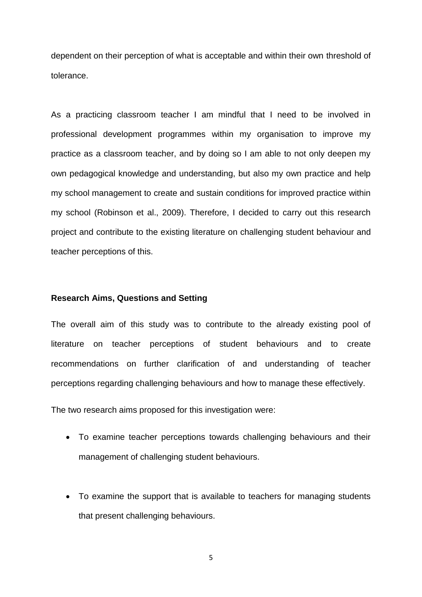dependent on their perception of what is acceptable and within their own threshold of tolerance.

As a practicing classroom teacher I am mindful that I need to be involved in professional development programmes within my organisation to improve my practice as a classroom teacher, and by doing so I am able to not only deepen my own pedagogical knowledge and understanding, but also my own practice and help my school management to create and sustain conditions for improved practice within my school (Robinson et al., 2009). Therefore, I decided to carry out this research project and contribute to the existing literature on challenging student behaviour and teacher perceptions of this.

#### **Research Aims, Questions and Setting**

The overall aim of this study was to contribute to the already existing pool of literature on teacher perceptions of student behaviours and to create recommendations on further clarification of and understanding of teacher perceptions regarding challenging behaviours and how to manage these effectively.

The two research aims proposed for this investigation were:

- To examine teacher perceptions towards challenging behaviours and their management of challenging student behaviours.
- To examine the support that is available to teachers for managing students that present challenging behaviours.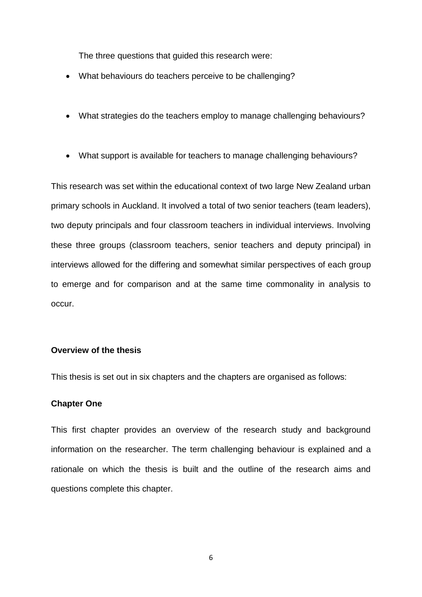The three questions that guided this research were:

- What behaviours do teachers perceive to be challenging?
- What strategies do the teachers employ to manage challenging behaviours?
- What support is available for teachers to manage challenging behaviours?

This research was set within the educational context of two large New Zealand urban primary schools in Auckland. It involved a total of two senior teachers (team leaders), two deputy principals and four classroom teachers in individual interviews. Involving these three groups (classroom teachers, senior teachers and deputy principal) in interviews allowed for the differing and somewhat similar perspectives of each group to emerge and for comparison and at the same time commonality in analysis to occur.

#### **Overview of the thesis**

This thesis is set out in six chapters and the chapters are organised as follows:

#### **Chapter One**

This first chapter provides an overview of the research study and background information on the researcher. The term challenging behaviour is explained and a rationale on which the thesis is built and the outline of the research aims and questions complete this chapter.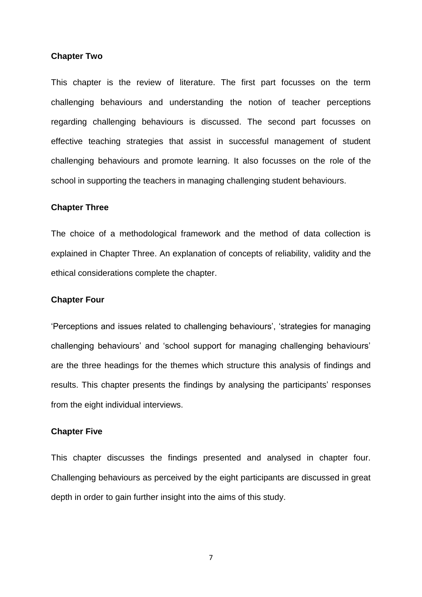#### **Chapter Two**

This chapter is the review of literature. The first part focusses on the term challenging behaviours and understanding the notion of teacher perceptions regarding challenging behaviours is discussed. The second part focusses on effective teaching strategies that assist in successful management of student challenging behaviours and promote learning. It also focusses on the role of the school in supporting the teachers in managing challenging student behaviours.

#### **Chapter Three**

The choice of a methodological framework and the method of data collection is explained in Chapter Three. An explanation of concepts of reliability, validity and the ethical considerations complete the chapter.

#### **Chapter Four**

'Perceptions and issues related to challenging behaviours', 'strategies for managing challenging behaviours' and 'school support for managing challenging behaviours' are the three headings for the themes which structure this analysis of findings and results. This chapter presents the findings by analysing the participants' responses from the eight individual interviews.

#### **Chapter Five**

This chapter discusses the findings presented and analysed in chapter four. Challenging behaviours as perceived by the eight participants are discussed in great depth in order to gain further insight into the aims of this study.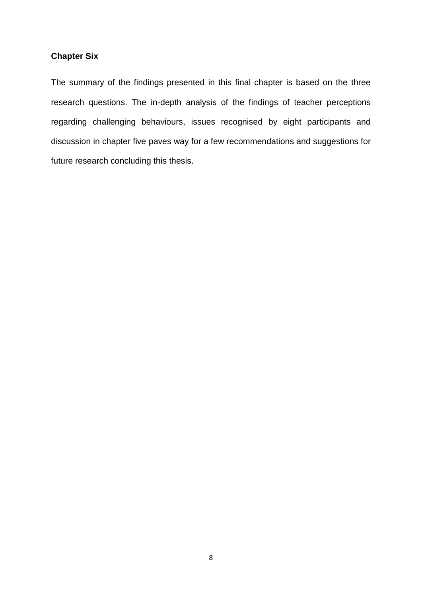### **Chapter Six**

The summary of the findings presented in this final chapter is based on the three research questions. The in-depth analysis of the findings of teacher perceptions regarding challenging behaviours, issues recognised by eight participants and discussion in chapter five paves way for a few recommendations and suggestions for future research concluding this thesis.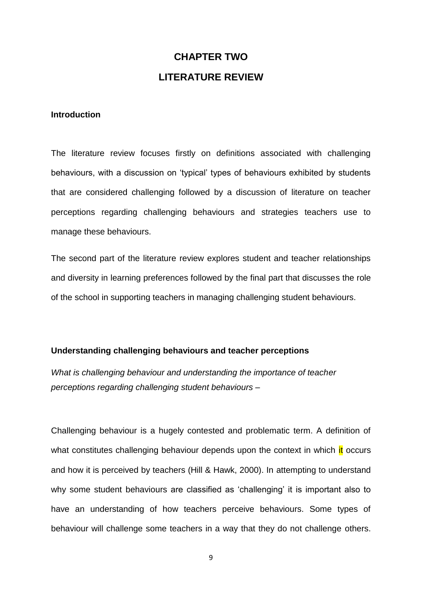## **CHAPTER TWO LITERATURE REVIEW**

#### **Introduction**

The literature review focuses firstly on definitions associated with challenging behaviours, with a discussion on 'typical' types of behaviours exhibited by students that are considered challenging followed by a discussion of literature on teacher perceptions regarding challenging behaviours and strategies teachers use to manage these behaviours.

The second part of the literature review explores student and teacher relationships and diversity in learning preferences followed by the final part that discusses the role of the school in supporting teachers in managing challenging student behaviours.

#### **Understanding challenging behaviours and teacher perceptions**

*What is challenging behaviour and understanding the importance of teacher perceptions regarding challenging student behaviours –*

Challenging behaviour is a hugely contested and problematic term. A definition of what constitutes challenging behaviour depends upon the context in which it occurs and how it is perceived by teachers (Hill & Hawk, 2000). In attempting to understand why some student behaviours are classified as 'challenging' it is important also to have an understanding of how teachers perceive behaviours. Some types of behaviour will challenge some teachers in a way that they do not challenge others.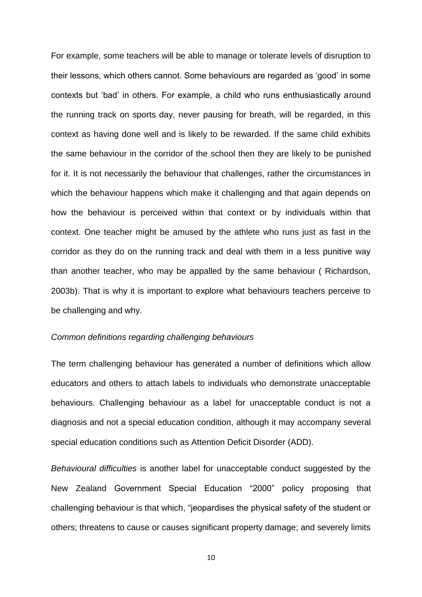For example, some teachers will be able to manage or tolerate levels of disruption to their lessons, which others cannot. Some behaviours are regarded as 'good' in some contexts but 'bad' in others. For example, a child who runs enthusiastically around the running track on sports day, never pausing for breath, will be regarded, in this context as having done well and is likely to be rewarded. If the same child exhibits the same behaviour in the corridor of the school then they are likely to be punished for it. It is not necessarily the behaviour that challenges, rather the circumstances in which the behaviour happens which make it challenging and that again depends on how the behaviour is perceived within that context or by individuals within that context. One teacher might be amused by the athlete who runs just as fast in the corridor as they do on the running track and deal with them in a less punitive way than another teacher, who may be appalled by the same behaviour ( Richardson, 2003b). That is why it is important to explore what behaviours teachers perceive to be challenging and why.

#### *Common definitions regarding challenging behaviours*

The term challenging behaviour has generated a number of definitions which allow educators and others to attach labels to individuals who demonstrate unacceptable behaviours. Challenging behaviour as a label for unacceptable conduct is not a diagnosis and not a special education condition, although it may accompany several special education conditions such as Attention Deficit Disorder (ADD).

*Behavioural difficulties* is another label for unacceptable conduct suggested by the New Zealand Government Special Education "2000" policy proposing that challenging behaviour is that which, "jeopardises the physical safety of the student or others; threatens to cause or causes significant property damage; and severely limits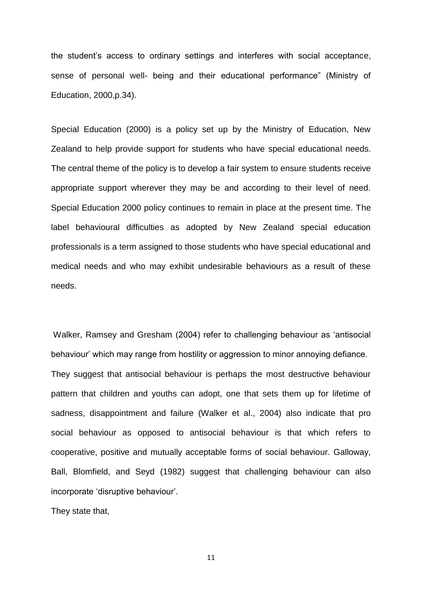the student's access to ordinary settings and interferes with social acceptance, sense of personal well- being and their educational performance" (Ministry of Education, 2000,p.34).

Special Education (2000) is a policy set up by the Ministry of Education, New Zealand to help provide support for students who have special educational needs. The central theme of the policy is to develop a fair system to ensure students receive appropriate support wherever they may be and according to their level of need. Special Education 2000 policy continues to remain in place at the present time. The label behavioural difficulties as adopted by New Zealand special education professionals is a term assigned to those students who have special educational and medical needs and who may exhibit undesirable behaviours as a result of these needs.

Walker, Ramsey and Gresham (2004) refer to challenging behaviour as 'antisocial behaviour' which may range from hostility or aggression to minor annoying defiance. They suggest that antisocial behaviour is perhaps the most destructive behaviour pattern that children and youths can adopt, one that sets them up for lifetime of sadness, disappointment and failure (Walker et al., 2004) also indicate that pro social behaviour as opposed to antisocial behaviour is that which refers to cooperative, positive and mutually acceptable forms of social behaviour. Galloway, Ball, Blomfield, and Seyd (1982) suggest that challenging behaviour can also incorporate 'disruptive behaviour'.

They state that,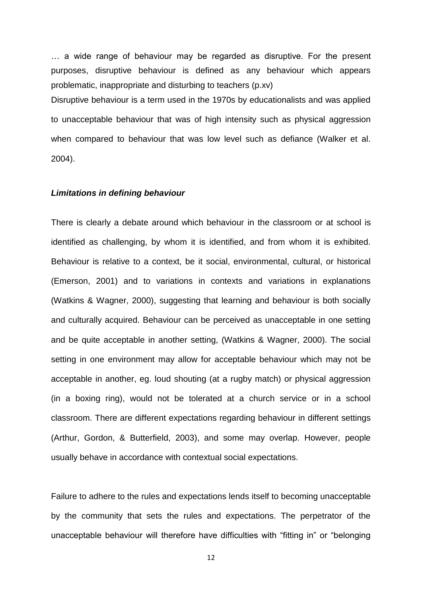… a wide range of behaviour may be regarded as disruptive. For the present purposes, disruptive behaviour is defined as any behaviour which appears problematic, inappropriate and disturbing to teachers (p.xv)

Disruptive behaviour is a term used in the 1970s by educationalists and was applied to unacceptable behaviour that was of high intensity such as physical aggression when compared to behaviour that was low level such as defiance (Walker et al. 2004).

#### *Limitations in defining behaviour*

There is clearly a debate around which behaviour in the classroom or at school is identified as challenging, by whom it is identified, and from whom it is exhibited. Behaviour is relative to a context, be it social, environmental, cultural, or historical (Emerson, 2001) and to variations in contexts and variations in explanations (Watkins & Wagner, 2000), suggesting that learning and behaviour is both socially and culturally acquired. Behaviour can be perceived as unacceptable in one setting and be quite acceptable in another setting, (Watkins & Wagner, 2000). The social setting in one environment may allow for acceptable behaviour which may not be acceptable in another, eg. loud shouting (at a rugby match) or physical aggression (in a boxing ring), would not be tolerated at a church service or in a school classroom. There are different expectations regarding behaviour in different settings (Arthur, Gordon, & Butterfield, 2003), and some may overlap. However, people usually behave in accordance with contextual social expectations.

Failure to adhere to the rules and expectations lends itself to becoming unacceptable by the community that sets the rules and expectations. The perpetrator of the unacceptable behaviour will therefore have difficulties with "fitting in" or "belonging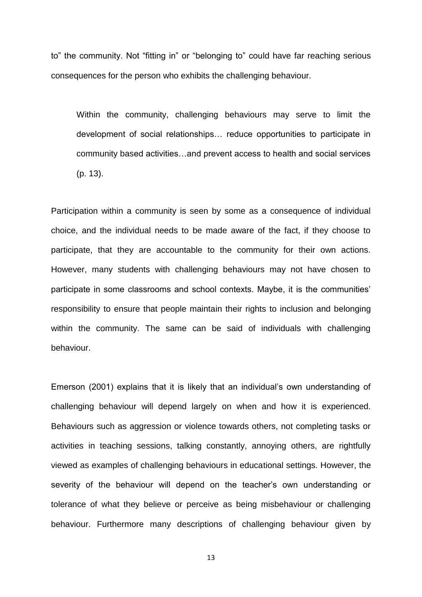to" the community. Not "fitting in" or "belonging to" could have far reaching serious consequences for the person who exhibits the challenging behaviour.

Within the community, challenging behaviours may serve to limit the development of social relationships… reduce opportunities to participate in community based activities…and prevent access to health and social services (p. 13).

Participation within a community is seen by some as a consequence of individual choice, and the individual needs to be made aware of the fact, if they choose to participate, that they are accountable to the community for their own actions. However, many students with challenging behaviours may not have chosen to participate in some classrooms and school contexts. Maybe, it is the communities' responsibility to ensure that people maintain their rights to inclusion and belonging within the community. The same can be said of individuals with challenging behaviour.

Emerson (2001) explains that it is likely that an individual's own understanding of challenging behaviour will depend largely on when and how it is experienced. Behaviours such as aggression or violence towards others, not completing tasks or activities in teaching sessions, talking constantly, annoying others, are rightfully viewed as examples of challenging behaviours in educational settings. However, the severity of the behaviour will depend on the teacher's own understanding or tolerance of what they believe or perceive as being misbehaviour or challenging behaviour. Furthermore many descriptions of challenging behaviour given by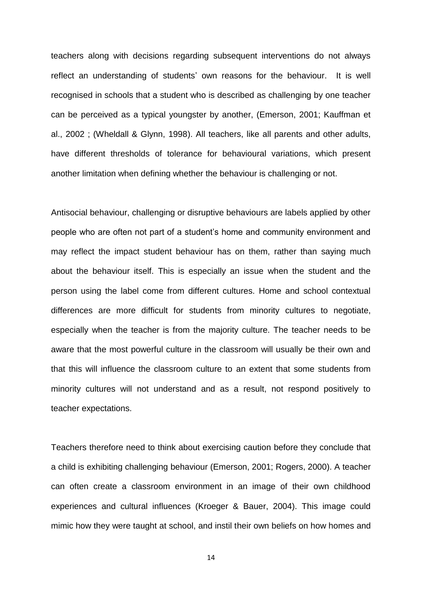teachers along with decisions regarding subsequent interventions do not always reflect an understanding of students' own reasons for the behaviour. It is well recognised in schools that a student who is described as challenging by one teacher can be perceived as a typical youngster by another, (Emerson, 2001; Kauffman et al., 2002 ; (Wheldall & Glynn, 1998). All teachers, like all parents and other adults, have different thresholds of tolerance for behavioural variations, which present another limitation when defining whether the behaviour is challenging or not.

Antisocial behaviour, challenging or disruptive behaviours are labels applied by other people who are often not part of a student's home and community environment and may reflect the impact student behaviour has on them, rather than saying much about the behaviour itself. This is especially an issue when the student and the person using the label come from different cultures. Home and school contextual differences are more difficult for students from minority cultures to negotiate, especially when the teacher is from the majority culture. The teacher needs to be aware that the most powerful culture in the classroom will usually be their own and that this will influence the classroom culture to an extent that some students from minority cultures will not understand and as a result, not respond positively to teacher expectations.

Teachers therefore need to think about exercising caution before they conclude that a child is exhibiting challenging behaviour (Emerson, 2001; Rogers, 2000). A teacher can often create a classroom environment in an image of their own childhood experiences and cultural influences (Kroeger & Bauer, 2004). This image could mimic how they were taught at school, and instil their own beliefs on how homes and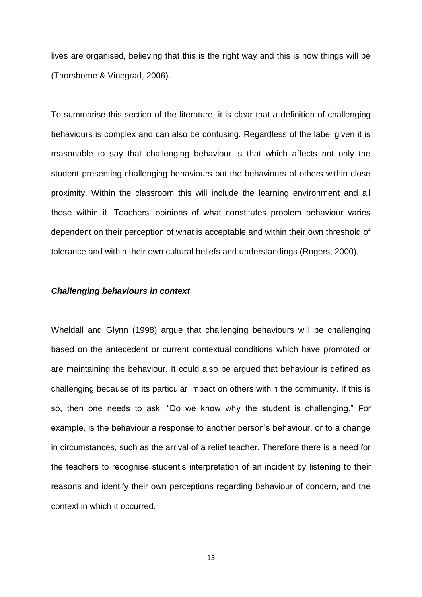lives are organised, believing that this is the right way and this is how things will be (Thorsborne & Vinegrad, 2006).

To summarise this section of the literature, it is clear that a definition of challenging behaviours is complex and can also be confusing. Regardless of the label given it is reasonable to say that challenging behaviour is that which affects not only the student presenting challenging behaviours but the behaviours of others within close proximity. Within the classroom this will include the learning environment and all those within it. Teachers' opinions of what constitutes problem behaviour varies dependent on their perception of what is acceptable and within their own threshold of tolerance and within their own cultural beliefs and understandings (Rogers, 2000).

#### *Challenging behaviours in context*

Wheldall and Glynn (1998) argue that challenging behaviours will be challenging based on the antecedent or current contextual conditions which have promoted or are maintaining the behaviour. It could also be argued that behaviour is defined as challenging because of its particular impact on others within the community. If this is so, then one needs to ask, "Do we know why the student is challenging." For example, is the behaviour a response to another person's behaviour, or to a change in circumstances, such as the arrival of a relief teacher. Therefore there is a need for the teachers to recognise student's interpretation of an incident by listening to their reasons and identify their own perceptions regarding behaviour of concern, and the context in which it occurred.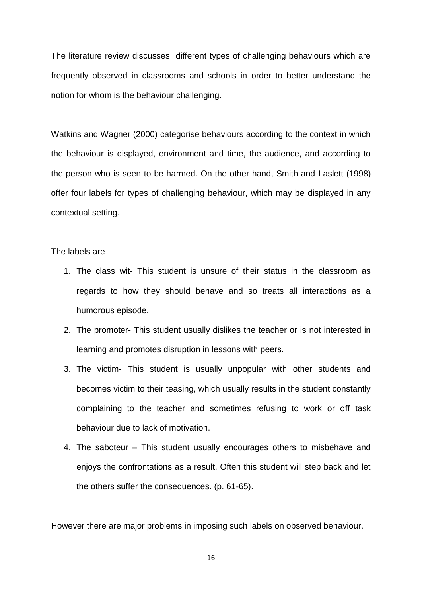The literature review discusses different types of challenging behaviours which are frequently observed in classrooms and schools in order to better understand the notion for whom is the behaviour challenging.

Watkins and Wagner (2000) categorise behaviours according to the context in which the behaviour is displayed, environment and time, the audience, and according to the person who is seen to be harmed. On the other hand, Smith and Laslett (1998) offer four labels for types of challenging behaviour, which may be displayed in any contextual setting.

#### The labels are

- 1. The class wit- This student is unsure of their status in the classroom as regards to how they should behave and so treats all interactions as a humorous episode.
- 2. The promoter- This student usually dislikes the teacher or is not interested in learning and promotes disruption in lessons with peers.
- 3. The victim- This student is usually unpopular with other students and becomes victim to their teasing, which usually results in the student constantly complaining to the teacher and sometimes refusing to work or off task behaviour due to lack of motivation.
- 4. The saboteur This student usually encourages others to misbehave and enjoys the confrontations as a result. Often this student will step back and let the others suffer the consequences. (p. 61-65).

However there are major problems in imposing such labels on observed behaviour.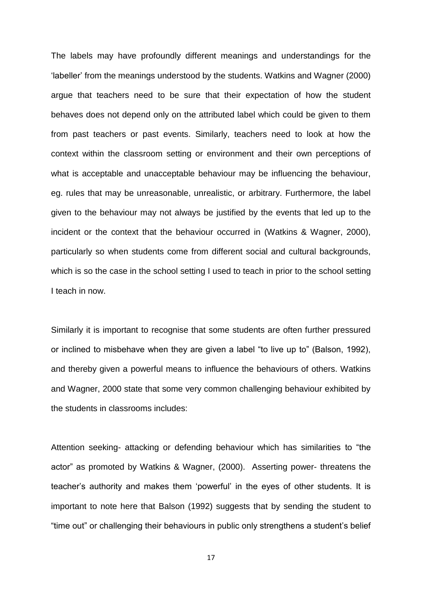The labels may have profoundly different meanings and understandings for the 'labeller' from the meanings understood by the students. Watkins and Wagner (2000) argue that teachers need to be sure that their expectation of how the student behaves does not depend only on the attributed label which could be given to them from past teachers or past events. Similarly, teachers need to look at how the context within the classroom setting or environment and their own perceptions of what is acceptable and unacceptable behaviour may be influencing the behaviour, eg. rules that may be unreasonable, unrealistic, or arbitrary. Furthermore, the label given to the behaviour may not always be justified by the events that led up to the incident or the context that the behaviour occurred in (Watkins & Wagner, 2000), particularly so when students come from different social and cultural backgrounds, which is so the case in the school setting I used to teach in prior to the school setting I teach in now.

Similarly it is important to recognise that some students are often further pressured or inclined to misbehave when they are given a label "to live up to" (Balson, 1992), and thereby given a powerful means to influence the behaviours of others. Watkins and Wagner, 2000 state that some very common challenging behaviour exhibited by the students in classrooms includes:

Attention seeking- attacking or defending behaviour which has similarities to "the actor" as promoted by Watkins & Wagner, (2000). Asserting power- threatens the teacher's authority and makes them 'powerful' in the eyes of other students. It is important to note here that Balson (1992) suggests that by sending the student to "time out" or challenging their behaviours in public only strengthens a student's belief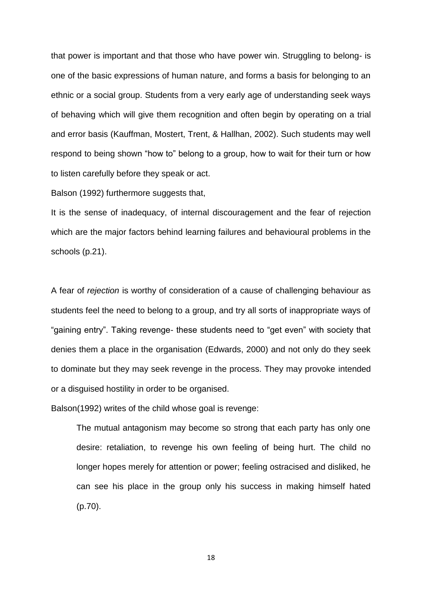that power is important and that those who have power win. Struggling to belong- is one of the basic expressions of human nature, and forms a basis for belonging to an ethnic or a social group. Students from a very early age of understanding seek ways of behaving which will give them recognition and often begin by operating on a trial and error basis (Kauffman, Mostert, Trent, & Hallhan, 2002). Such students may well respond to being shown "how to" belong to a group, how to wait for their turn or how to listen carefully before they speak or act.

Balson (1992) furthermore suggests that,

It is the sense of inadequacy, of internal discouragement and the fear of rejection which are the major factors behind learning failures and behavioural problems in the schools (p.21).

A fear of *rejection* is worthy of consideration of a cause of challenging behaviour as students feel the need to belong to a group, and try all sorts of inappropriate ways of "gaining entry". Taking revenge- these students need to "get even" with society that denies them a place in the organisation (Edwards, 2000) and not only do they seek to dominate but they may seek revenge in the process. They may provoke intended or a disguised hostility in order to be organised.

Balson(1992) writes of the child whose goal is revenge:

The mutual antagonism may become so strong that each party has only one desire: retaliation, to revenge his own feeling of being hurt. The child no longer hopes merely for attention or power; feeling ostracised and disliked, he can see his place in the group only his success in making himself hated (p.70).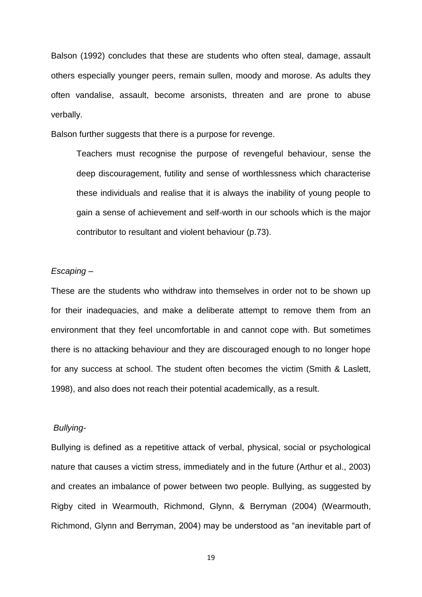Balson (1992) concludes that these are students who often steal, damage, assault others especially younger peers, remain sullen, moody and morose. As adults they often vandalise, assault, become arsonists, threaten and are prone to abuse verbally.

Balson further suggests that there is a purpose for revenge.

Teachers must recognise the purpose of revengeful behaviour, sense the deep discouragement, futility and sense of worthlessness which characterise these individuals and realise that it is always the inability of young people to gain a sense of achievement and self-worth in our schools which is the major contributor to resultant and violent behaviour (p.73).

#### *Escaping* –

These are the students who withdraw into themselves in order not to be shown up for their inadequacies, and make a deliberate attempt to remove them from an environment that they feel uncomfortable in and cannot cope with. But sometimes there is no attacking behaviour and they are discouraged enough to no longer hope for any success at school. The student often becomes the victim (Smith & Laslett, 1998), and also does not reach their potential academically, as a result.

#### *Bullying-*

Bullying is defined as a repetitive attack of verbal, physical, social or psychological nature that causes a victim stress, immediately and in the future (Arthur et al., 2003) and creates an imbalance of power between two people. Bullying, as suggested by Rigby cited in Wearmouth, Richmond, Glynn, & Berryman (2004) (Wearmouth, Richmond, Glynn and Berryman, 2004) may be understood as "an inevitable part of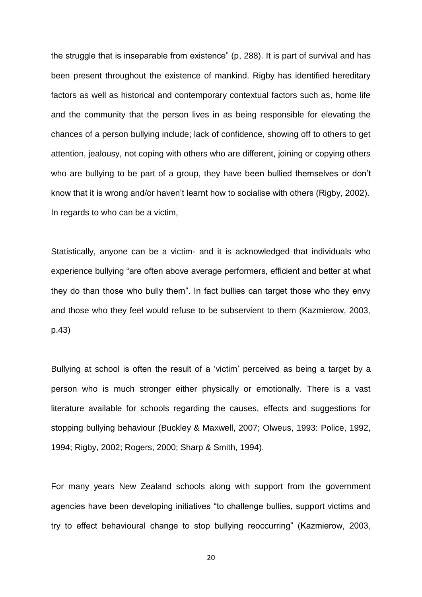the struggle that is inseparable from existence" (p, 288). It is part of survival and has been present throughout the existence of mankind. Rigby has identified hereditary factors as well as historical and contemporary contextual factors such as, home life and the community that the person lives in as being responsible for elevating the chances of a person bullying include; lack of confidence, showing off to others to get attention, jealousy, not coping with others who are different, joining or copying others who are bullying to be part of a group, they have been bullied themselves or don't know that it is wrong and/or haven't learnt how to socialise with others (Rigby, 2002). In regards to who can be a victim,

Statistically, anyone can be a victim- and it is acknowledged that individuals who experience bullying "are often above average performers, efficient and better at what they do than those who bully them". In fact bullies can target those who they envy and those who they feel would refuse to be subservient to them (Kazmierow, 2003, p.43)

Bullying at school is often the result of a 'victim' perceived as being a target by a person who is much stronger either physically or emotionally. There is a vast literature available for schools regarding the causes, effects and suggestions for stopping bullying behaviour (Buckley & Maxwell, 2007; Olweus, 1993: Police, 1992, 1994; Rigby, 2002; Rogers, 2000; Sharp & Smith, 1994).

For many years New Zealand schools along with support from the government agencies have been developing initiatives "to challenge bullies, support victims and try to effect behavioural change to stop bullying reoccurring" (Kazmierow, 2003,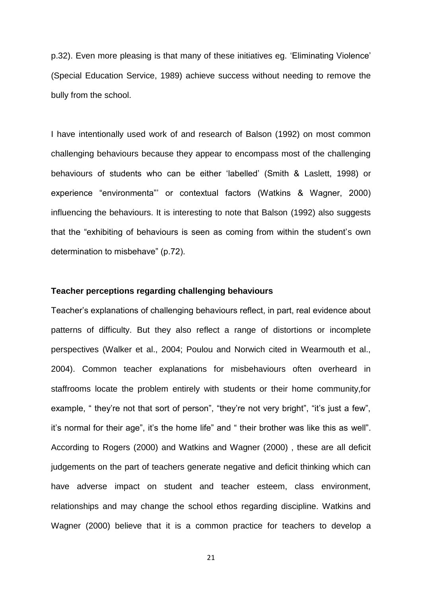p.32). Even more pleasing is that many of these initiatives eg. 'Eliminating Violence' (Special Education Service, 1989) achieve success without needing to remove the bully from the school.

I have intentionally used work of and research of Balson (1992) on most common challenging behaviours because they appear to encompass most of the challenging behaviours of students who can be either 'labelled' (Smith & Laslett, 1998) or experience "environmenta"' or contextual factors (Watkins & Wagner, 2000) influencing the behaviours. It is interesting to note that Balson (1992) also suggests that the "exhibiting of behaviours is seen as coming from within the student's own determination to misbehave" (p.72).

#### **Teacher perceptions regarding challenging behaviours**

Teacher's explanations of challenging behaviours reflect, in part, real evidence about patterns of difficulty. But they also reflect a range of distortions or incomplete perspectives (Walker et al., 2004; Poulou and Norwich cited in Wearmouth et al., 2004). Common teacher explanations for misbehaviours often overheard in staffrooms locate the problem entirely with students or their home community,for example, " they're not that sort of person", "they're not very bright", "it's just a few", it's normal for their age", it's the home life" and " their brother was like this as well". According to Rogers (2000) and Watkins and Wagner (2000) , these are all deficit judgements on the part of teachers generate negative and deficit thinking which can have adverse impact on student and teacher esteem, class environment, relationships and may change the school ethos regarding discipline. Watkins and Wagner (2000) believe that it is a common practice for teachers to develop a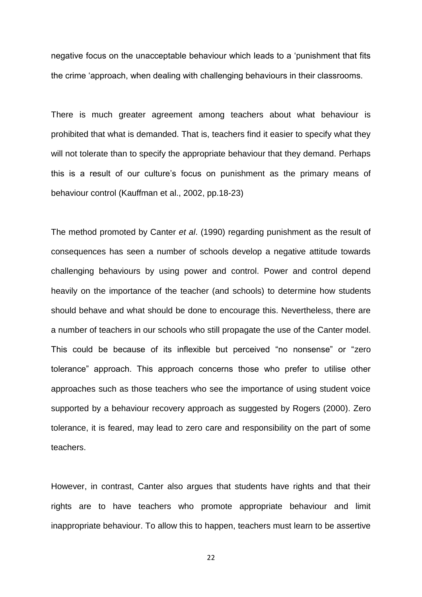negative focus on the unacceptable behaviour which leads to a 'punishment that fits the crime 'approach, when dealing with challenging behaviours in their classrooms.

There is much greater agreement among teachers about what behaviour is prohibited that what is demanded. That is, teachers find it easier to specify what they will not tolerate than to specify the appropriate behaviour that they demand. Perhaps this is a result of our culture's focus on punishment as the primary means of behaviour control (Kauffman et al., 2002, pp.18-23)

The method promoted by Canter *et al*. (1990) regarding punishment as the result of consequences has seen a number of schools develop a negative attitude towards challenging behaviours by using power and control. Power and control depend heavily on the importance of the teacher (and schools) to determine how students should behave and what should be done to encourage this. Nevertheless, there are a number of teachers in our schools who still propagate the use of the Canter model. This could be because of its inflexible but perceived "no nonsense" or "zero tolerance" approach. This approach concerns those who prefer to utilise other approaches such as those teachers who see the importance of using student voice supported by a behaviour recovery approach as suggested by Rogers (2000). Zero tolerance, it is feared, may lead to zero care and responsibility on the part of some teachers.

However, in contrast, Canter also argues that students have rights and that their rights are to have teachers who promote appropriate behaviour and limit inappropriate behaviour. To allow this to happen, teachers must learn to be assertive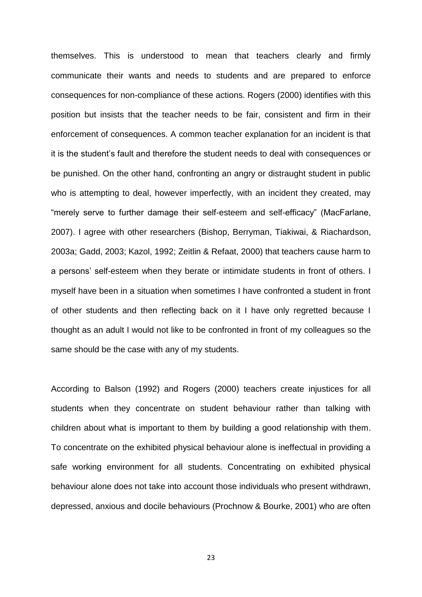themselves. This is understood to mean that teachers clearly and firmly communicate their wants and needs to students and are prepared to enforce consequences for non-compliance of these actions. Rogers (2000) identifies with this position but insists that the teacher needs to be fair, consistent and firm in their enforcement of consequences. A common teacher explanation for an incident is that it is the student's fault and therefore the student needs to deal with consequences or be punished. On the other hand, confronting an angry or distraught student in public who is attempting to deal, however imperfectly, with an incident they created, may "merely serve to further damage their self-esteem and self-efficacy" (MacFarlane, 2007). I agree with other researchers (Bishop, Berryman, Tiakiwai, & Riachardson, 2003a; Gadd, 2003; Kazol, 1992; Zeitlin & Refaat, 2000) that teachers cause harm to a persons' self-esteem when they berate or intimidate students in front of others. I myself have been in a situation when sometimes I have confronted a student in front of other students and then reflecting back on it I have only regretted because I thought as an adult I would not like to be confronted in front of my colleagues so the same should be the case with any of my students.

According to Balson (1992) and Rogers (2000) teachers create injustices for all students when they concentrate on student behaviour rather than talking with children about what is important to them by building a good relationship with them. To concentrate on the exhibited physical behaviour alone is ineffectual in providing a safe working environment for all students. Concentrating on exhibited physical behaviour alone does not take into account those individuals who present withdrawn, depressed, anxious and docile behaviours (Prochnow & Bourke, 2001) who are often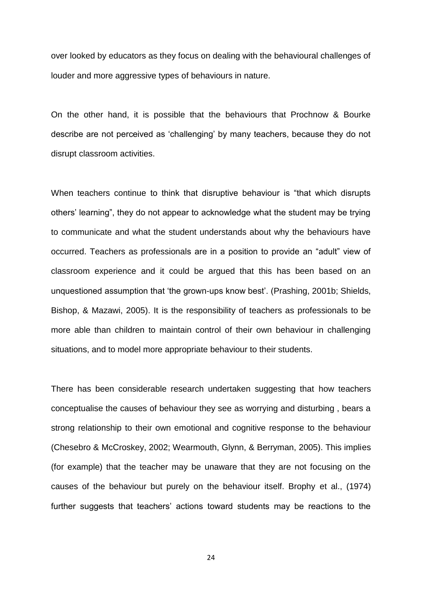over looked by educators as they focus on dealing with the behavioural challenges of louder and more aggressive types of behaviours in nature.

On the other hand, it is possible that the behaviours that Prochnow & Bourke describe are not perceived as 'challenging' by many teachers, because they do not disrupt classroom activities.

When teachers continue to think that disruptive behaviour is "that which disrupts others' learning", they do not appear to acknowledge what the student may be trying to communicate and what the student understands about why the behaviours have occurred. Teachers as professionals are in a position to provide an "adult" view of classroom experience and it could be argued that this has been based on an unquestioned assumption that 'the grown-ups know best'. (Prashing, 2001b; Shields, Bishop, & Mazawi, 2005). It is the responsibility of teachers as professionals to be more able than children to maintain control of their own behaviour in challenging situations, and to model more appropriate behaviour to their students.

There has been considerable research undertaken suggesting that how teachers conceptualise the causes of behaviour they see as worrying and disturbing , bears a strong relationship to their own emotional and cognitive response to the behaviour (Chesebro & McCroskey, 2002; Wearmouth, Glynn, & Berryman, 2005). This implies (for example) that the teacher may be unaware that they are not focusing on the causes of the behaviour but purely on the behaviour itself. Brophy et al., (1974) further suggests that teachers' actions toward students may be reactions to the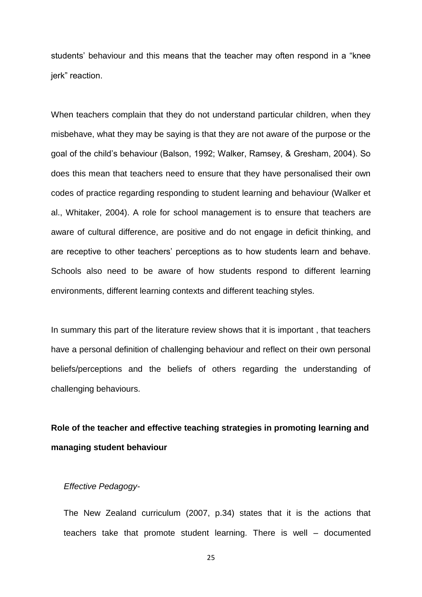students' behaviour and this means that the teacher may often respond in a "knee jerk" reaction.

When teachers complain that they do not understand particular children, when they misbehave, what they may be saying is that they are not aware of the purpose or the goal of the child's behaviour (Balson, 1992; Walker, Ramsey, & Gresham, 2004). So does this mean that teachers need to ensure that they have personalised their own codes of practice regarding responding to student learning and behaviour (Walker et al., Whitaker, 2004). A role for school management is to ensure that teachers are aware of cultural difference, are positive and do not engage in deficit thinking, and are receptive to other teachers' perceptions as to how students learn and behave. Schools also need to be aware of how students respond to different learning environments, different learning contexts and different teaching styles.

In summary this part of the literature review shows that it is important , that teachers have a personal definition of challenging behaviour and reflect on their own personal beliefs/perceptions and the beliefs of others regarding the understanding of challenging behaviours.

## **Role of the teacher and effective teaching strategies in promoting learning and managing student behaviour**

#### *Effective Pedagogy-*

The New Zealand curriculum (2007, p.34) states that it is the actions that teachers take that promote student learning. There is well – documented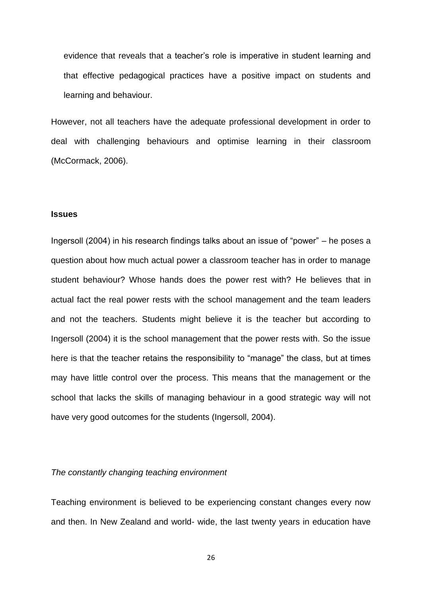evidence that reveals that a teacher's role is imperative in student learning and that effective pedagogical practices have a positive impact on students and learning and behaviour.

However, not all teachers have the adequate professional development in order to deal with challenging behaviours and optimise learning in their classroom (McCormack, 2006).

#### **Issues**

Ingersoll (2004) in his research findings talks about an issue of "power" – he poses a question about how much actual power a classroom teacher has in order to manage student behaviour? Whose hands does the power rest with? He believes that in actual fact the real power rests with the school management and the team leaders and not the teachers. Students might believe it is the teacher but according to Ingersoll (2004) it is the school management that the power rests with. So the issue here is that the teacher retains the responsibility to "manage" the class, but at times may have little control over the process. This means that the management or the school that lacks the skills of managing behaviour in a good strategic way will not have very good outcomes for the students (Ingersoll, 2004).

#### *The constantly changing teaching environment*

Teaching environment is believed to be experiencing constant changes every now and then. In New Zealand and world- wide, the last twenty years in education have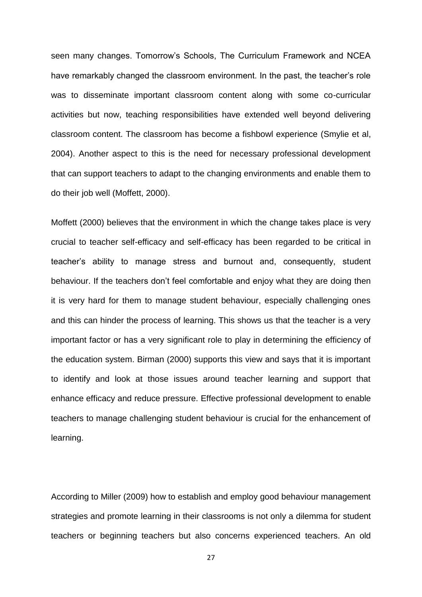seen many changes. Tomorrow's Schools, The Curriculum Framework and NCEA have remarkably changed the classroom environment. In the past, the teacher's role was to disseminate important classroom content along with some co-curricular activities but now, teaching responsibilities have extended well beyond delivering classroom content. The classroom has become a fishbowl experience (Smylie et al, 2004). Another aspect to this is the need for necessary professional development that can support teachers to adapt to the changing environments and enable them to do their job well (Moffett, 2000).

Moffett (2000) believes that the environment in which the change takes place is very crucial to teacher self-efficacy and self-efficacy has been regarded to be critical in teacher's ability to manage stress and burnout and, consequently, student behaviour. If the teachers don't feel comfortable and enjoy what they are doing then it is very hard for them to manage student behaviour, especially challenging ones and this can hinder the process of learning. This shows us that the teacher is a very important factor or has a very significant role to play in determining the efficiency of the education system. Birman (2000) supports this view and says that it is important to identify and look at those issues around teacher learning and support that enhance efficacy and reduce pressure. Effective professional development to enable teachers to manage challenging student behaviour is crucial for the enhancement of learning.

According to Miller (2009) how to establish and employ good behaviour management strategies and promote learning in their classrooms is not only a dilemma for student teachers or beginning teachers but also concerns experienced teachers. An old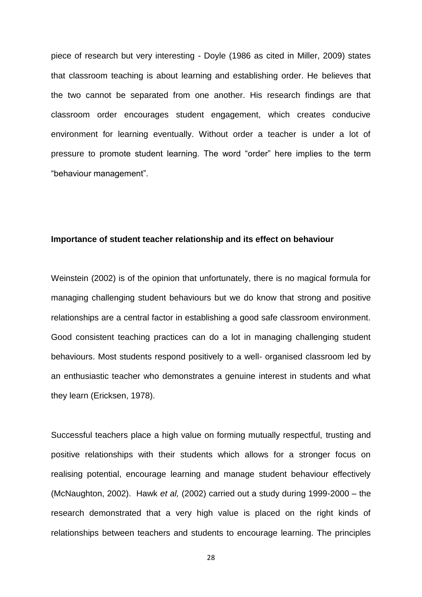piece of research but very interesting - Doyle (1986 as cited in Miller, 2009) states that classroom teaching is about learning and establishing order. He believes that the two cannot be separated from one another. His research findings are that classroom order encourages student engagement, which creates conducive environment for learning eventually. Without order a teacher is under a lot of pressure to promote student learning. The word "order" here implies to the term "behaviour management".

#### **Importance of student teacher relationship and its effect on behaviour**

Weinstein (2002) is of the opinion that unfortunately, there is no magical formula for managing challenging student behaviours but we do know that strong and positive relationships are a central factor in establishing a good safe classroom environment. Good consistent teaching practices can do a lot in managing challenging student behaviours. Most students respond positively to a well- organised classroom led by an enthusiastic teacher who demonstrates a genuine interest in students and what they learn (Ericksen, 1978).

Successful teachers place a high value on forming mutually respectful, trusting and positive relationships with their students which allows for a stronger focus on realising potential, encourage learning and manage student behaviour effectively (McNaughton, 2002). Hawk *et al,* (2002) carried out a study during 1999-2000 – the research demonstrated that a very high value is placed on the right kinds of relationships between teachers and students to encourage learning. The principles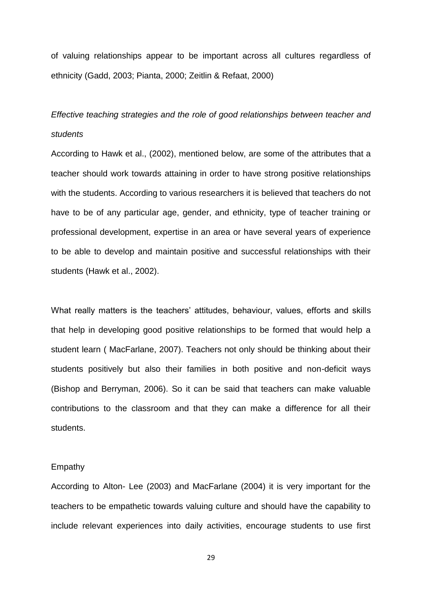of valuing relationships appear to be important across all cultures regardless of ethnicity (Gadd, 2003; Pianta, 2000; Zeitlin & Refaat, 2000)

## *Effective teaching strategies and the role of good relationships between teacher and students*

According to Hawk et al., (2002), mentioned below, are some of the attributes that a teacher should work towards attaining in order to have strong positive relationships with the students. According to various researchers it is believed that teachers do not have to be of any particular age, gender, and ethnicity, type of teacher training or professional development, expertise in an area or have several years of experience to be able to develop and maintain positive and successful relationships with their students (Hawk et al., 2002).

What really matters is the teachers' attitudes, behaviour, values, efforts and skills that help in developing good positive relationships to be formed that would help a student learn ( MacFarlane, 2007). Teachers not only should be thinking about their students positively but also their families in both positive and non-deficit ways (Bishop and Berryman, 2006). So it can be said that teachers can make valuable contributions to the classroom and that they can make a difference for all their students.

#### Empathy

According to Alton- Lee (2003) and MacFarlane (2004) it is very important for the teachers to be empathetic towards valuing culture and should have the capability to include relevant experiences into daily activities, encourage students to use first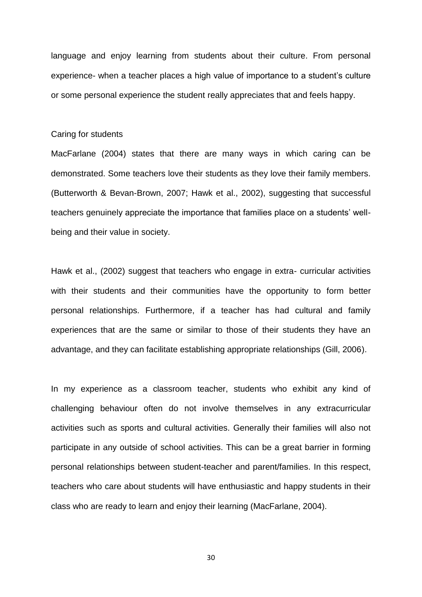language and enjoy learning from students about their culture. From personal experience- when a teacher places a high value of importance to a student's culture or some personal experience the student really appreciates that and feels happy.

#### Caring for students

MacFarlane (2004) states that there are many ways in which caring can be demonstrated. Some teachers love their students as they love their family members. (Butterworth & Bevan-Brown, 2007; Hawk et al., 2002), suggesting that successful teachers genuinely appreciate the importance that families place on a students' wellbeing and their value in society.

Hawk et al., (2002) suggest that teachers who engage in extra- curricular activities with their students and their communities have the opportunity to form better personal relationships. Furthermore, if a teacher has had cultural and family experiences that are the same or similar to those of their students they have an advantage, and they can facilitate establishing appropriate relationships (Gill, 2006).

In my experience as a classroom teacher, students who exhibit any kind of challenging behaviour often do not involve themselves in any extracurricular activities such as sports and cultural activities. Generally their families will also not participate in any outside of school activities. This can be a great barrier in forming personal relationships between student-teacher and parent/families. In this respect, teachers who care about students will have enthusiastic and happy students in their class who are ready to learn and enjoy their learning (MacFarlane, 2004).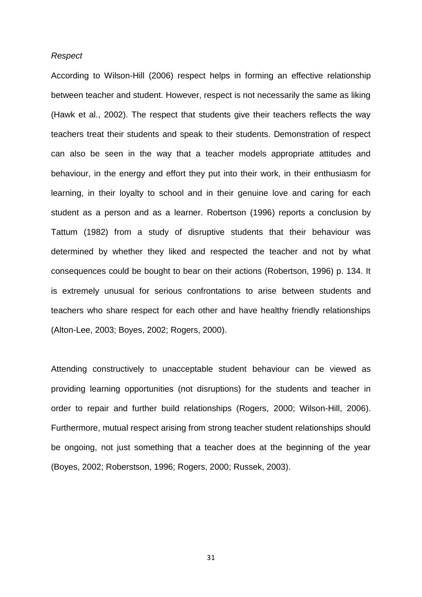#### *Respect*

According to Wilson-Hill (2006) respect helps in forming an effective relationship between teacher and student. However, respect is not necessarily the same as liking (Hawk et al., 2002). The respect that students give their teachers reflects the way teachers treat their students and speak to their students. Demonstration of respect can also be seen in the way that a teacher models appropriate attitudes and behaviour, in the energy and effort they put into their work, in their enthusiasm for learning, in their loyalty to school and in their genuine love and caring for each student as a person and as a learner. Robertson (1996) reports a conclusion by Tattum (1982) from a study of disruptive students that their behaviour was determined by whether they liked and respected the teacher and not by what consequences could be bought to bear on their actions (Robertson, 1996) p. 134. It is extremely unusual for serious confrontations to arise between students and teachers who share respect for each other and have healthy friendly relationships (Alton-Lee, 2003; Boyes, 2002; Rogers, 2000).

Attending constructively to unacceptable student behaviour can be viewed as providing learning opportunities (not disruptions) for the students and teacher in order to repair and further build relationships (Rogers, 2000; Wilson-Hill, 2006). Furthermore, mutual respect arising from strong teacher student relationships should be ongoing, not just something that a teacher does at the beginning of the year (Boyes, 2002; Roberstson, 1996; Rogers, 2000; Russek, 2003).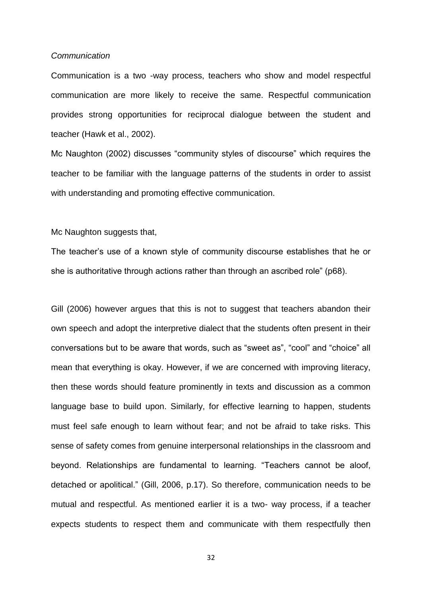#### *Communication*

Communication is a two -way process, teachers who show and model respectful communication are more likely to receive the same. Respectful communication provides strong opportunities for reciprocal dialogue between the student and teacher (Hawk et al., 2002).

Mc Naughton (2002) discusses "community styles of discourse" which requires the teacher to be familiar with the language patterns of the students in order to assist with understanding and promoting effective communication.

Mc Naughton suggests that,

The teacher's use of a known style of community discourse establishes that he or she is authoritative through actions rather than through an ascribed role" (p68).

Gill (2006) however argues that this is not to suggest that teachers abandon their own speech and adopt the interpretive dialect that the students often present in their conversations but to be aware that words, such as "sweet as", "cool" and "choice" all mean that everything is okay. However, if we are concerned with improving literacy, then these words should feature prominently in texts and discussion as a common language base to build upon. Similarly, for effective learning to happen, students must feel safe enough to learn without fear; and not be afraid to take risks. This sense of safety comes from genuine interpersonal relationships in the classroom and beyond. Relationships are fundamental to learning. "Teachers cannot be aloof, detached or apolitical." (Gill, 2006, p.17). So therefore, communication needs to be mutual and respectful. As mentioned earlier it is a two- way process, if a teacher expects students to respect them and communicate with them respectfully then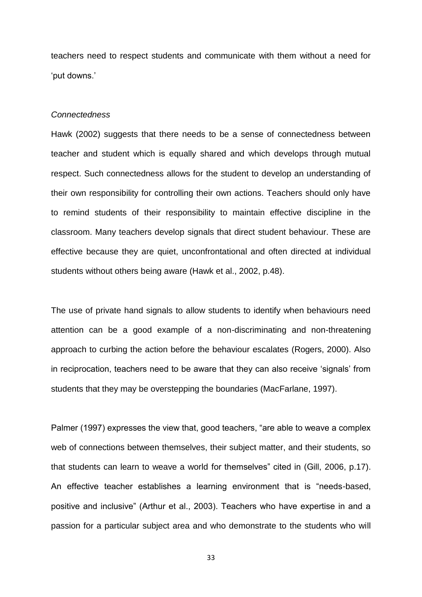teachers need to respect students and communicate with them without a need for 'put downs.'

#### *Connectedness*

Hawk (2002) suggests that there needs to be a sense of connectedness between teacher and student which is equally shared and which develops through mutual respect. Such connectedness allows for the student to develop an understanding of their own responsibility for controlling their own actions. Teachers should only have to remind students of their responsibility to maintain effective discipline in the classroom. Many teachers develop signals that direct student behaviour. These are effective because they are quiet, unconfrontational and often directed at individual students without others being aware (Hawk et al., 2002, p.48).

The use of private hand signals to allow students to identify when behaviours need attention can be a good example of a non-discriminating and non-threatening approach to curbing the action before the behaviour escalates (Rogers, 2000). Also in reciprocation, teachers need to be aware that they can also receive 'signals' from students that they may be overstepping the boundaries (MacFarlane, 1997).

Palmer (1997) expresses the view that, good teachers, "are able to weave a complex web of connections between themselves, their subject matter, and their students, so that students can learn to weave a world for themselves" cited in (Gill, 2006, p.17). An effective teacher establishes a learning environment that is "needs-based, positive and inclusive" (Arthur et al., 2003). Teachers who have expertise in and a passion for a particular subject area and who demonstrate to the students who will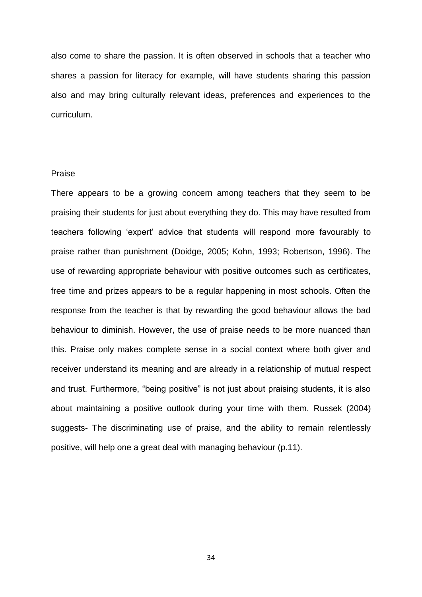also come to share the passion. It is often observed in schools that a teacher who shares a passion for literacy for example, will have students sharing this passion also and may bring culturally relevant ideas, preferences and experiences to the curriculum.

#### Praise

There appears to be a growing concern among teachers that they seem to be praising their students for just about everything they do. This may have resulted from teachers following 'expert' advice that students will respond more favourably to praise rather than punishment (Doidge, 2005; Kohn, 1993; Robertson, 1996). The use of rewarding appropriate behaviour with positive outcomes such as certificates, free time and prizes appears to be a regular happening in most schools. Often the response from the teacher is that by rewarding the good behaviour allows the bad behaviour to diminish. However, the use of praise needs to be more nuanced than this. Praise only makes complete sense in a social context where both giver and receiver understand its meaning and are already in a relationship of mutual respect and trust. Furthermore, "being positive" is not just about praising students, it is also about maintaining a positive outlook during your time with them. Russek (2004) suggests- The discriminating use of praise, and the ability to remain relentlessly positive, will help one a great deal with managing behaviour (p.11).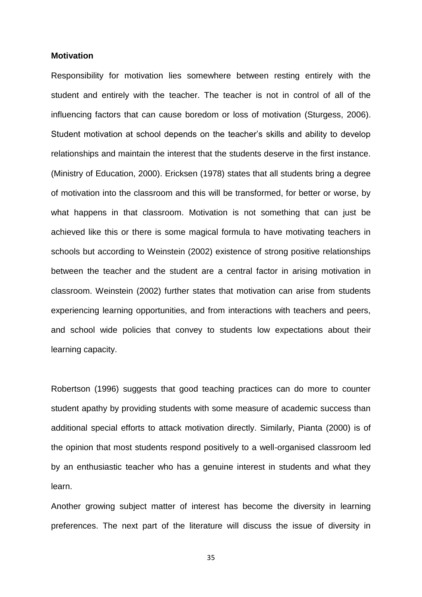#### **Motivation**

Responsibility for motivation lies somewhere between resting entirely with the student and entirely with the teacher. The teacher is not in control of all of the influencing factors that can cause boredom or loss of motivation (Sturgess, 2006). Student motivation at school depends on the teacher's skills and ability to develop relationships and maintain the interest that the students deserve in the first instance. (Ministry of Education, 2000). Ericksen (1978) states that all students bring a degree of motivation into the classroom and this will be transformed, for better or worse, by what happens in that classroom. Motivation is not something that can just be achieved like this or there is some magical formula to have motivating teachers in schools but according to Weinstein (2002) existence of strong positive relationships between the teacher and the student are a central factor in arising motivation in classroom. Weinstein (2002) further states that motivation can arise from students experiencing learning opportunities, and from interactions with teachers and peers, and school wide policies that convey to students low expectations about their learning capacity.

Robertson (1996) suggests that good teaching practices can do more to counter student apathy by providing students with some measure of academic success than additional special efforts to attack motivation directly. Similarly, Pianta (2000) is of the opinion that most students respond positively to a well-organised classroom led by an enthusiastic teacher who has a genuine interest in students and what they learn.

Another growing subject matter of interest has become the diversity in learning preferences. The next part of the literature will discuss the issue of diversity in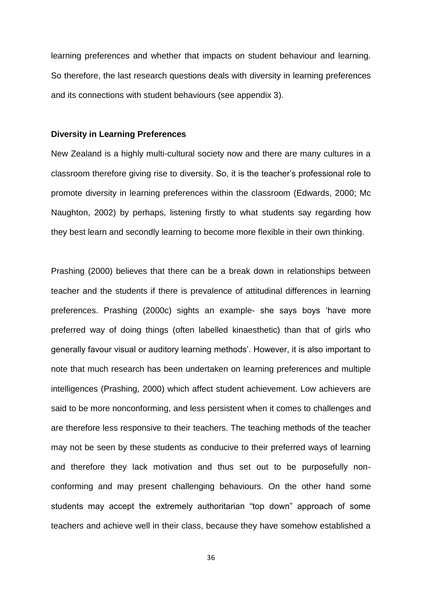learning preferences and whether that impacts on student behaviour and learning. So therefore, the last research questions deals with diversity in learning preferences and its connections with student behaviours (see appendix 3).

#### **Diversity in Learning Preferences**

New Zealand is a highly multi-cultural society now and there are many cultures in a classroom therefore giving rise to diversity. So, it is the teacher's professional role to promote diversity in learning preferences within the classroom (Edwards, 2000; Mc Naughton, 2002) by perhaps, listening firstly to what students say regarding how they best learn and secondly learning to become more flexible in their own thinking.

Prashing (2000) believes that there can be a break down in relationships between teacher and the students if there is prevalence of attitudinal differences in learning preferences. Prashing (2000c) sights an example- she says boys 'have more preferred way of doing things (often labelled kinaesthetic) than that of girls who generally favour visual or auditory learning methods'. However, it is also important to note that much research has been undertaken on learning preferences and multiple intelligences (Prashing, 2000) which affect student achievement. Low achievers are said to be more nonconforming, and less persistent when it comes to challenges and are therefore less responsive to their teachers. The teaching methods of the teacher may not be seen by these students as conducive to their preferred ways of learning and therefore they lack motivation and thus set out to be purposefully nonconforming and may present challenging behaviours. On the other hand some students may accept the extremely authoritarian "top down" approach of some teachers and achieve well in their class, because they have somehow established a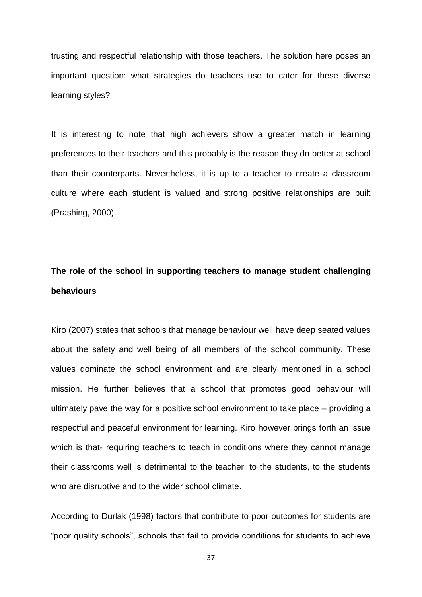trusting and respectful relationship with those teachers. The solution here poses an important question: what strategies do teachers use to cater for these diverse learning styles?

It is interesting to note that high achievers show a greater match in learning preferences to their teachers and this probably is the reason they do better at school than their counterparts. Nevertheless, it is up to a teacher to create a classroom culture where each student is valued and strong positive relationships are built (Prashing, 2000).

# **The role of the school in supporting teachers to manage student challenging behaviours**

Kiro (2007) states that schools that manage behaviour well have deep seated values about the safety and well being of all members of the school community. These values dominate the school environment and are clearly mentioned in a school mission. He further believes that a school that promotes good behaviour will ultimately pave the way for a positive school environment to take place – providing a respectful and peaceful environment for learning. Kiro however brings forth an issue which is that- requiring teachers to teach in conditions where they cannot manage their classrooms well is detrimental to the teacher, to the students, to the students who are disruptive and to the wider school climate.

According to Durlak (1998) factors that contribute to poor outcomes for students are "poor quality schools", schools that fail to provide conditions for students to achieve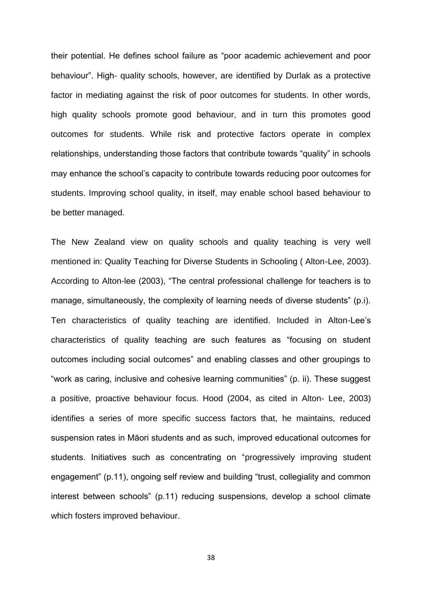their potential. He defines school failure as "poor academic achievement and poor behaviour". High- quality schools, however, are identified by Durlak as a protective factor in mediating against the risk of poor outcomes for students. In other words, high quality schools promote good behaviour, and in turn this promotes good outcomes for students. While risk and protective factors operate in complex relationships, understanding those factors that contribute towards "quality" in schools may enhance the school's capacity to contribute towards reducing poor outcomes for students. Improving school quality, in itself, may enable school based behaviour to be better managed.

The New Zealand view on quality schools and quality teaching is very well mentioned in: Quality Teaching for Diverse Students in Schooling ( Alton-Lee, 2003). According to Alton-lee (2003), "The central professional challenge for teachers is to manage, simultaneously, the complexity of learning needs of diverse students" (p.i). Ten characteristics of quality teaching are identified. Included in Alton-Lee's characteristics of quality teaching are such features as "focusing on student outcomes including social outcomes" and enabling classes and other groupings to "work as caring, inclusive and cohesive learning communities" (p. ii). These suggest a positive, proactive behaviour focus. Hood (2004, as cited in Alton- Lee, 2003) identifies a series of more specific success factors that, he maintains, reduced suspension rates in Māori students and as such, improved educational outcomes for students. Initiatives such as concentrating on "progressively improving student engagement" (p.11), ongoing self review and building "trust, collegiality and common interest between schools" (p.11) reducing suspensions, develop a school climate which fosters improved behaviour.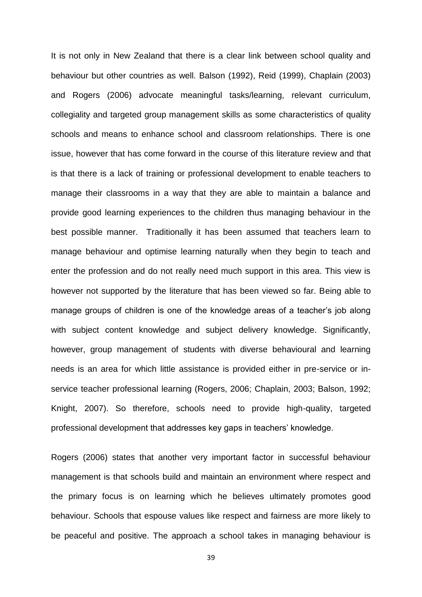It is not only in New Zealand that there is a clear link between school quality and behaviour but other countries as well. Balson (1992), Reid (1999), Chaplain (2003) and Rogers (2006) advocate meaningful tasks/learning, relevant curriculum, collegiality and targeted group management skills as some characteristics of quality schools and means to enhance school and classroom relationships. There is one issue, however that has come forward in the course of this literature review and that is that there is a lack of training or professional development to enable teachers to manage their classrooms in a way that they are able to maintain a balance and provide good learning experiences to the children thus managing behaviour in the best possible manner. Traditionally it has been assumed that teachers learn to manage behaviour and optimise learning naturally when they begin to teach and enter the profession and do not really need much support in this area. This view is however not supported by the literature that has been viewed so far. Being able to manage groups of children is one of the knowledge areas of a teacher's job along with subject content knowledge and subject delivery knowledge. Significantly, however, group management of students with diverse behavioural and learning needs is an area for which little assistance is provided either in pre-service or inservice teacher professional learning (Rogers, 2006; Chaplain, 2003; Balson, 1992; Knight, 2007). So therefore, schools need to provide high-quality, targeted professional development that addresses key gaps in teachers' knowledge.

Rogers (2006) states that another very important factor in successful behaviour management is that schools build and maintain an environment where respect and the primary focus is on learning which he believes ultimately promotes good behaviour. Schools that espouse values like respect and fairness are more likely to be peaceful and positive. The approach a school takes in managing behaviour is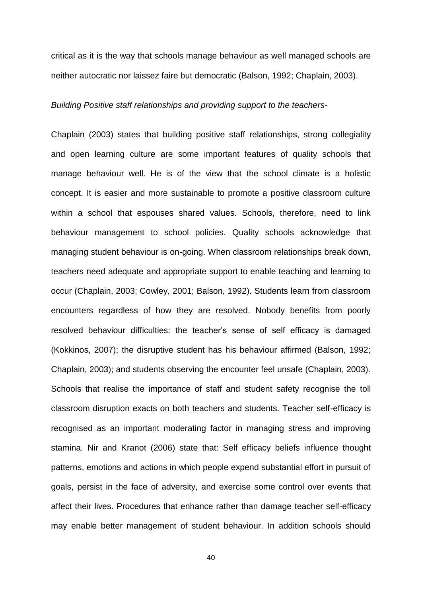critical as it is the way that schools manage behaviour as well managed schools are neither autocratic nor laissez faire but democratic (Balson, 1992; Chaplain, 2003).

#### *Building Positive staff relationships and providing support to the teachers*-

Chaplain (2003) states that building positive staff relationships, strong collegiality and open learning culture are some important features of quality schools that manage behaviour well. He is of the view that the school climate is a holistic concept. It is easier and more sustainable to promote a positive classroom culture within a school that espouses shared values. Schools, therefore, need to link behaviour management to school policies. Quality schools acknowledge that managing student behaviour is on-going. When classroom relationships break down, teachers need adequate and appropriate support to enable teaching and learning to occur (Chaplain, 2003; Cowley, 2001; Balson, 1992). Students learn from classroom encounters regardless of how they are resolved. Nobody benefits from poorly resolved behaviour difficulties: the teacher's sense of self efficacy is damaged (Kokkinos, 2007); the disruptive student has his behaviour affirmed (Balson, 1992; Chaplain, 2003); and students observing the encounter feel unsafe (Chaplain, 2003). Schools that realise the importance of staff and student safety recognise the toll classroom disruption exacts on both teachers and students. Teacher self-efficacy is recognised as an important moderating factor in managing stress and improving stamina. Nir and Kranot (2006) state that: Self efficacy beliefs influence thought patterns, emotions and actions in which people expend substantial effort in pursuit of goals, persist in the face of adversity, and exercise some control over events that affect their lives. Procedures that enhance rather than damage teacher self-efficacy may enable better management of student behaviour. In addition schools should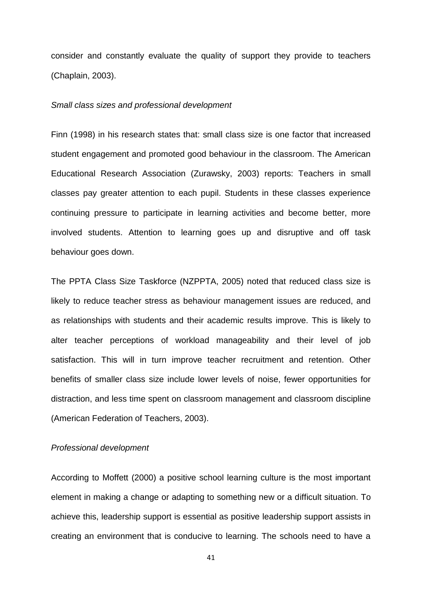consider and constantly evaluate the quality of support they provide to teachers (Chaplain, 2003).

#### *Small class sizes and professional development*

Finn (1998) in his research states that: small class size is one factor that increased student engagement and promoted good behaviour in the classroom. The American Educational Research Association (Zurawsky, 2003) reports: Teachers in small classes pay greater attention to each pupil. Students in these classes experience continuing pressure to participate in learning activities and become better, more involved students. Attention to learning goes up and disruptive and off task behaviour goes down.

The PPTA Class Size Taskforce (NZPPTA, 2005) noted that reduced class size is likely to reduce teacher stress as behaviour management issues are reduced, and as relationships with students and their academic results improve. This is likely to alter teacher perceptions of workload manageability and their level of job satisfaction. This will in turn improve teacher recruitment and retention. Other benefits of smaller class size include lower levels of noise, fewer opportunities for distraction, and less time spent on classroom management and classroom discipline (American Federation of Teachers, 2003).

#### *Professional development*

According to Moffett (2000) a positive school learning culture is the most important element in making a change or adapting to something new or a difficult situation. To achieve this, leadership support is essential as positive leadership support assists in creating an environment that is conducive to learning. The schools need to have a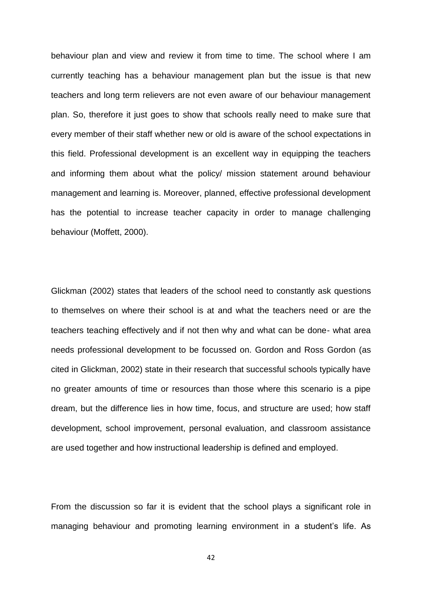behaviour plan and view and review it from time to time. The school where I am currently teaching has a behaviour management plan but the issue is that new teachers and long term relievers are not even aware of our behaviour management plan. So, therefore it just goes to show that schools really need to make sure that every member of their staff whether new or old is aware of the school expectations in this field. Professional development is an excellent way in equipping the teachers and informing them about what the policy/ mission statement around behaviour management and learning is. Moreover, planned, effective professional development has the potential to increase teacher capacity in order to manage challenging behaviour (Moffett, 2000).

Glickman (2002) states that leaders of the school need to constantly ask questions to themselves on where their school is at and what the teachers need or are the teachers teaching effectively and if not then why and what can be done- what area needs professional development to be focussed on. Gordon and Ross Gordon (as cited in Glickman, 2002) state in their research that successful schools typically have no greater amounts of time or resources than those where this scenario is a pipe dream, but the difference lies in how time, focus, and structure are used; how staff development, school improvement, personal evaluation, and classroom assistance are used together and how instructional leadership is defined and employed.

From the discussion so far it is evident that the school plays a significant role in managing behaviour and promoting learning environment in a student's life. As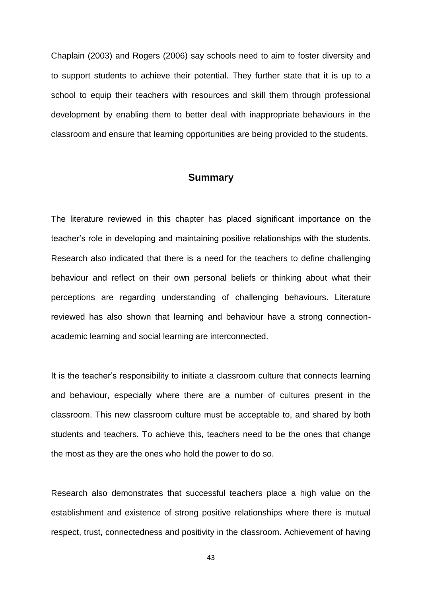Chaplain (2003) and Rogers (2006) say schools need to aim to foster diversity and to support students to achieve their potential. They further state that it is up to a school to equip their teachers with resources and skill them through professional development by enabling them to better deal with inappropriate behaviours in the classroom and ensure that learning opportunities are being provided to the students.

# **Summary**

The literature reviewed in this chapter has placed significant importance on the teacher's role in developing and maintaining positive relationships with the students. Research also indicated that there is a need for the teachers to define challenging behaviour and reflect on their own personal beliefs or thinking about what their perceptions are regarding understanding of challenging behaviours. Literature reviewed has also shown that learning and behaviour have a strong connectionacademic learning and social learning are interconnected.

It is the teacher's responsibility to initiate a classroom culture that connects learning and behaviour, especially where there are a number of cultures present in the classroom. This new classroom culture must be acceptable to, and shared by both students and teachers. To achieve this, teachers need to be the ones that change the most as they are the ones who hold the power to do so.

Research also demonstrates that successful teachers place a high value on the establishment and existence of strong positive relationships where there is mutual respect, trust, connectedness and positivity in the classroom. Achievement of having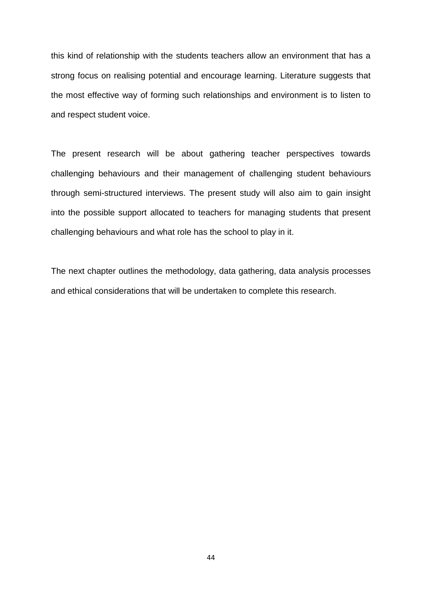this kind of relationship with the students teachers allow an environment that has a strong focus on realising potential and encourage learning. Literature suggests that the most effective way of forming such relationships and environment is to listen to and respect student voice.

The present research will be about gathering teacher perspectives towards challenging behaviours and their management of challenging student behaviours through semi-structured interviews. The present study will also aim to gain insight into the possible support allocated to teachers for managing students that present challenging behaviours and what role has the school to play in it.

The next chapter outlines the methodology, data gathering, data analysis processes and ethical considerations that will be undertaken to complete this research.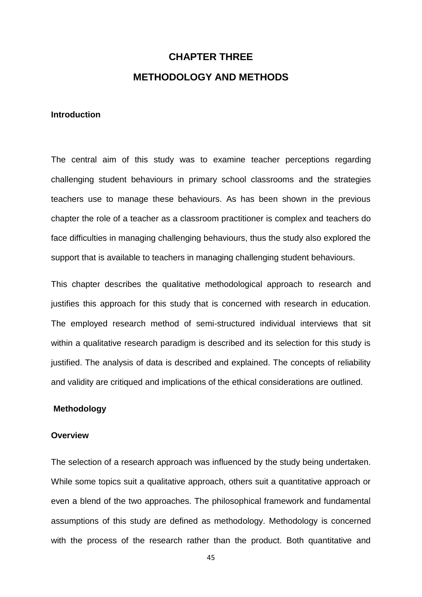# **CHAPTER THREE METHODOLOGY AND METHODS**

## **Introduction**

The central aim of this study was to examine teacher perceptions regarding challenging student behaviours in primary school classrooms and the strategies teachers use to manage these behaviours. As has been shown in the previous chapter the role of a teacher as a classroom practitioner is complex and teachers do face difficulties in managing challenging behaviours, thus the study also explored the support that is available to teachers in managing challenging student behaviours.

This chapter describes the qualitative methodological approach to research and justifies this approach for this study that is concerned with research in education. The employed research method of semi-structured individual interviews that sit within a qualitative research paradigm is described and its selection for this study is justified. The analysis of data is described and explained. The concepts of reliability and validity are critiqued and implications of the ethical considerations are outlined.

#### **Methodology**

#### **Overview**

The selection of a research approach was influenced by the study being undertaken. While some topics suit a qualitative approach, others suit a quantitative approach or even a blend of the two approaches. The philosophical framework and fundamental assumptions of this study are defined as methodology. Methodology is concerned with the process of the research rather than the product. Both quantitative and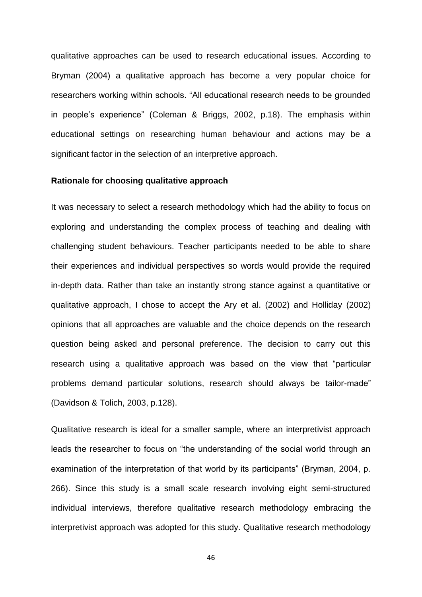qualitative approaches can be used to research educational issues. According to Bryman (2004) a qualitative approach has become a very popular choice for researchers working within schools. "All educational research needs to be grounded in people's experience" (Coleman & Briggs, 2002, p.18). The emphasis within educational settings on researching human behaviour and actions may be a significant factor in the selection of an interpretive approach.

#### **Rationale for choosing qualitative approach**

It was necessary to select a research methodology which had the ability to focus on exploring and understanding the complex process of teaching and dealing with challenging student behaviours. Teacher participants needed to be able to share their experiences and individual perspectives so words would provide the required in-depth data. Rather than take an instantly strong stance against a quantitative or qualitative approach, I chose to accept the Ary et al. (2002) and Holliday (2002) opinions that all approaches are valuable and the choice depends on the research question being asked and personal preference. The decision to carry out this research using a qualitative approach was based on the view that "particular problems demand particular solutions, research should always be tailor-made" (Davidson & Tolich, 2003, p.128).

Qualitative research is ideal for a smaller sample, where an interpretivist approach leads the researcher to focus on "the understanding of the social world through an examination of the interpretation of that world by its participants" (Bryman, 2004, p. 266). Since this study is a small scale research involving eight semi-structured individual interviews, therefore qualitative research methodology embracing the interpretivist approach was adopted for this study. Qualitative research methodology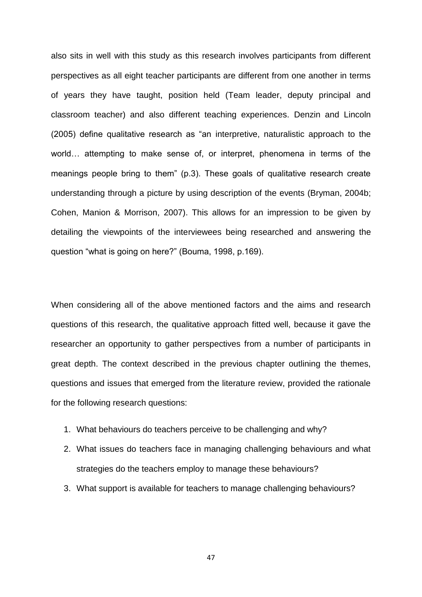also sits in well with this study as this research involves participants from different perspectives as all eight teacher participants are different from one another in terms of years they have taught, position held (Team leader, deputy principal and classroom teacher) and also different teaching experiences. Denzin and Lincoln (2005) define qualitative research as "an interpretive, naturalistic approach to the world… attempting to make sense of, or interpret, phenomena in terms of the meanings people bring to them" (p.3). These goals of qualitative research create understanding through a picture by using description of the events (Bryman, 2004b; Cohen, Manion & Morrison, 2007). This allows for an impression to be given by detailing the viewpoints of the interviewees being researched and answering the question "what is going on here?" (Bouma, 1998, p.169).

When considering all of the above mentioned factors and the aims and research questions of this research, the qualitative approach fitted well, because it gave the researcher an opportunity to gather perspectives from a number of participants in great depth. The context described in the previous chapter outlining the themes, questions and issues that emerged from the literature review, provided the rationale for the following research questions:

- 1. What behaviours do teachers perceive to be challenging and why?
- 2. What issues do teachers face in managing challenging behaviours and what strategies do the teachers employ to manage these behaviours?
- 3. What support is available for teachers to manage challenging behaviours?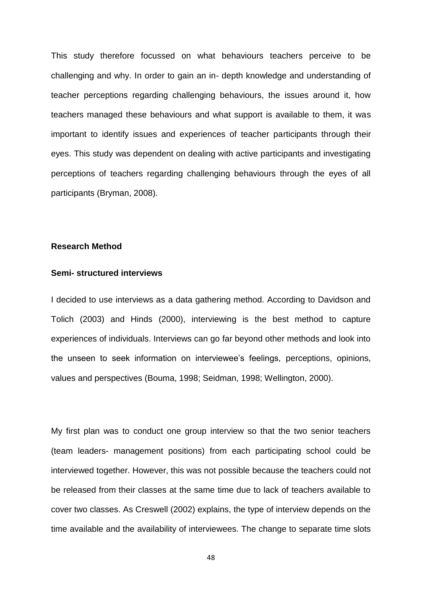This study therefore focussed on what behaviours teachers perceive to be challenging and why. In order to gain an in- depth knowledge and understanding of teacher perceptions regarding challenging behaviours, the issues around it, how teachers managed these behaviours and what support is available to them, it was important to identify issues and experiences of teacher participants through their eyes. This study was dependent on dealing with active participants and investigating perceptions of teachers regarding challenging behaviours through the eyes of all participants (Bryman, 2008).

#### **Research Method**

### **Semi- structured interviews**

I decided to use interviews as a data gathering method. According to Davidson and Tolich (2003) and Hinds (2000), interviewing is the best method to capture experiences of individuals. Interviews can go far beyond other methods and look into the unseen to seek information on interviewee's feelings, perceptions, opinions, values and perspectives (Bouma, 1998; Seidman, 1998; Wellington, 2000).

My first plan was to conduct one group interview so that the two senior teachers (team leaders- management positions) from each participating school could be interviewed together. However, this was not possible because the teachers could not be released from their classes at the same time due to lack of teachers available to cover two classes. As Creswell (2002) explains, the type of interview depends on the time available and the availability of interviewees. The change to separate time slots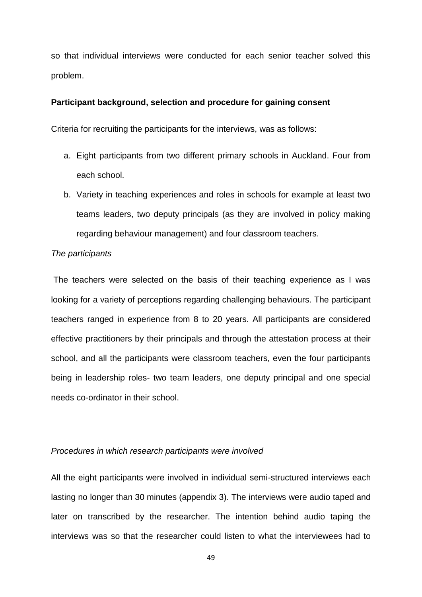so that individual interviews were conducted for each senior teacher solved this problem.

## **Participant background, selection and procedure for gaining consent**

Criteria for recruiting the participants for the interviews, was as follows:

- a. Eight participants from two different primary schools in Auckland. Four from each school.
- b. Variety in teaching experiences and roles in schools for example at least two teams leaders, two deputy principals (as they are involved in policy making regarding behaviour management) and four classroom teachers.

## *The participants*

The teachers were selected on the basis of their teaching experience as I was looking for a variety of perceptions regarding challenging behaviours. The participant teachers ranged in experience from 8 to 20 years. All participants are considered effective practitioners by their principals and through the attestation process at their school, and all the participants were classroom teachers, even the four participants being in leadership roles- two team leaders, one deputy principal and one special needs co-ordinator in their school.

#### *Procedures in which research participants were involved*

All the eight participants were involved in individual semi-structured interviews each lasting no longer than 30 minutes (appendix 3). The interviews were audio taped and later on transcribed by the researcher. The intention behind audio taping the interviews was so that the researcher could listen to what the interviewees had to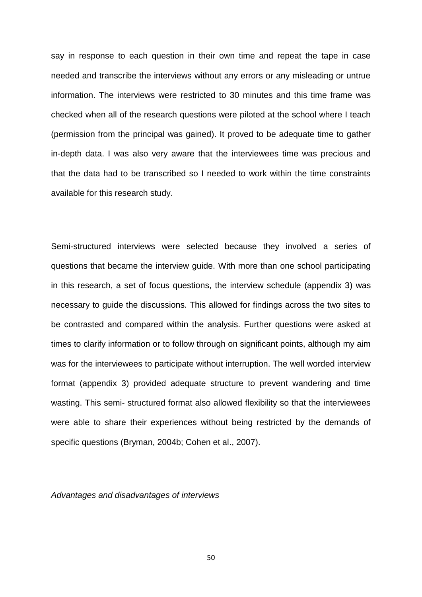say in response to each question in their own time and repeat the tape in case needed and transcribe the interviews without any errors or any misleading or untrue information. The interviews were restricted to 30 minutes and this time frame was checked when all of the research questions were piloted at the school where I teach (permission from the principal was gained). It proved to be adequate time to gather in-depth data. I was also very aware that the interviewees time was precious and that the data had to be transcribed so I needed to work within the time constraints available for this research study.

Semi-structured interviews were selected because they involved a series of questions that became the interview guide. With more than one school participating in this research, a set of focus questions, the interview schedule (appendix 3) was necessary to guide the discussions. This allowed for findings across the two sites to be contrasted and compared within the analysis. Further questions were asked at times to clarify information or to follow through on significant points, although my aim was for the interviewees to participate without interruption. The well worded interview format (appendix 3) provided adequate structure to prevent wandering and time wasting. This semi- structured format also allowed flexibility so that the interviewees were able to share their experiences without being restricted by the demands of specific questions (Bryman, 2004b; Cohen et al., 2007).

*Advantages and disadvantages of interviews*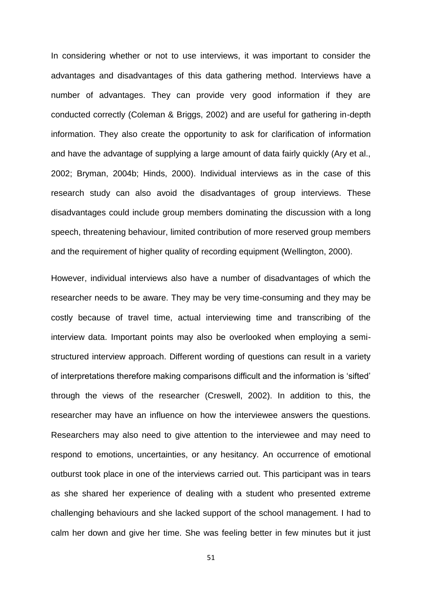In considering whether or not to use interviews, it was important to consider the advantages and disadvantages of this data gathering method. Interviews have a number of advantages. They can provide very good information if they are conducted correctly (Coleman & Briggs, 2002) and are useful for gathering in-depth information. They also create the opportunity to ask for clarification of information and have the advantage of supplying a large amount of data fairly quickly (Ary et al., 2002; Bryman, 2004b; Hinds, 2000). Individual interviews as in the case of this research study can also avoid the disadvantages of group interviews. These disadvantages could include group members dominating the discussion with a long speech, threatening behaviour, limited contribution of more reserved group members and the requirement of higher quality of recording equipment (Wellington, 2000).

However, individual interviews also have a number of disadvantages of which the researcher needs to be aware. They may be very time-consuming and they may be costly because of travel time, actual interviewing time and transcribing of the interview data. Important points may also be overlooked when employing a semistructured interview approach. Different wording of questions can result in a variety of interpretations therefore making comparisons difficult and the information is 'sifted' through the views of the researcher (Creswell, 2002). In addition to this, the researcher may have an influence on how the interviewee answers the questions. Researchers may also need to give attention to the interviewee and may need to respond to emotions, uncertainties, or any hesitancy. An occurrence of emotional outburst took place in one of the interviews carried out. This participant was in tears as she shared her experience of dealing with a student who presented extreme challenging behaviours and she lacked support of the school management. I had to calm her down and give her time. She was feeling better in few minutes but it just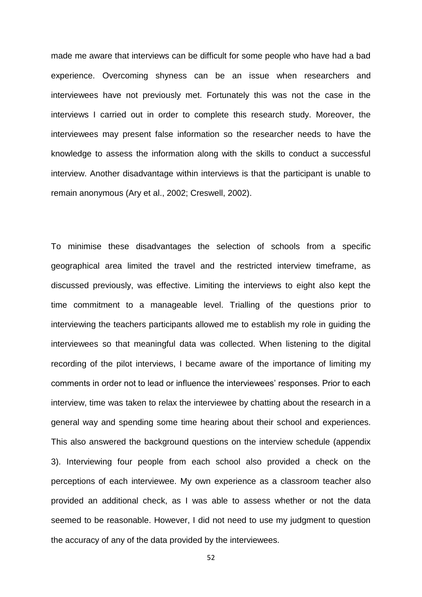made me aware that interviews can be difficult for some people who have had a bad experience. Overcoming shyness can be an issue when researchers and interviewees have not previously met. Fortunately this was not the case in the interviews I carried out in order to complete this research study. Moreover, the interviewees may present false information so the researcher needs to have the knowledge to assess the information along with the skills to conduct a successful interview. Another disadvantage within interviews is that the participant is unable to remain anonymous (Ary et al., 2002; Creswell, 2002).

To minimise these disadvantages the selection of schools from a specific geographical area limited the travel and the restricted interview timeframe, as discussed previously, was effective. Limiting the interviews to eight also kept the time commitment to a manageable level. Trialling of the questions prior to interviewing the teachers participants allowed me to establish my role in guiding the interviewees so that meaningful data was collected. When listening to the digital recording of the pilot interviews, I became aware of the importance of limiting my comments in order not to lead or influence the interviewees' responses. Prior to each interview, time was taken to relax the interviewee by chatting about the research in a general way and spending some time hearing about their school and experiences. This also answered the background questions on the interview schedule (appendix 3). Interviewing four people from each school also provided a check on the perceptions of each interviewee. My own experience as a classroom teacher also provided an additional check, as I was able to assess whether or not the data seemed to be reasonable. However, I did not need to use my judgment to question the accuracy of any of the data provided by the interviewees.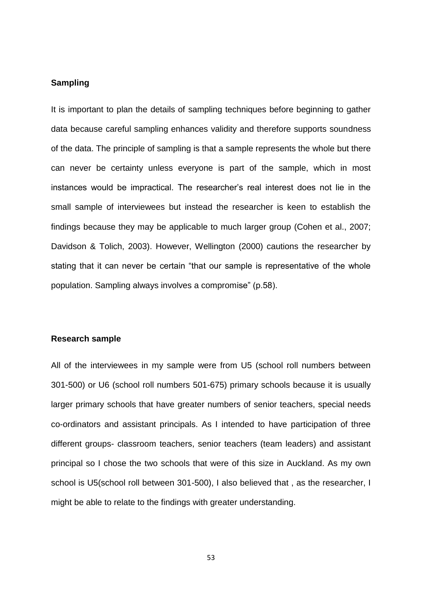## **Sampling**

It is important to plan the details of sampling techniques before beginning to gather data because careful sampling enhances validity and therefore supports soundness of the data. The principle of sampling is that a sample represents the whole but there can never be certainty unless everyone is part of the sample, which in most instances would be impractical. The researcher's real interest does not lie in the small sample of interviewees but instead the researcher is keen to establish the findings because they may be applicable to much larger group (Cohen et al., 2007; Davidson & Tolich, 2003). However, Wellington (2000) cautions the researcher by stating that it can never be certain "that our sample is representative of the whole population. Sampling always involves a compromise" (p.58).

## **Research sample**

All of the interviewees in my sample were from U5 (school roll numbers between 301-500) or U6 (school roll numbers 501-675) primary schools because it is usually larger primary schools that have greater numbers of senior teachers, special needs co-ordinators and assistant principals. As I intended to have participation of three different groups- classroom teachers, senior teachers (team leaders) and assistant principal so I chose the two schools that were of this size in Auckland. As my own school is U5(school roll between 301-500), I also believed that , as the researcher, I might be able to relate to the findings with greater understanding.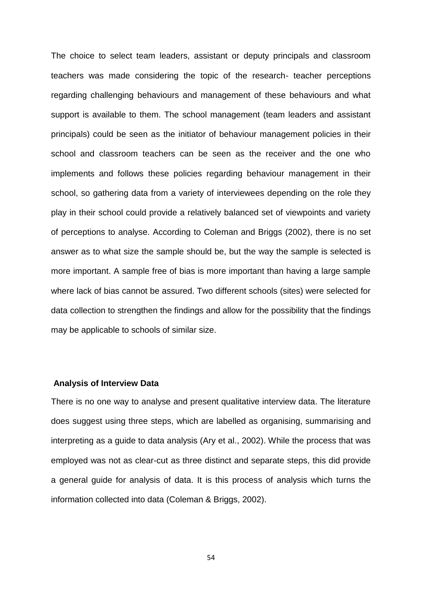The choice to select team leaders, assistant or deputy principals and classroom teachers was made considering the topic of the research- teacher perceptions regarding challenging behaviours and management of these behaviours and what support is available to them. The school management (team leaders and assistant principals) could be seen as the initiator of behaviour management policies in their school and classroom teachers can be seen as the receiver and the one who implements and follows these policies regarding behaviour management in their school, so gathering data from a variety of interviewees depending on the role they play in their school could provide a relatively balanced set of viewpoints and variety of perceptions to analyse. According to Coleman and Briggs (2002), there is no set answer as to what size the sample should be, but the way the sample is selected is more important. A sample free of bias is more important than having a large sample where lack of bias cannot be assured. Two different schools (sites) were selected for data collection to strengthen the findings and allow for the possibility that the findings may be applicable to schools of similar size.

#### **Analysis of Interview Data**

There is no one way to analyse and present qualitative interview data. The literature does suggest using three steps, which are labelled as organising, summarising and interpreting as a guide to data analysis (Ary et al., 2002). While the process that was employed was not as clear-cut as three distinct and separate steps, this did provide a general guide for analysis of data. It is this process of analysis which turns the information collected into data (Coleman & Briggs, 2002).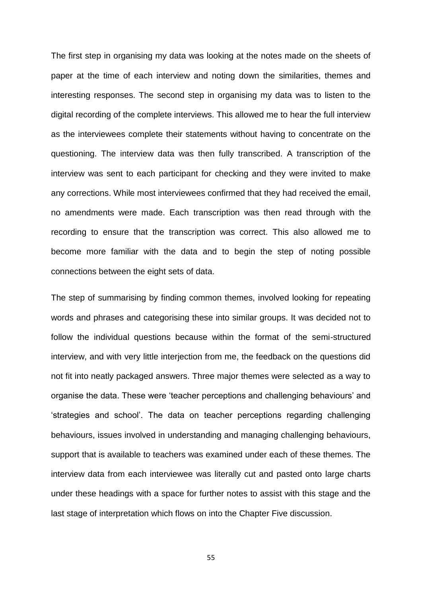The first step in organising my data was looking at the notes made on the sheets of paper at the time of each interview and noting down the similarities, themes and interesting responses. The second step in organising my data was to listen to the digital recording of the complete interviews. This allowed me to hear the full interview as the interviewees complete their statements without having to concentrate on the questioning. The interview data was then fully transcribed. A transcription of the interview was sent to each participant for checking and they were invited to make any corrections. While most interviewees confirmed that they had received the email, no amendments were made. Each transcription was then read through with the recording to ensure that the transcription was correct. This also allowed me to become more familiar with the data and to begin the step of noting possible connections between the eight sets of data.

The step of summarising by finding common themes, involved looking for repeating words and phrases and categorising these into similar groups. It was decided not to follow the individual questions because within the format of the semi-structured interview, and with very little interjection from me, the feedback on the questions did not fit into neatly packaged answers. Three major themes were selected as a way to organise the data. These were 'teacher perceptions and challenging behaviours' and 'strategies and school'. The data on teacher perceptions regarding challenging behaviours, issues involved in understanding and managing challenging behaviours, support that is available to teachers was examined under each of these themes. The interview data from each interviewee was literally cut and pasted onto large charts under these headings with a space for further notes to assist with this stage and the last stage of interpretation which flows on into the Chapter Five discussion.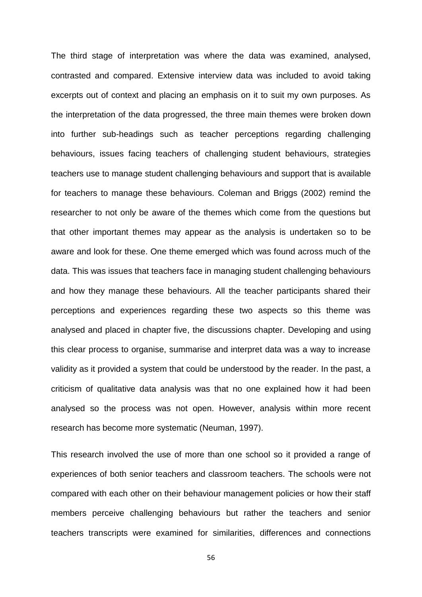The third stage of interpretation was where the data was examined, analysed, contrasted and compared. Extensive interview data was included to avoid taking excerpts out of context and placing an emphasis on it to suit my own purposes. As the interpretation of the data progressed, the three main themes were broken down into further sub-headings such as teacher perceptions regarding challenging behaviours, issues facing teachers of challenging student behaviours, strategies teachers use to manage student challenging behaviours and support that is available for teachers to manage these behaviours. Coleman and Briggs (2002) remind the researcher to not only be aware of the themes which come from the questions but that other important themes may appear as the analysis is undertaken so to be aware and look for these. One theme emerged which was found across much of the data. This was issues that teachers face in managing student challenging behaviours and how they manage these behaviours. All the teacher participants shared their perceptions and experiences regarding these two aspects so this theme was analysed and placed in chapter five, the discussions chapter. Developing and using this clear process to organise, summarise and interpret data was a way to increase validity as it provided a system that could be understood by the reader. In the past, a criticism of qualitative data analysis was that no one explained how it had been analysed so the process was not open. However, analysis within more recent research has become more systematic (Neuman, 1997).

This research involved the use of more than one school so it provided a range of experiences of both senior teachers and classroom teachers. The schools were not compared with each other on their behaviour management policies or how their staff members perceive challenging behaviours but rather the teachers and senior teachers transcripts were examined for similarities, differences and connections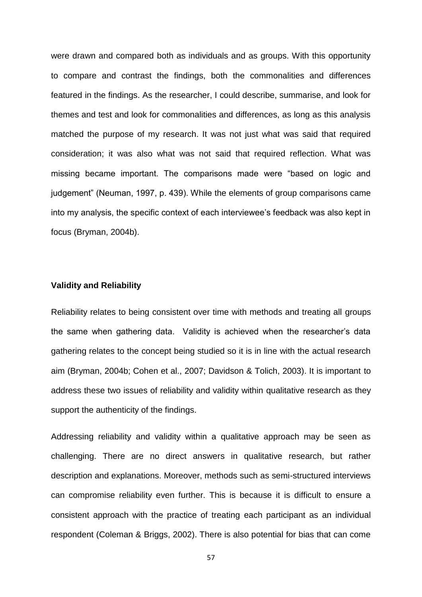were drawn and compared both as individuals and as groups. With this opportunity to compare and contrast the findings, both the commonalities and differences featured in the findings. As the researcher, I could describe, summarise, and look for themes and test and look for commonalities and differences, as long as this analysis matched the purpose of my research. It was not just what was said that required consideration; it was also what was not said that required reflection. What was missing became important. The comparisons made were "based on logic and judgement" (Neuman, 1997, p. 439). While the elements of group comparisons came into my analysis, the specific context of each interviewee's feedback was also kept in focus (Bryman, 2004b).

## **Validity and Reliability**

Reliability relates to being consistent over time with methods and treating all groups the same when gathering data. Validity is achieved when the researcher's data gathering relates to the concept being studied so it is in line with the actual research aim (Bryman, 2004b; Cohen et al., 2007; Davidson & Tolich, 2003). It is important to address these two issues of reliability and validity within qualitative research as they support the authenticity of the findings.

Addressing reliability and validity within a qualitative approach may be seen as challenging. There are no direct answers in qualitative research, but rather description and explanations. Moreover, methods such as semi-structured interviews can compromise reliability even further. This is because it is difficult to ensure a consistent approach with the practice of treating each participant as an individual respondent (Coleman & Briggs, 2002). There is also potential for bias that can come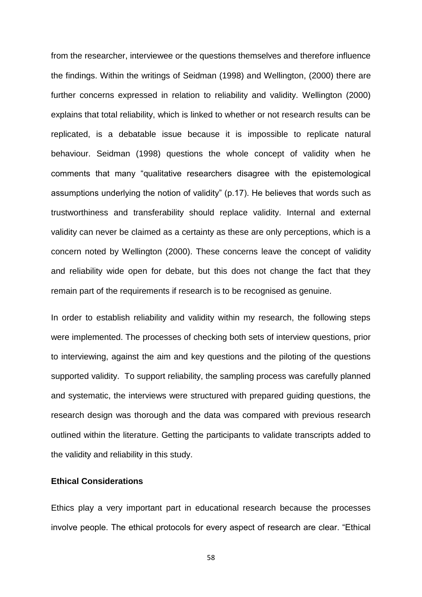from the researcher, interviewee or the questions themselves and therefore influence the findings. Within the writings of Seidman (1998) and Wellington, (2000) there are further concerns expressed in relation to reliability and validity. Wellington (2000) explains that total reliability, which is linked to whether or not research results can be replicated, is a debatable issue because it is impossible to replicate natural behaviour. Seidman (1998) questions the whole concept of validity when he comments that many "qualitative researchers disagree with the epistemological assumptions underlying the notion of validity" (p.17). He believes that words such as trustworthiness and transferability should replace validity. Internal and external validity can never be claimed as a certainty as these are only perceptions, which is a concern noted by Wellington (2000). These concerns leave the concept of validity and reliability wide open for debate, but this does not change the fact that they remain part of the requirements if research is to be recognised as genuine.

In order to establish reliability and validity within my research, the following steps were implemented. The processes of checking both sets of interview questions, prior to interviewing, against the aim and key questions and the piloting of the questions supported validity. To support reliability, the sampling process was carefully planned and systematic, the interviews were structured with prepared guiding questions, the research design was thorough and the data was compared with previous research outlined within the literature. Getting the participants to validate transcripts added to the validity and reliability in this study.

## **Ethical Considerations**

Ethics play a very important part in educational research because the processes involve people. The ethical protocols for every aspect of research are clear. "Ethical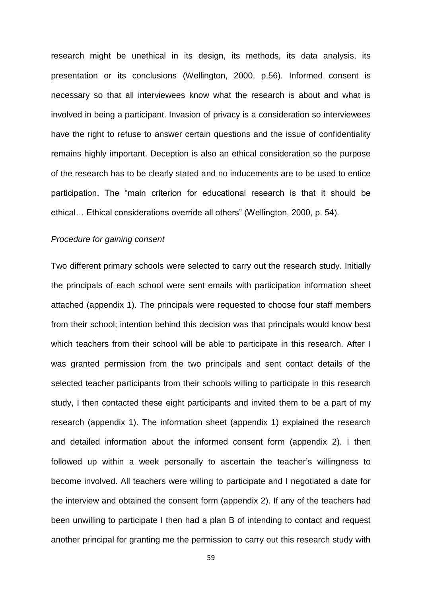research might be unethical in its design, its methods, its data analysis, its presentation or its conclusions (Wellington, 2000, p.56). Informed consent is necessary so that all interviewees know what the research is about and what is involved in being a participant. Invasion of privacy is a consideration so interviewees have the right to refuse to answer certain questions and the issue of confidentiality remains highly important. Deception is also an ethical consideration so the purpose of the research has to be clearly stated and no inducements are to be used to entice participation. The "main criterion for educational research is that it should be ethical… Ethical considerations override all others" (Wellington, 2000, p. 54).

### *Procedure for gaining consent*

Two different primary schools were selected to carry out the research study. Initially the principals of each school were sent emails with participation information sheet attached (appendix 1). The principals were requested to choose four staff members from their school; intention behind this decision was that principals would know best which teachers from their school will be able to participate in this research. After I was granted permission from the two principals and sent contact details of the selected teacher participants from their schools willing to participate in this research study, I then contacted these eight participants and invited them to be a part of my research (appendix 1). The information sheet (appendix 1) explained the research and detailed information about the informed consent form (appendix 2). I then followed up within a week personally to ascertain the teacher's willingness to become involved. All teachers were willing to participate and I negotiated a date for the interview and obtained the consent form (appendix 2). If any of the teachers had been unwilling to participate I then had a plan B of intending to contact and request another principal for granting me the permission to carry out this research study with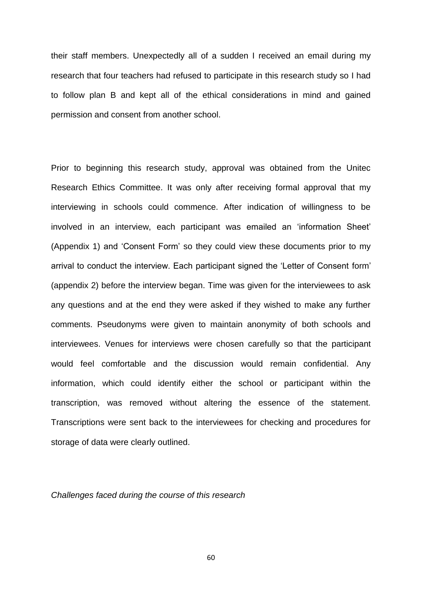their staff members. Unexpectedly all of a sudden I received an email during my research that four teachers had refused to participate in this research study so I had to follow plan B and kept all of the ethical considerations in mind and gained permission and consent from another school.

Prior to beginning this research study, approval was obtained from the Unitec Research Ethics Committee. It was only after receiving formal approval that my interviewing in schools could commence. After indication of willingness to be involved in an interview, each participant was emailed an 'information Sheet' (Appendix 1) and 'Consent Form' so they could view these documents prior to my arrival to conduct the interview. Each participant signed the 'Letter of Consent form' (appendix 2) before the interview began. Time was given for the interviewees to ask any questions and at the end they were asked if they wished to make any further comments. Pseudonyms were given to maintain anonymity of both schools and interviewees. Venues for interviews were chosen carefully so that the participant would feel comfortable and the discussion would remain confidential. Any information, which could identify either the school or participant within the transcription, was removed without altering the essence of the statement. Transcriptions were sent back to the interviewees for checking and procedures for storage of data were clearly outlined.

*Challenges faced during the course of this research*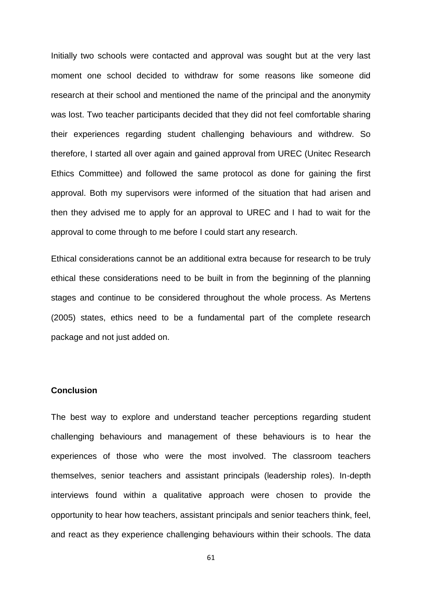Initially two schools were contacted and approval was sought but at the very last moment one school decided to withdraw for some reasons like someone did research at their school and mentioned the name of the principal and the anonymity was lost. Two teacher participants decided that they did not feel comfortable sharing their experiences regarding student challenging behaviours and withdrew. So therefore, I started all over again and gained approval from UREC (Unitec Research Ethics Committee) and followed the same protocol as done for gaining the first approval. Both my supervisors were informed of the situation that had arisen and then they advised me to apply for an approval to UREC and I had to wait for the approval to come through to me before I could start any research.

Ethical considerations cannot be an additional extra because for research to be truly ethical these considerations need to be built in from the beginning of the planning stages and continue to be considered throughout the whole process. As Mertens (2005) states, ethics need to be a fundamental part of the complete research package and not just added on.

#### **Conclusion**

The best way to explore and understand teacher perceptions regarding student challenging behaviours and management of these behaviours is to hear the experiences of those who were the most involved. The classroom teachers themselves, senior teachers and assistant principals (leadership roles). In-depth interviews found within a qualitative approach were chosen to provide the opportunity to hear how teachers, assistant principals and senior teachers think, feel, and react as they experience challenging behaviours within their schools. The data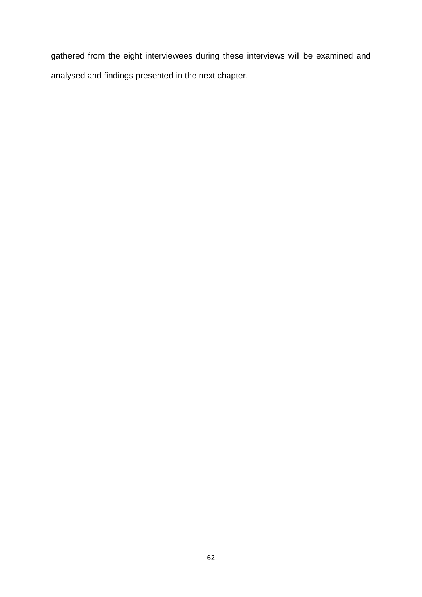gathered from the eight interviewees during these interviews will be examined and analysed and findings presented in the next chapter.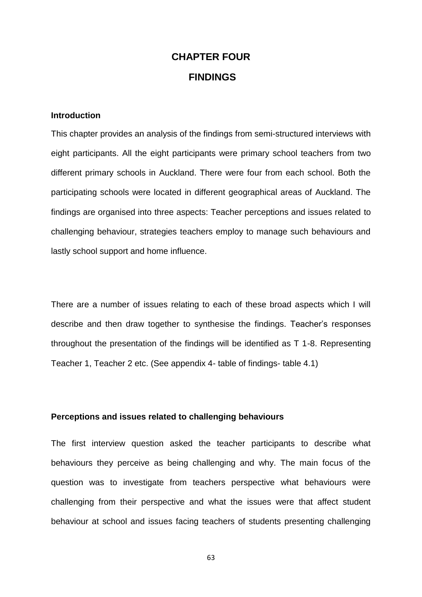# **CHAPTER FOUR FINDINGS**

## **Introduction**

This chapter provides an analysis of the findings from semi-structured interviews with eight participants. All the eight participants were primary school teachers from two different primary schools in Auckland. There were four from each school. Both the participating schools were located in different geographical areas of Auckland. The findings are organised into three aspects: Teacher perceptions and issues related to challenging behaviour, strategies teachers employ to manage such behaviours and lastly school support and home influence.

There are a number of issues relating to each of these broad aspects which I will describe and then draw together to synthesise the findings. Teacher's responses throughout the presentation of the findings will be identified as T 1-8. Representing Teacher 1, Teacher 2 etc. (See appendix 4- table of findings- table 4.1)

## **Perceptions and issues related to challenging behaviours**

The first interview question asked the teacher participants to describe what behaviours they perceive as being challenging and why. The main focus of the question was to investigate from teachers perspective what behaviours were challenging from their perspective and what the issues were that affect student behaviour at school and issues facing teachers of students presenting challenging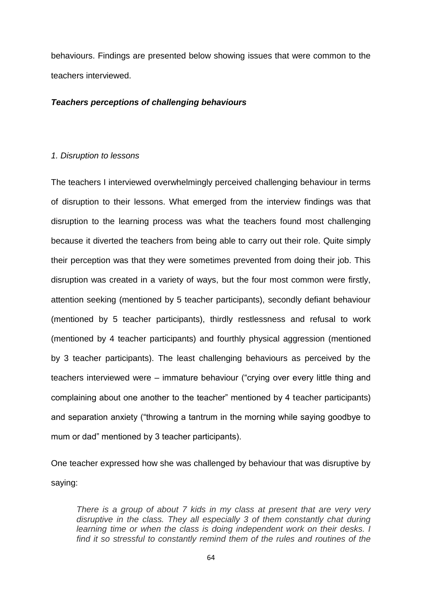behaviours. Findings are presented below showing issues that were common to the teachers interviewed.

#### *Teachers perceptions of challenging behaviours*

#### *1. Disruption to lessons*

The teachers I interviewed overwhelmingly perceived challenging behaviour in terms of disruption to their lessons. What emerged from the interview findings was that disruption to the learning process was what the teachers found most challenging because it diverted the teachers from being able to carry out their role. Quite simply their perception was that they were sometimes prevented from doing their job. This disruption was created in a variety of ways, but the four most common were firstly, attention seeking (mentioned by 5 teacher participants), secondly defiant behaviour (mentioned by 5 teacher participants), thirdly restlessness and refusal to work (mentioned by 4 teacher participants) and fourthly physical aggression (mentioned by 3 teacher participants). The least challenging behaviours as perceived by the teachers interviewed were – immature behaviour ("crying over every little thing and complaining about one another to the teacher" mentioned by 4 teacher participants) and separation anxiety ("throwing a tantrum in the morning while saying goodbye to mum or dad" mentioned by 3 teacher participants).

One teacher expressed how she was challenged by behaviour that was disruptive by saying:

*There is a group of about 7 kids in my class at present that are very very disruptive in the class. They all especially 3 of them constantly chat during*  learning time or when the class is doing independent work on their desks. I *find it so stressful to constantly remind them of the rules and routines of the*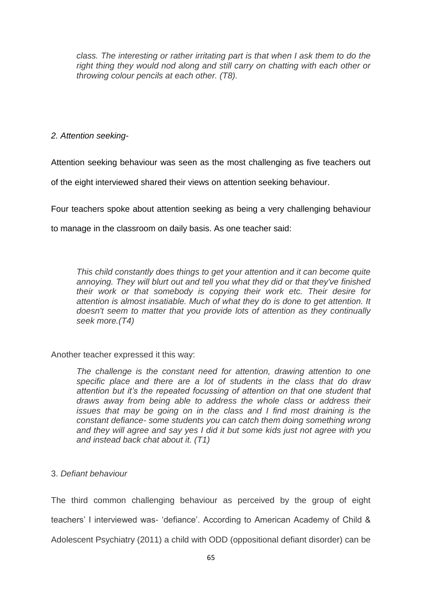*class. The interesting or rather irritating part is that when I ask them to do the*  right thing they would nod along and still carry on chatting with each other or *throwing colour pencils at each other. (T8).* 

# *2. Attention seeking-*

Attention seeking behaviour was seen as the most challenging as five teachers out

of the eight interviewed shared their views on attention seeking behaviour.

Four teachers spoke about attention seeking as being a very challenging behaviour

to manage in the classroom on daily basis. As one teacher said:

*This child constantly does things to get your attention and it can become quite annoying. They will blurt out and tell you what they did or that they've finished their work or that somebody is copying their work etc. Their desire for attention is almost insatiable. Much of what they do is done to get attention. It doesn't seem to matter that you provide lots of attention as they continually seek more.(T4)* 

Another teacher expressed it this way:

*The challenge is the constant need for attention, drawing attention to one specific place and there are a lot of students in the class that do draw attention but it's the repeated focussing of attention on that one student that draws away from being able to address the whole class or address their issues that may be going on in the class and I find most draining is the constant defiance- some students you can catch them doing something wrong and they will agree and say yes I did it but some kids just not agree with you and instead back chat about it. (T1)* 

# 3. *Defiant behaviour*

The third common challenging behaviour as perceived by the group of eight teachers' I interviewed was- 'defiance'. According to American Academy of Child & Adolescent Psychiatry (2011) a child with ODD (oppositional defiant disorder) can be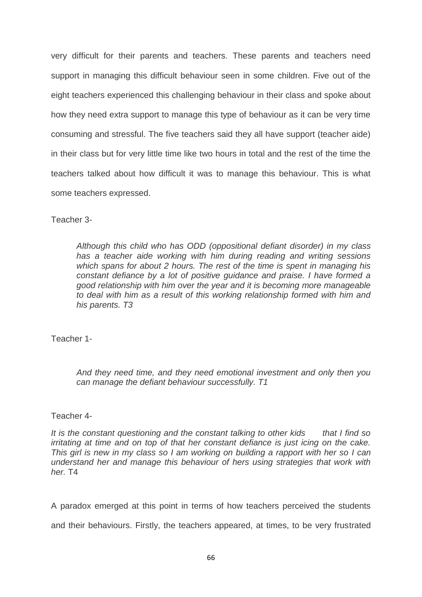very difficult for their parents and teachers. These parents and teachers need support in managing this difficult behaviour seen in some children. Five out of the eight teachers experienced this challenging behaviour in their class and spoke about how they need extra support to manage this type of behaviour as it can be very time consuming and stressful. The five teachers said they all have support (teacher aide) in their class but for very little time like two hours in total and the rest of the time the teachers talked about how difficult it was to manage this behaviour. This is what some teachers expressed.

Teacher 3-

*Although this child who has ODD (oppositional defiant disorder) in my class has a teacher aide working with him during reading and writing sessions which spans for about 2 hours. The rest of the time is spent in managing his constant defiance by a lot of positive guidance and praise. I have formed a good relationship with him over the year and it is becoming more manageable to deal with him as a result of this working relationship formed with him and his parents. T3*

Teacher 1-

*And they need time, and they need emotional investment and only then you can manage the defiant behaviour successfully. T1*

# Teacher 4-

*It is the constant questioning and the constant talking to other kids that I find so irritating at time and on top of that her constant defiance is just icing on the cake. This girl is new in my class so I am working on building a rapport with her so I can understand her and manage this behaviour of hers using strategies that work with her.* T4

A paradox emerged at this point in terms of how teachers perceived the students

and their behaviours. Firstly, the teachers appeared, at times, to be very frustrated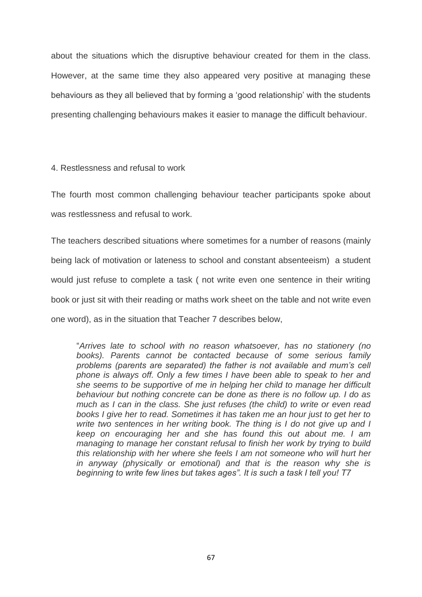about the situations which the disruptive behaviour created for them in the class. However, at the same time they also appeared very positive at managing these behaviours as they all believed that by forming a 'good relationship' with the students presenting challenging behaviours makes it easier to manage the difficult behaviour.

4. Restlessness and refusal to work

The fourth most common challenging behaviour teacher participants spoke about was restlessness and refusal to work.

The teachers described situations where sometimes for a number of reasons (mainly being lack of motivation or lateness to school and constant absenteeism) a student would just refuse to complete a task ( not write even one sentence in their writing book or just sit with their reading or maths work sheet on the table and not write even one word), as in the situation that Teacher 7 describes below,

"*Arrives late to school with no reason whatsoever, has no stationery (no books). Parents cannot be contacted because of some serious family problems (parents are separated) the father is not available and mum's cell phone is always off. Only a few times I have been able to speak to her and she seems to be supportive of me in helping her child to manage her difficult behaviour but nothing concrete can be done as there is no follow up. I do as much as I can in the class. She just refuses (the child) to write or even read*  books I give her to read. Sometimes it has taken me an hour just to get her to *write two sentences in her writing book. The thing is I do not give up and I keep on encouraging her and she has found this out about me. I am managing to manage her constant refusal to finish her work by trying to build this relationship with her where she feels I am not someone who will hurt her in anyway (physically or emotional) and that is the reason why she is beginning to write few lines but takes ages". It is such a task I tell you! T7*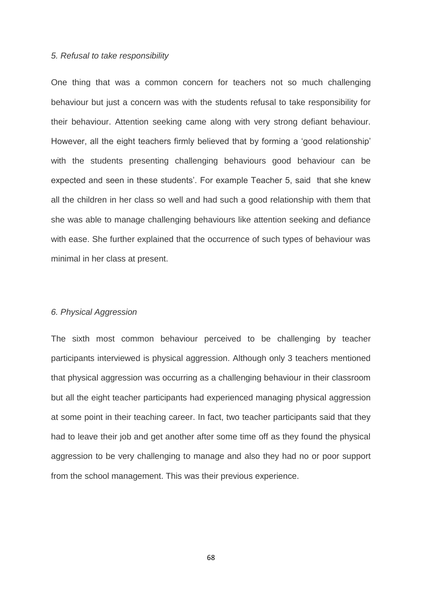#### *5. Refusal to take responsibility*

One thing that was a common concern for teachers not so much challenging behaviour but just a concern was with the students refusal to take responsibility for their behaviour. Attention seeking came along with very strong defiant behaviour. However, all the eight teachers firmly believed that by forming a 'good relationship' with the students presenting challenging behaviours good behaviour can be expected and seen in these students'. For example Teacher 5, said that she knew all the children in her class so well and had such a good relationship with them that she was able to manage challenging behaviours like attention seeking and defiance with ease. She further explained that the occurrence of such types of behaviour was minimal in her class at present.

## *6. Physical Aggression*

The sixth most common behaviour perceived to be challenging by teacher participants interviewed is physical aggression. Although only 3 teachers mentioned that physical aggression was occurring as a challenging behaviour in their classroom but all the eight teacher participants had experienced managing physical aggression at some point in their teaching career. In fact, two teacher participants said that they had to leave their job and get another after some time off as they found the physical aggression to be very challenging to manage and also they had no or poor support from the school management. This was their previous experience.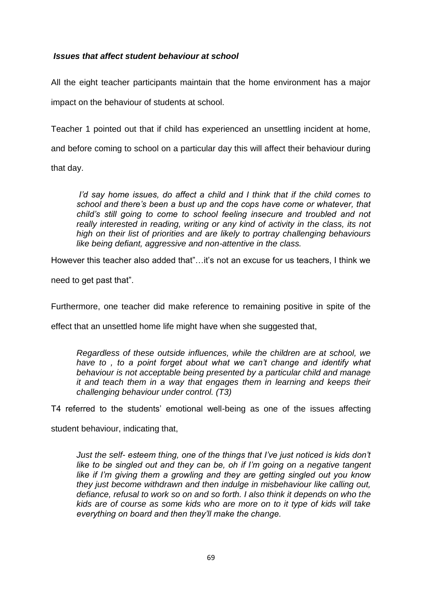## *Issues that affect student behaviour at school*

All the eight teacher participants maintain that the home environment has a major impact on the behaviour of students at school.

Teacher 1 pointed out that if child has experienced an unsettling incident at home, and before coming to school on a particular day this will affect their behaviour during that day.

*I'd say home issues, do affect a child and I think that if the child comes to school and there's been a bust up and the cops have come or whatever, that child's still going to come to school feeling insecure and troubled and not really interested in reading, writing or any kind of activity in the class, its not high on their list of priorities and are likely to portray challenging behaviours like being defiant, aggressive and non-attentive in the class.*

However this teacher also added that"…it's not an excuse for us teachers, I think we

need to get past that".

Furthermore, one teacher did make reference to remaining positive in spite of the

effect that an unsettled home life might have when she suggested that,

*Regardless of these outside influences, while the children are at school, we have to, to a point forget about what we can't change and identify what behaviour is not acceptable being presented by a particular child and manage it and teach them in a way that engages them in learning and keeps their challenging behaviour under control. (T3)*

T4 referred to the students' emotional well-being as one of the issues affecting

student behaviour, indicating that,

*Just the self- esteem thing, one of the things that I've just noticed is kids don't like to be singled out and they can be, oh if I'm going on a negative tangent like if I'm giving them a growling and they are getting singled out you know they just become withdrawn and then indulge in misbehaviour like calling out, defiance, refusal to work so on and so forth. I also think it depends on who the kids are of course as some kids who are more on to it type of kids will take everything on board and then they'll make the change.*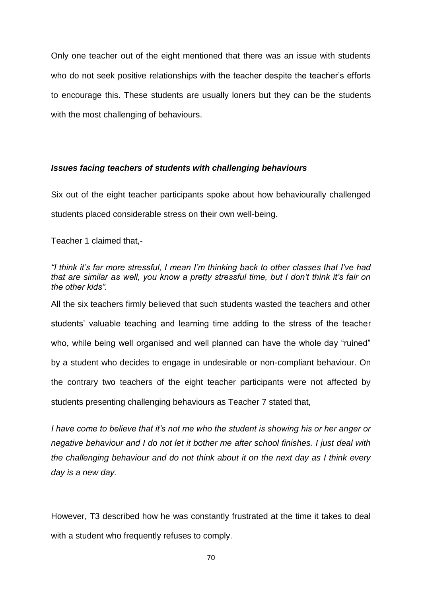Only one teacher out of the eight mentioned that there was an issue with students who do not seek positive relationships with the teacher despite the teacher's efforts to encourage this. These students are usually loners but they can be the students with the most challenging of behaviours.

## *Issues facing teachers of students with challenging behaviours*

Six out of the eight teacher participants spoke about how behaviourally challenged students placed considerable stress on their own well-being.

Teacher 1 claimed that,-

*"I think it's far more stressful, I mean I'm thinking back to other classes that I've had that are similar as well, you know a pretty stressful time, but I don't think it's fair on the other kids".*

All the six teachers firmly believed that such students wasted the teachers and other students' valuable teaching and learning time adding to the stress of the teacher who, while being well organised and well planned can have the whole day "ruined" by a student who decides to engage in undesirable or non-compliant behaviour. On the contrary two teachers of the eight teacher participants were not affected by students presenting challenging behaviours as Teacher 7 stated that,

*I have come to believe that it's not me who the student is showing his or her anger or negative behaviour and I do not let it bother me after school finishes. I just deal with the challenging behaviour and do not think about it on the next day as I think every day is a new day.*

However, T3 described how he was constantly frustrated at the time it takes to deal with a student who frequently refuses to comply.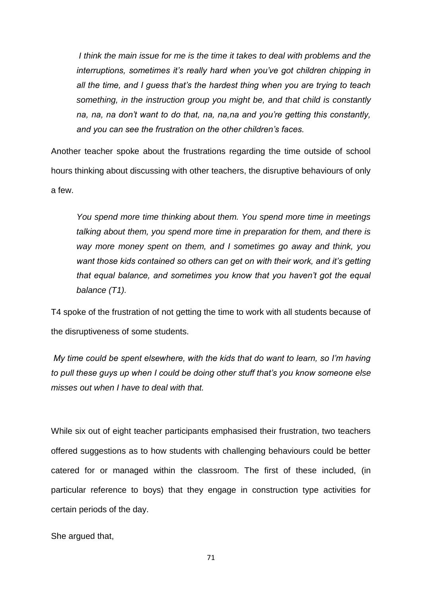*I think the main issue for me is the time it takes to deal with problems and the interruptions, sometimes it's really hard when you've got children chipping in all the time, and I guess that's the hardest thing when you are trying to teach something, in the instruction group you might be, and that child is constantly na, na, na don't want to do that, na, na,na and you're getting this constantly, and you can see the frustration on the other children's faces.*

Another teacher spoke about the frustrations regarding the time outside of school hours thinking about discussing with other teachers, the disruptive behaviours of only a few.

*You spend more time thinking about them. You spend more time in meetings talking about them, you spend more time in preparation for them, and there is way more money spent on them, and I sometimes go away and think, you want those kids contained so others can get on with their work, and it's getting that equal balance, and sometimes you know that you haven't got the equal balance (T1).*

T4 spoke of the frustration of not getting the time to work with all students because of the disruptiveness of some students.

*My time could be spent elsewhere, with the kids that do want to learn, so I'm having to pull these guys up when I could be doing other stuff that's you know someone else misses out when I have to deal with that.*

While six out of eight teacher participants emphasised their frustration, two teachers offered suggestions as to how students with challenging behaviours could be better catered for or managed within the classroom. The first of these included, (in particular reference to boys) that they engage in construction type activities for certain periods of the day.

She argued that,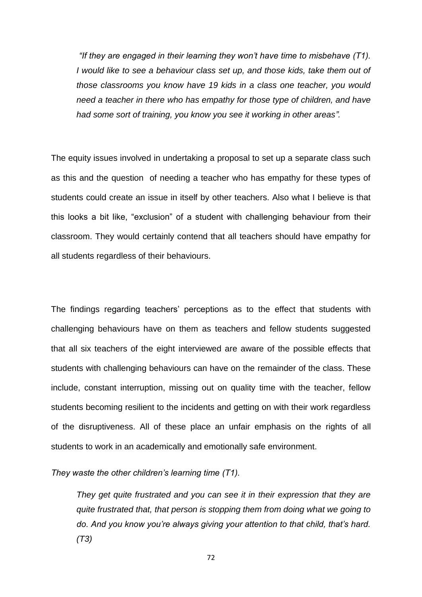*"If they are engaged in their learning they won't have time to misbehave (T1). I would like to see a behaviour class set up, and those kids, take them out of those classrooms you know have 19 kids in a class one teacher, you would need a teacher in there who has empathy for those type of children, and have had some sort of training, you know you see it working in other areas".*

The equity issues involved in undertaking a proposal to set up a separate class such as this and the question of needing a teacher who has empathy for these types of students could create an issue in itself by other teachers. Also what I believe is that this looks a bit like, "exclusion" of a student with challenging behaviour from their classroom. They would certainly contend that all teachers should have empathy for all students regardless of their behaviours.

The findings regarding teachers' perceptions as to the effect that students with challenging behaviours have on them as teachers and fellow students suggested that all six teachers of the eight interviewed are aware of the possible effects that students with challenging behaviours can have on the remainder of the class. These include, constant interruption, missing out on quality time with the teacher, fellow students becoming resilient to the incidents and getting on with their work regardless of the disruptiveness. All of these place an unfair emphasis on the rights of all students to work in an academically and emotionally safe environment.

*They waste the other children's learning time (T1).*

*They get quite frustrated and you can see it in their expression that they are quite frustrated that, that person is stopping them from doing what we going to do. And you know you're always giving your attention to that child, that's hard. (T3)*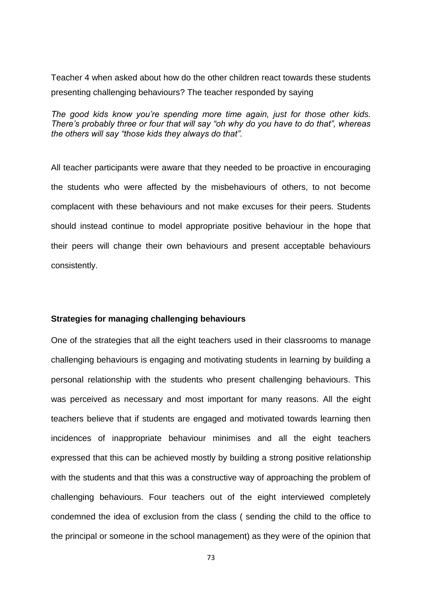Teacher 4 when asked about how do the other children react towards these students presenting challenging behaviours? The teacher responded by saying

*The good kids know you're spending more time again, just for those other kids. There's probably three or four that will say "oh why do you have to do that", whereas the others will say "those kids they always do that".*

All teacher participants were aware that they needed to be proactive in encouraging the students who were affected by the misbehaviours of others, to not become complacent with these behaviours and not make excuses for their peers. Students should instead continue to model appropriate positive behaviour in the hope that their peers will change their own behaviours and present acceptable behaviours consistently.

### **Strategies for managing challenging behaviours**

One of the strategies that all the eight teachers used in their classrooms to manage challenging behaviours is engaging and motivating students in learning by building a personal relationship with the students who present challenging behaviours. This was perceived as necessary and most important for many reasons. All the eight teachers believe that if students are engaged and motivated towards learning then incidences of inappropriate behaviour minimises and all the eight teachers expressed that this can be achieved mostly by building a strong positive relationship with the students and that this was a constructive way of approaching the problem of challenging behaviours. Four teachers out of the eight interviewed completely condemned the idea of exclusion from the class ( sending the child to the office to the principal or someone in the school management) as they were of the opinion that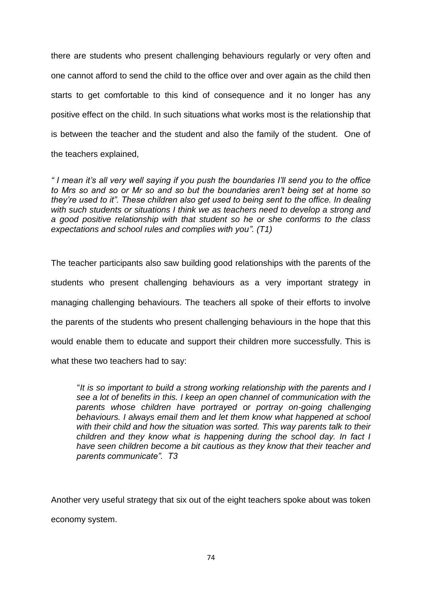there are students who present challenging behaviours regularly or very often and one cannot afford to send the child to the office over and over again as the child then starts to get comfortable to this kind of consequence and it no longer has any positive effect on the child. In such situations what works most is the relationship that is between the teacher and the student and also the family of the student. One of the teachers explained,

*" I mean it's all very well saying if you push the boundaries I'll send you to the office to Mrs so and so or Mr so and so but the boundaries aren't being set at home so they're used to it". These children also get used to being sent to the office. In dealing with such students or situations I think we as teachers need to develop a strong and a good positive relationship with that student so he or she conforms to the class expectations and school rules and complies with you". (T1)*

The teacher participants also saw building good relationships with the parents of the students who present challenging behaviours as a very important strategy in managing challenging behaviours. The teachers all spoke of their efforts to involve the parents of the students who present challenging behaviours in the hope that this would enable them to educate and support their children more successfully. This is what these two teachers had to say:

 "*It is so important to build a strong working relationship with the parents and I see a lot of benefits in this. I keep an open channel of communication with the parents whose children have portrayed or portray on-going challenging behaviours. I always email them and let them know what happened at school*  with their child and how the situation was sorted. This way parents talk to their *children and they know what is happening during the school day. In fact I have seen children become a bit cautious as they know that their teacher and parents communicate". T3*

Another very useful strategy that six out of the eight teachers spoke about was token economy system.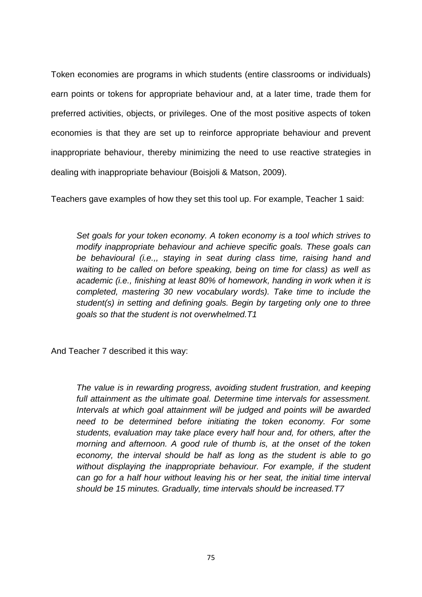Token economies are programs in which students (entire classrooms or individuals) earn points or tokens for appropriate behaviour and, at a later time, trade them for preferred activities, objects, or privileges. One of the most positive aspects of token economies is that they are set up to reinforce appropriate behaviour and prevent inappropriate behaviour, thereby minimizing the need to use reactive strategies in dealing with inappropriate behaviour (Boisjoli & Matson, 2009).

Teachers gave examples of how they set this tool up. For example, Teacher 1 said:

*Set goals for your token economy. A token economy is a tool which strives to modify inappropriate behaviour and achieve specific goals. These goals can be behavioural (i.e.,, staying in seat during class time, raising hand and waiting to be called on before speaking, being on time for class) as well as academic (i.e., finishing at least 80% of homework, handing in work when it is completed, mastering 30 new vocabulary words). Take time to include the student(s) in setting and defining goals. Begin by targeting only one to three goals so that the student is not overwhelmed.T1*

And Teacher 7 described it this way:

*The value is in rewarding progress, avoiding student frustration, and keeping*  full attainment as the ultimate goal. Determine time intervals for assessment. *Intervals at which goal attainment will be judged and points will be awarded need to be determined before initiating the token economy. For some students, evaluation may take place every half hour and, for others, after the morning and afternoon. A good rule of thumb is, at the onset of the token economy, the interval should be half as long as the student is able to go without displaying the inappropriate behaviour. For example, if the student can go for a half hour without leaving his or her seat, the initial time interval should be 15 minutes. Gradually, time intervals should be increased.T7*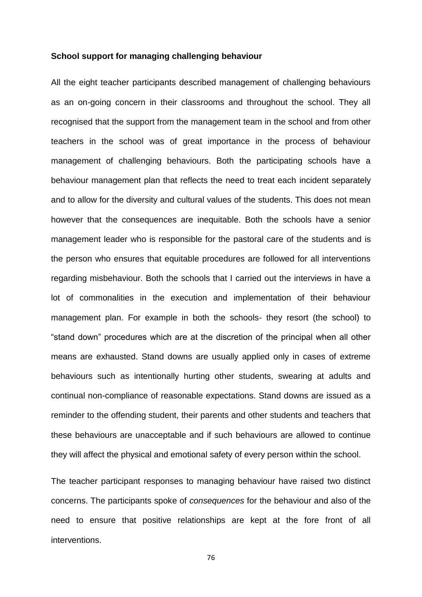#### **School support for managing challenging behaviour**

All the eight teacher participants described management of challenging behaviours as an on-going concern in their classrooms and throughout the school. They all recognised that the support from the management team in the school and from other teachers in the school was of great importance in the process of behaviour management of challenging behaviours. Both the participating schools have a behaviour management plan that reflects the need to treat each incident separately and to allow for the diversity and cultural values of the students. This does not mean however that the consequences are inequitable. Both the schools have a senior management leader who is responsible for the pastoral care of the students and is the person who ensures that equitable procedures are followed for all interventions regarding misbehaviour. Both the schools that I carried out the interviews in have a lot of commonalities in the execution and implementation of their behaviour management plan. For example in both the schools- they resort (the school) to "stand down" procedures which are at the discretion of the principal when all other means are exhausted. Stand downs are usually applied only in cases of extreme behaviours such as intentionally hurting other students, swearing at adults and continual non-compliance of reasonable expectations. Stand downs are issued as a reminder to the offending student, their parents and other students and teachers that these behaviours are unacceptable and if such behaviours are allowed to continue they will affect the physical and emotional safety of every person within the school.

The teacher participant responses to managing behaviour have raised two distinct concerns. The participants spoke of *consequences* for the behaviour and also of the need to ensure that positive relationships are kept at the fore front of all interventions.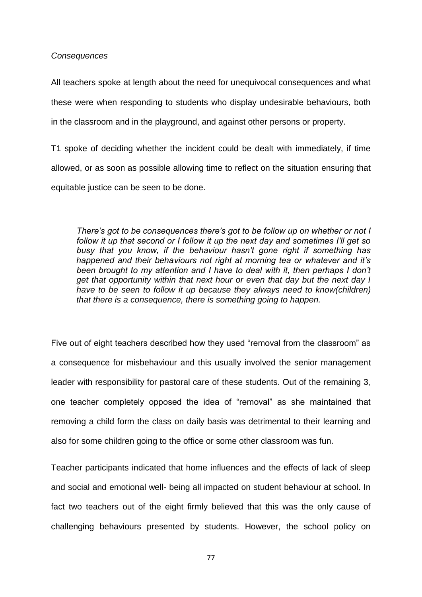*Consequences*

All teachers spoke at length about the need for unequivocal consequences and what these were when responding to students who display undesirable behaviours, both in the classroom and in the playground, and against other persons or property.

T1 spoke of deciding whether the incident could be dealt with immediately, if time allowed, or as soon as possible allowing time to reflect on the situation ensuring that equitable justice can be seen to be done.

*There's got to be consequences there's got to be follow up on whether or not I follow it up that second or I follow it up the next day and sometimes I'll get so busy that you know, if the behaviour hasn't gone right if something has happened and their behaviours not right at morning tea or whatever and it's been brought to my attention and I have to deal with it, then perhaps I don't get that opportunity within that next hour or even that day but the next day I have to be seen to follow it up because they always need to know(children) that there is a consequence, there is something going to happen.* 

Five out of eight teachers described how they used "removal from the classroom" as a consequence for misbehaviour and this usually involved the senior management leader with responsibility for pastoral care of these students. Out of the remaining 3, one teacher completely opposed the idea of "removal" as she maintained that removing a child form the class on daily basis was detrimental to their learning and also for some children going to the office or some other classroom was fun.

Teacher participants indicated that home influences and the effects of lack of sleep and social and emotional well- being all impacted on student behaviour at school. In fact two teachers out of the eight firmly believed that this was the only cause of challenging behaviours presented by students. However, the school policy on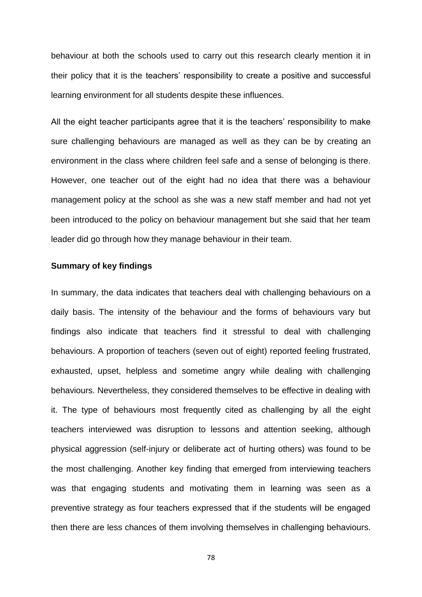behaviour at both the schools used to carry out this research clearly mention it in their policy that it is the teachers' responsibility to create a positive and successful learning environment for all students despite these influences.

All the eight teacher participants agree that it is the teachers' responsibility to make sure challenging behaviours are managed as well as they can be by creating an environment in the class where children feel safe and a sense of belonging is there. However, one teacher out of the eight had no idea that there was a behaviour management policy at the school as she was a new staff member and had not yet been introduced to the policy on behaviour management but she said that her team leader did go through how they manage behaviour in their team.

## **Summary of key findings**

In summary, the data indicates that teachers deal with challenging behaviours on a daily basis. The intensity of the behaviour and the forms of behaviours vary but findings also indicate that teachers find it stressful to deal with challenging behaviours. A proportion of teachers (seven out of eight) reported feeling frustrated, exhausted, upset, helpless and sometime angry while dealing with challenging behaviours. Nevertheless, they considered themselves to be effective in dealing with it. The type of behaviours most frequently cited as challenging by all the eight teachers interviewed was disruption to lessons and attention seeking, although physical aggression (self-injury or deliberate act of hurting others) was found to be the most challenging. Another key finding that emerged from interviewing teachers was that engaging students and motivating them in learning was seen as a preventive strategy as four teachers expressed that if the students will be engaged then there are less chances of them involving themselves in challenging behaviours.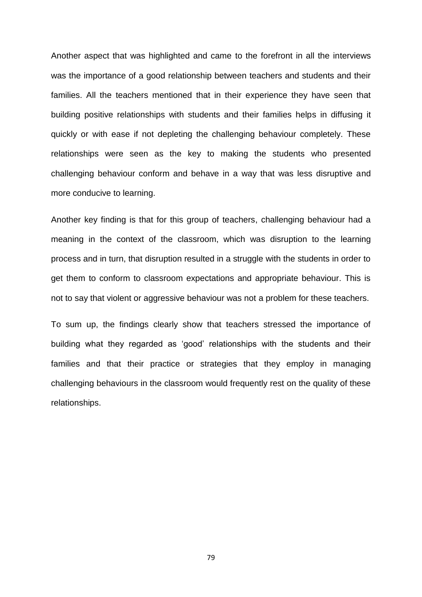Another aspect that was highlighted and came to the forefront in all the interviews was the importance of a good relationship between teachers and students and their families. All the teachers mentioned that in their experience they have seen that building positive relationships with students and their families helps in diffusing it quickly or with ease if not depleting the challenging behaviour completely. These relationships were seen as the key to making the students who presented challenging behaviour conform and behave in a way that was less disruptive and more conducive to learning.

Another key finding is that for this group of teachers, challenging behaviour had a meaning in the context of the classroom, which was disruption to the learning process and in turn, that disruption resulted in a struggle with the students in order to get them to conform to classroom expectations and appropriate behaviour. This is not to say that violent or aggressive behaviour was not a problem for these teachers.

To sum up, the findings clearly show that teachers stressed the importance of building what they regarded as 'good' relationships with the students and their families and that their practice or strategies that they employ in managing challenging behaviours in the classroom would frequently rest on the quality of these relationships.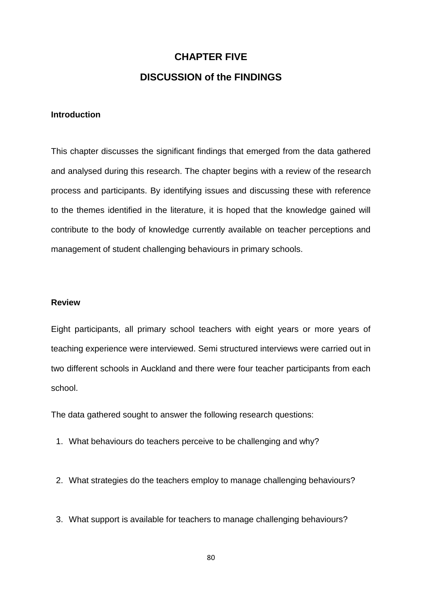# **CHAPTER FIVE DISCUSSION of the FINDINGS**

## **Introduction**

This chapter discusses the significant findings that emerged from the data gathered and analysed during this research. The chapter begins with a review of the research process and participants. By identifying issues and discussing these with reference to the themes identified in the literature, it is hoped that the knowledge gained will contribute to the body of knowledge currently available on teacher perceptions and management of student challenging behaviours in primary schools.

## **Review**

Eight participants, all primary school teachers with eight years or more years of teaching experience were interviewed. Semi structured interviews were carried out in two different schools in Auckland and there were four teacher participants from each school.

The data gathered sought to answer the following research questions:

- 1. What behaviours do teachers perceive to be challenging and why?
- 2. What strategies do the teachers employ to manage challenging behaviours?
- 3. What support is available for teachers to manage challenging behaviours?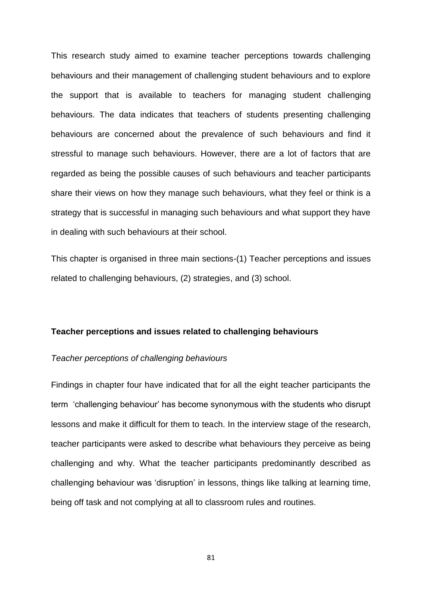This research study aimed to examine teacher perceptions towards challenging behaviours and their management of challenging student behaviours and to explore the support that is available to teachers for managing student challenging behaviours. The data indicates that teachers of students presenting challenging behaviours are concerned about the prevalence of such behaviours and find it stressful to manage such behaviours. However, there are a lot of factors that are regarded as being the possible causes of such behaviours and teacher participants share their views on how they manage such behaviours, what they feel or think is a strategy that is successful in managing such behaviours and what support they have in dealing with such behaviours at their school.

This chapter is organised in three main sections-(1) Teacher perceptions and issues related to challenging behaviours, (2) strategies, and (3) school.

## **Teacher perceptions and issues related to challenging behaviours**

#### *Teacher perceptions of challenging behaviours*

Findings in chapter four have indicated that for all the eight teacher participants the term 'challenging behaviour' has become synonymous with the students who disrupt lessons and make it difficult for them to teach. In the interview stage of the research, teacher participants were asked to describe what behaviours they perceive as being challenging and why. What the teacher participants predominantly described as challenging behaviour was 'disruption' in lessons, things like talking at learning time, being off task and not complying at all to classroom rules and routines.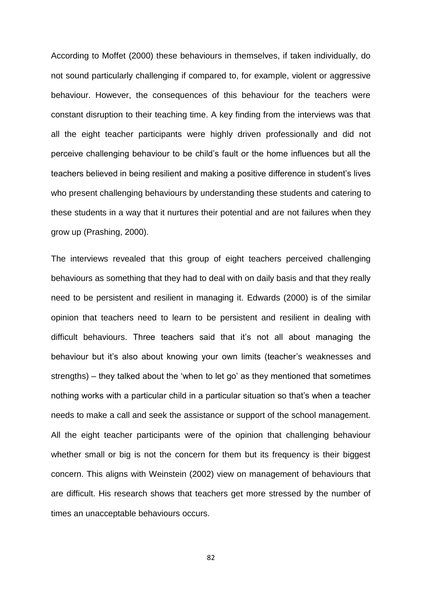According to Moffet (2000) these behaviours in themselves, if taken individually, do not sound particularly challenging if compared to, for example, violent or aggressive behaviour. However, the consequences of this behaviour for the teachers were constant disruption to their teaching time. A key finding from the interviews was that all the eight teacher participants were highly driven professionally and did not perceive challenging behaviour to be child's fault or the home influences but all the teachers believed in being resilient and making a positive difference in student's lives who present challenging behaviours by understanding these students and catering to these students in a way that it nurtures their potential and are not failures when they grow up (Prashing, 2000).

The interviews revealed that this group of eight teachers perceived challenging behaviours as something that they had to deal with on daily basis and that they really need to be persistent and resilient in managing it. Edwards (2000) is of the similar opinion that teachers need to learn to be persistent and resilient in dealing with difficult behaviours. Three teachers said that it's not all about managing the behaviour but it's also about knowing your own limits (teacher's weaknesses and strengths) – they talked about the 'when to let go' as they mentioned that sometimes nothing works with a particular child in a particular situation so that's when a teacher needs to make a call and seek the assistance or support of the school management. All the eight teacher participants were of the opinion that challenging behaviour whether small or big is not the concern for them but its frequency is their biggest concern. This aligns with Weinstein (2002) view on management of behaviours that are difficult. His research shows that teachers get more stressed by the number of times an unacceptable behaviours occurs.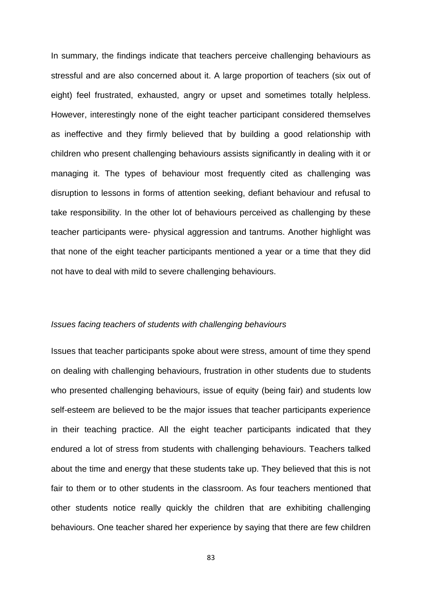In summary, the findings indicate that teachers perceive challenging behaviours as stressful and are also concerned about it. A large proportion of teachers (six out of eight) feel frustrated, exhausted, angry or upset and sometimes totally helpless. However, interestingly none of the eight teacher participant considered themselves as ineffective and they firmly believed that by building a good relationship with children who present challenging behaviours assists significantly in dealing with it or managing it. The types of behaviour most frequently cited as challenging was disruption to lessons in forms of attention seeking, defiant behaviour and refusal to take responsibility. In the other lot of behaviours perceived as challenging by these teacher participants were- physical aggression and tantrums. Another highlight was that none of the eight teacher participants mentioned a year or a time that they did not have to deal with mild to severe challenging behaviours.

## *Issues facing teachers of students with challenging behaviours*

Issues that teacher participants spoke about were stress, amount of time they spend on dealing with challenging behaviours, frustration in other students due to students who presented challenging behaviours, issue of equity (being fair) and students low self-esteem are believed to be the major issues that teacher participants experience in their teaching practice. All the eight teacher participants indicated that they endured a lot of stress from students with challenging behaviours. Teachers talked about the time and energy that these students take up. They believed that this is not fair to them or to other students in the classroom. As four teachers mentioned that other students notice really quickly the children that are exhibiting challenging behaviours. One teacher shared her experience by saying that there are few children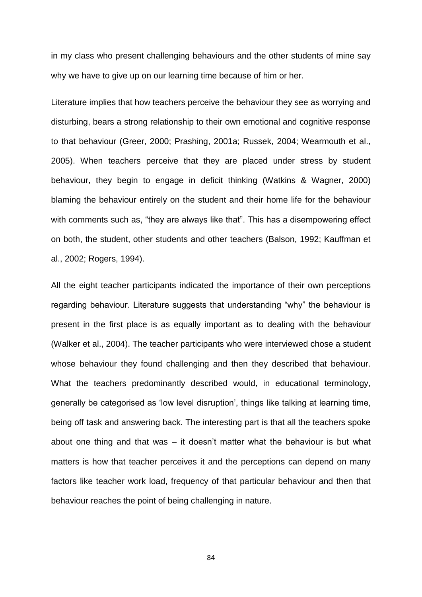in my class who present challenging behaviours and the other students of mine say why we have to give up on our learning time because of him or her.

Literature implies that how teachers perceive the behaviour they see as worrying and disturbing, bears a strong relationship to their own emotional and cognitive response to that behaviour (Greer, 2000; Prashing, 2001a; Russek, 2004; Wearmouth et al., 2005). When teachers perceive that they are placed under stress by student behaviour, they begin to engage in deficit thinking (Watkins & Wagner, 2000) blaming the behaviour entirely on the student and their home life for the behaviour with comments such as, "they are always like that". This has a disempowering effect on both, the student, other students and other teachers (Balson, 1992; Kauffman et al., 2002; Rogers, 1994).

All the eight teacher participants indicated the importance of their own perceptions regarding behaviour. Literature suggests that understanding "why" the behaviour is present in the first place is as equally important as to dealing with the behaviour (Walker et al., 2004). The teacher participants who were interviewed chose a student whose behaviour they found challenging and then they described that behaviour. What the teachers predominantly described would, in educational terminology, generally be categorised as 'low level disruption', things like talking at learning time, being off task and answering back. The interesting part is that all the teachers spoke about one thing and that was – it doesn't matter what the behaviour is but what matters is how that teacher perceives it and the perceptions can depend on many factors like teacher work load, frequency of that particular behaviour and then that behaviour reaches the point of being challenging in nature.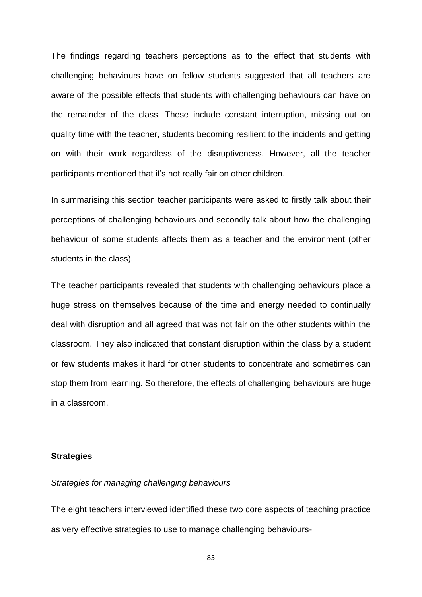The findings regarding teachers perceptions as to the effect that students with challenging behaviours have on fellow students suggested that all teachers are aware of the possible effects that students with challenging behaviours can have on the remainder of the class. These include constant interruption, missing out on quality time with the teacher, students becoming resilient to the incidents and getting on with their work regardless of the disruptiveness. However, all the teacher participants mentioned that it's not really fair on other children.

In summarising this section teacher participants were asked to firstly talk about their perceptions of challenging behaviours and secondly talk about how the challenging behaviour of some students affects them as a teacher and the environment (other students in the class).

The teacher participants revealed that students with challenging behaviours place a huge stress on themselves because of the time and energy needed to continually deal with disruption and all agreed that was not fair on the other students within the classroom. They also indicated that constant disruption within the class by a student or few students makes it hard for other students to concentrate and sometimes can stop them from learning. So therefore, the effects of challenging behaviours are huge in a classroom.

## **Strategies**

#### *Strategies for managing challenging behaviours*

The eight teachers interviewed identified these two core aspects of teaching practice as very effective strategies to use to manage challenging behaviours-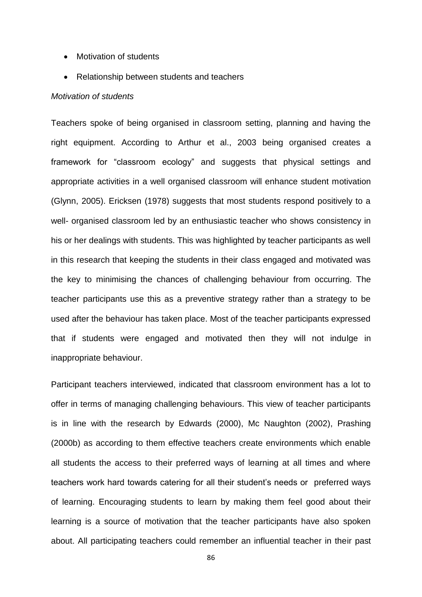- Motivation of students
- Relationship between students and teachers

#### *Motivation of students*

Teachers spoke of being organised in classroom setting, planning and having the right equipment. According to Arthur et al., 2003 being organised creates a framework for "classroom ecology" and suggests that physical settings and appropriate activities in a well organised classroom will enhance student motivation (Glynn, 2005). Ericksen (1978) suggests that most students respond positively to a well- organised classroom led by an enthusiastic teacher who shows consistency in his or her dealings with students. This was highlighted by teacher participants as well in this research that keeping the students in their class engaged and motivated was the key to minimising the chances of challenging behaviour from occurring. The teacher participants use this as a preventive strategy rather than a strategy to be used after the behaviour has taken place. Most of the teacher participants expressed that if students were engaged and motivated then they will not indulge in inappropriate behaviour.

Participant teachers interviewed, indicated that classroom environment has a lot to offer in terms of managing challenging behaviours. This view of teacher participants is in line with the research by Edwards (2000), Mc Naughton (2002), Prashing (2000b) as according to them effective teachers create environments which enable all students the access to their preferred ways of learning at all times and where teachers work hard towards catering for all their student's needs or preferred ways of learning. Encouraging students to learn by making them feel good about their learning is a source of motivation that the teacher participants have also spoken about. All participating teachers could remember an influential teacher in their past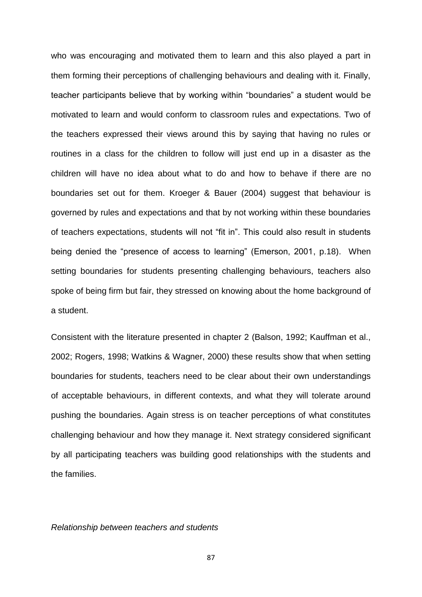who was encouraging and motivated them to learn and this also played a part in them forming their perceptions of challenging behaviours and dealing with it. Finally, teacher participants believe that by working within "boundaries" a student would be motivated to learn and would conform to classroom rules and expectations. Two of the teachers expressed their views around this by saying that having no rules or routines in a class for the children to follow will just end up in a disaster as the children will have no idea about what to do and how to behave if there are no boundaries set out for them. Kroeger & Bauer (2004) suggest that behaviour is governed by rules and expectations and that by not working within these boundaries of teachers expectations, students will not "fit in". This could also result in students being denied the "presence of access to learning" (Emerson, 2001, p.18). When setting boundaries for students presenting challenging behaviours, teachers also spoke of being firm but fair, they stressed on knowing about the home background of a student.

Consistent with the literature presented in chapter 2 (Balson, 1992; Kauffman et al., 2002; Rogers, 1998; Watkins & Wagner, 2000) these results show that when setting boundaries for students, teachers need to be clear about their own understandings of acceptable behaviours, in different contexts, and what they will tolerate around pushing the boundaries. Again stress is on teacher perceptions of what constitutes challenging behaviour and how they manage it. Next strategy considered significant by all participating teachers was building good relationships with the students and the families.

## *Relationship between teachers and students*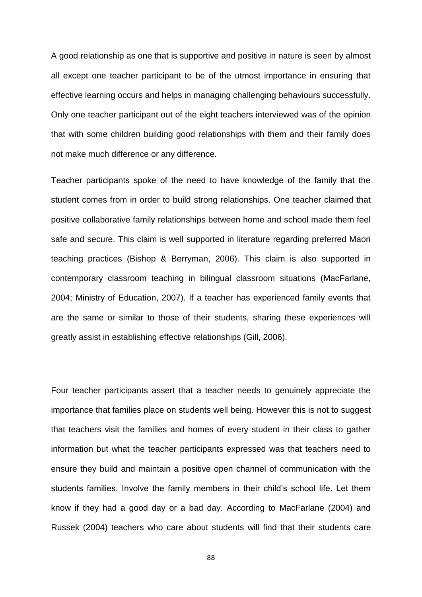A good relationship as one that is supportive and positive in nature is seen by almost all except one teacher participant to be of the utmost importance in ensuring that effective learning occurs and helps in managing challenging behaviours successfully. Only one teacher participant out of the eight teachers interviewed was of the opinion that with some children building good relationships with them and their family does not make much difference or any difference.

Teacher participants spoke of the need to have knowledge of the family that the student comes from in order to build strong relationships. One teacher claimed that positive collaborative family relationships between home and school made them feel safe and secure. This claim is well supported in literature regarding preferred Maori teaching practices (Bishop & Berryman, 2006). This claim is also supported in contemporary classroom teaching in bilingual classroom situations (MacFarlane, 2004; Ministry of Education, 2007). If a teacher has experienced family events that are the same or similar to those of their students, sharing these experiences will greatly assist in establishing effective relationships (Gill, 2006).

Four teacher participants assert that a teacher needs to genuinely appreciate the importance that families place on students well being. However this is not to suggest that teachers visit the families and homes of every student in their class to gather information but what the teacher participants expressed was that teachers need to ensure they build and maintain a positive open channel of communication with the students families. Involve the family members in their child's school life. Let them know if they had a good day or a bad day. According to MacFarlane (2004) and Russek (2004) teachers who care about students will find that their students care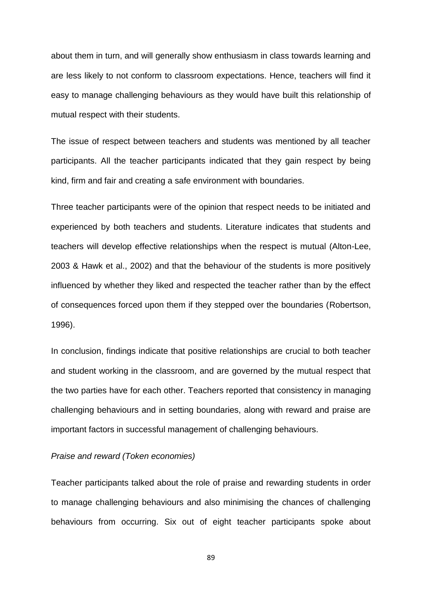about them in turn, and will generally show enthusiasm in class towards learning and are less likely to not conform to classroom expectations. Hence, teachers will find it easy to manage challenging behaviours as they would have built this relationship of mutual respect with their students.

The issue of respect between teachers and students was mentioned by all teacher participants. All the teacher participants indicated that they gain respect by being kind, firm and fair and creating a safe environment with boundaries.

Three teacher participants were of the opinion that respect needs to be initiated and experienced by both teachers and students. Literature indicates that students and teachers will develop effective relationships when the respect is mutual (Alton-Lee, 2003 & Hawk et al., 2002) and that the behaviour of the students is more positively influenced by whether they liked and respected the teacher rather than by the effect of consequences forced upon them if they stepped over the boundaries (Robertson, 1996).

In conclusion, findings indicate that positive relationships are crucial to both teacher and student working in the classroom, and are governed by the mutual respect that the two parties have for each other. Teachers reported that consistency in managing challenging behaviours and in setting boundaries, along with reward and praise are important factors in successful management of challenging behaviours.

## *Praise and reward (Token economies)*

Teacher participants talked about the role of praise and rewarding students in order to manage challenging behaviours and also minimising the chances of challenging behaviours from occurring. Six out of eight teacher participants spoke about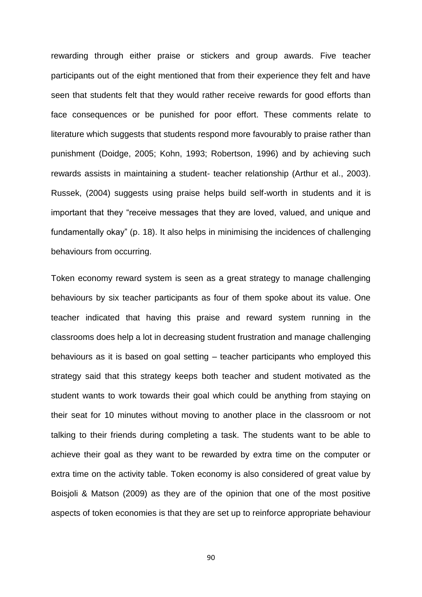rewarding through either praise or stickers and group awards. Five teacher participants out of the eight mentioned that from their experience they felt and have seen that students felt that they would rather receive rewards for good efforts than face consequences or be punished for poor effort. These comments relate to literature which suggests that students respond more favourably to praise rather than punishment (Doidge, 2005; Kohn, 1993; Robertson, 1996) and by achieving such rewards assists in maintaining a student- teacher relationship (Arthur et al., 2003). Russek, (2004) suggests using praise helps build self-worth in students and it is important that they "receive messages that they are loved, valued, and unique and fundamentally okay" (p. 18). It also helps in minimising the incidences of challenging behaviours from occurring.

Token economy reward system is seen as a great strategy to manage challenging behaviours by six teacher participants as four of them spoke about its value. One teacher indicated that having this praise and reward system running in the classrooms does help a lot in decreasing student frustration and manage challenging behaviours as it is based on goal setting – teacher participants who employed this strategy said that this strategy keeps both teacher and student motivated as the student wants to work towards their goal which could be anything from staying on their seat for 10 minutes without moving to another place in the classroom or not talking to their friends during completing a task. The students want to be able to achieve their goal as they want to be rewarded by extra time on the computer or extra time on the activity table. Token economy is also considered of great value by Boisjoli & Matson (2009) as they are of the opinion that one of the most positive aspects of token economies is that they are set up to reinforce appropriate behaviour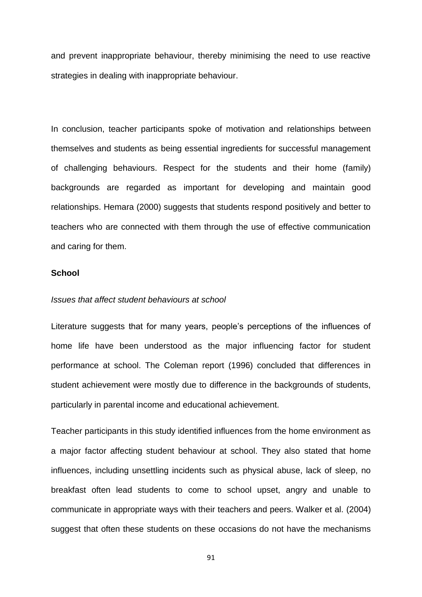and prevent inappropriate behaviour, thereby minimising the need to use reactive strategies in dealing with inappropriate behaviour.

In conclusion, teacher participants spoke of motivation and relationships between themselves and students as being essential ingredients for successful management of challenging behaviours. Respect for the students and their home (family) backgrounds are regarded as important for developing and maintain good relationships. Hemara (2000) suggests that students respond positively and better to teachers who are connected with them through the use of effective communication and caring for them.

### **School**

## *Issues that affect student behaviours at school*

Literature suggests that for many years, people's perceptions of the influences of home life have been understood as the major influencing factor for student performance at school. The Coleman report (1996) concluded that differences in student achievement were mostly due to difference in the backgrounds of students, particularly in parental income and educational achievement.

Teacher participants in this study identified influences from the home environment as a major factor affecting student behaviour at school. They also stated that home influences, including unsettling incidents such as physical abuse, lack of sleep, no breakfast often lead students to come to school upset, angry and unable to communicate in appropriate ways with their teachers and peers. Walker et al. (2004) suggest that often these students on these occasions do not have the mechanisms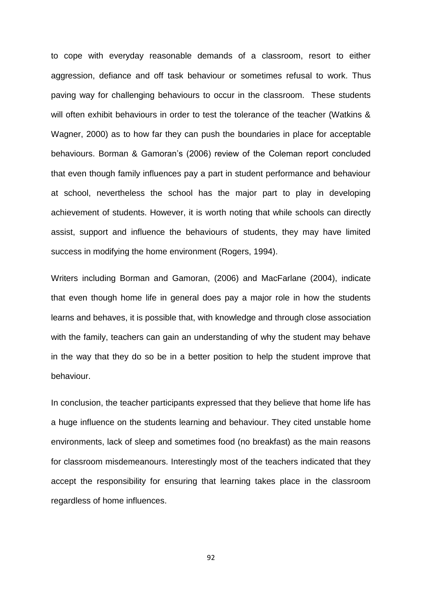to cope with everyday reasonable demands of a classroom, resort to either aggression, defiance and off task behaviour or sometimes refusal to work. Thus paving way for challenging behaviours to occur in the classroom. These students will often exhibit behaviours in order to test the tolerance of the teacher (Watkins & Wagner, 2000) as to how far they can push the boundaries in place for acceptable behaviours. Borman & Gamoran's (2006) review of the Coleman report concluded that even though family influences pay a part in student performance and behaviour at school, nevertheless the school has the major part to play in developing achievement of students. However, it is worth noting that while schools can directly assist, support and influence the behaviours of students, they may have limited success in modifying the home environment (Rogers, 1994).

Writers including Borman and Gamoran, (2006) and MacFarlane (2004), indicate that even though home life in general does pay a major role in how the students learns and behaves, it is possible that, with knowledge and through close association with the family, teachers can gain an understanding of why the student may behave in the way that they do so be in a better position to help the student improve that behaviour.

In conclusion, the teacher participants expressed that they believe that home life has a huge influence on the students learning and behaviour. They cited unstable home environments, lack of sleep and sometimes food (no breakfast) as the main reasons for classroom misdemeanours. Interestingly most of the teachers indicated that they accept the responsibility for ensuring that learning takes place in the classroom regardless of home influences.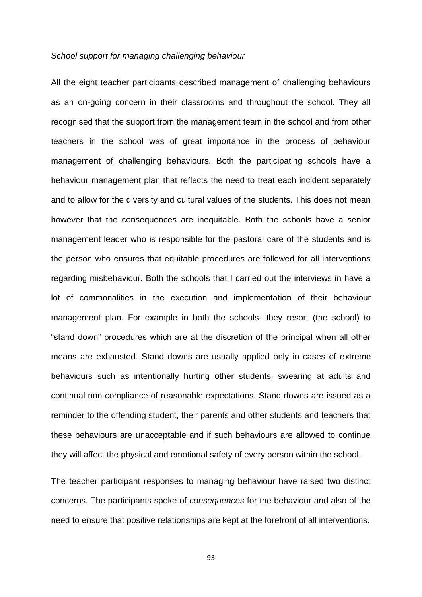#### *School support for managing challenging behaviour*

All the eight teacher participants described management of challenging behaviours as an on-going concern in their classrooms and throughout the school. They all recognised that the support from the management team in the school and from other teachers in the school was of great importance in the process of behaviour management of challenging behaviours. Both the participating schools have a behaviour management plan that reflects the need to treat each incident separately and to allow for the diversity and cultural values of the students. This does not mean however that the consequences are inequitable. Both the schools have a senior management leader who is responsible for the pastoral care of the students and is the person who ensures that equitable procedures are followed for all interventions regarding misbehaviour. Both the schools that I carried out the interviews in have a lot of commonalities in the execution and implementation of their behaviour management plan. For example in both the schools- they resort (the school) to "stand down" procedures which are at the discretion of the principal when all other means are exhausted. Stand downs are usually applied only in cases of extreme behaviours such as intentionally hurting other students, swearing at adults and continual non-compliance of reasonable expectations. Stand downs are issued as a reminder to the offending student, their parents and other students and teachers that these behaviours are unacceptable and if such behaviours are allowed to continue they will affect the physical and emotional safety of every person within the school.

The teacher participant responses to managing behaviour have raised two distinct concerns. The participants spoke of *consequences* for the behaviour and also of the need to ensure that positive relationships are kept at the forefront of all interventions.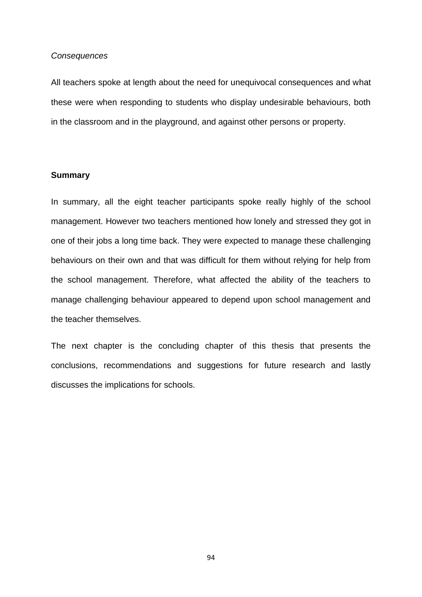#### *Consequences*

All teachers spoke at length about the need for unequivocal consequences and what these were when responding to students who display undesirable behaviours, both in the classroom and in the playground, and against other persons or property.

## **Summary**

In summary, all the eight teacher participants spoke really highly of the school management. However two teachers mentioned how lonely and stressed they got in one of their jobs a long time back. They were expected to manage these challenging behaviours on their own and that was difficult for them without relying for help from the school management. Therefore, what affected the ability of the teachers to manage challenging behaviour appeared to depend upon school management and the teacher themselves.

The next chapter is the concluding chapter of this thesis that presents the conclusions, recommendations and suggestions for future research and lastly discusses the implications for schools.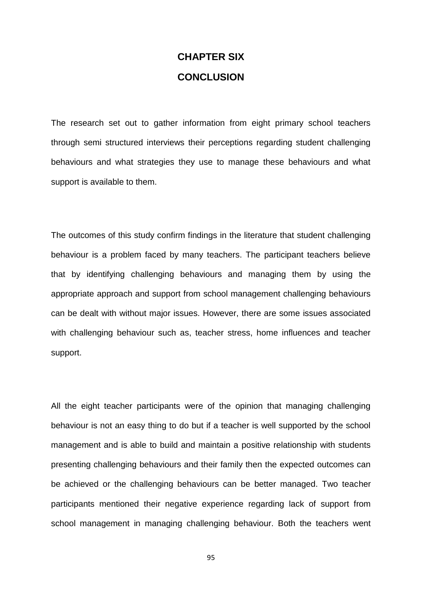# **CHAPTER SIX CONCLUSION**

The research set out to gather information from eight primary school teachers through semi structured interviews their perceptions regarding student challenging behaviours and what strategies they use to manage these behaviours and what support is available to them.

The outcomes of this study confirm findings in the literature that student challenging behaviour is a problem faced by many teachers. The participant teachers believe that by identifying challenging behaviours and managing them by using the appropriate approach and support from school management challenging behaviours can be dealt with without major issues. However, there are some issues associated with challenging behaviour such as, teacher stress, home influences and teacher support.

All the eight teacher participants were of the opinion that managing challenging behaviour is not an easy thing to do but if a teacher is well supported by the school management and is able to build and maintain a positive relationship with students presenting challenging behaviours and their family then the expected outcomes can be achieved or the challenging behaviours can be better managed. Two teacher participants mentioned their negative experience regarding lack of support from school management in managing challenging behaviour. Both the teachers went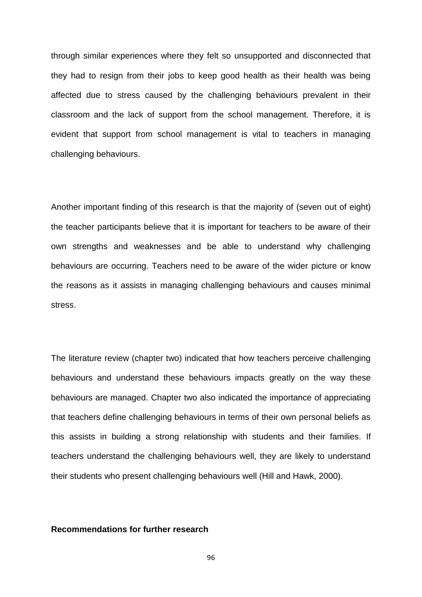through similar experiences where they felt so unsupported and disconnected that they had to resign from their jobs to keep good health as their health was being affected due to stress caused by the challenging behaviours prevalent in their classroom and the lack of support from the school management. Therefore, it is evident that support from school management is vital to teachers in managing challenging behaviours.

Another important finding of this research is that the majority of (seven out of eight) the teacher participants believe that it is important for teachers to be aware of their own strengths and weaknesses and be able to understand why challenging behaviours are occurring. Teachers need to be aware of the wider picture or know the reasons as it assists in managing challenging behaviours and causes minimal stress.

The literature review (chapter two) indicated that how teachers perceive challenging behaviours and understand these behaviours impacts greatly on the way these behaviours are managed. Chapter two also indicated the importance of appreciating that teachers define challenging behaviours in terms of their own personal beliefs as this assists in building a strong relationship with students and their families. If teachers understand the challenging behaviours well, they are likely to understand their students who present challenging behaviours well (Hill and Hawk, 2000).

## **Recommendations for further research**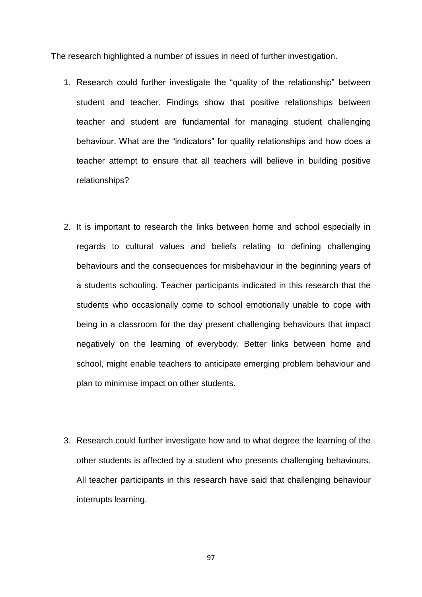The research highlighted a number of issues in need of further investigation.

- 1. Research could further investigate the "quality of the relationship" between student and teacher. Findings show that positive relationships between teacher and student are fundamental for managing student challenging behaviour. What are the "indicators" for quality relationships and how does a teacher attempt to ensure that all teachers will believe in building positive relationships?
- 2. It is important to research the links between home and school especially in regards to cultural values and beliefs relating to defining challenging behaviours and the consequences for misbehaviour in the beginning years of a students schooling. Teacher participants indicated in this research that the students who occasionally come to school emotionally unable to cope with being in a classroom for the day present challenging behaviours that impact negatively on the learning of everybody. Better links between home and school, might enable teachers to anticipate emerging problem behaviour and plan to minimise impact on other students.
- 3. Research could further investigate how and to what degree the learning of the other students is affected by a student who presents challenging behaviours. All teacher participants in this research have said that challenging behaviour interrupts learning.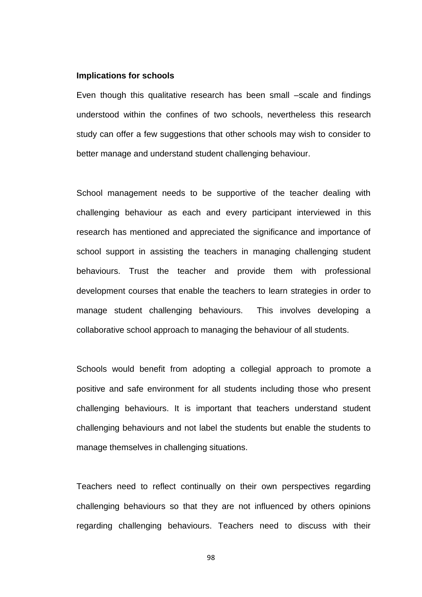#### **Implications for schools**

Even though this qualitative research has been small –scale and findings understood within the confines of two schools, nevertheless this research study can offer a few suggestions that other schools may wish to consider to better manage and understand student challenging behaviour.

School management needs to be supportive of the teacher dealing with challenging behaviour as each and every participant interviewed in this research has mentioned and appreciated the significance and importance of school support in assisting the teachers in managing challenging student behaviours. Trust the teacher and provide them with professional development courses that enable the teachers to learn strategies in order to manage student challenging behaviours. This involves developing a collaborative school approach to managing the behaviour of all students.

Schools would benefit from adopting a collegial approach to promote a positive and safe environment for all students including those who present challenging behaviours. It is important that teachers understand student challenging behaviours and not label the students but enable the students to manage themselves in challenging situations.

Teachers need to reflect continually on their own perspectives regarding challenging behaviours so that they are not influenced by others opinions regarding challenging behaviours. Teachers need to discuss with their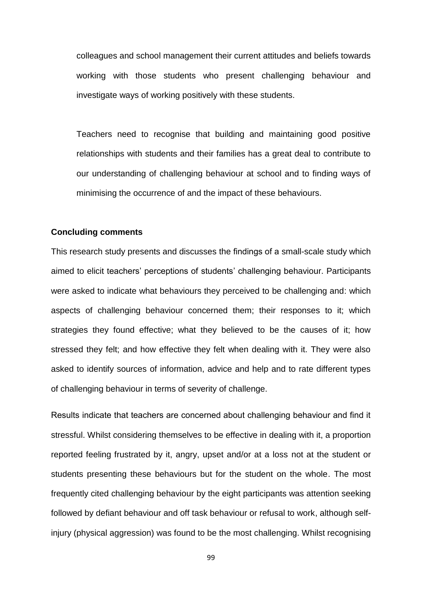colleagues and school management their current attitudes and beliefs towards working with those students who present challenging behaviour and investigate ways of working positively with these students.

Teachers need to recognise that building and maintaining good positive relationships with students and their families has a great deal to contribute to our understanding of challenging behaviour at school and to finding ways of minimising the occurrence of and the impact of these behaviours.

#### **Concluding comments**

This research study presents and discusses the findings of a small-scale study which aimed to elicit teachers' perceptions of students' challenging behaviour. Participants were asked to indicate what behaviours they perceived to be challenging and: which aspects of challenging behaviour concerned them; their responses to it; which strategies they found effective; what they believed to be the causes of it; how stressed they felt; and how effective they felt when dealing with it. They were also asked to identify sources of information, advice and help and to rate different types of challenging behaviour in terms of severity of challenge.

Results indicate that teachers are concerned about challenging behaviour and find it stressful. Whilst considering themselves to be effective in dealing with it, a proportion reported feeling frustrated by it, angry, upset and/or at a loss not at the student or students presenting these behaviours but for the student on the whole. The most frequently cited challenging behaviour by the eight participants was attention seeking followed by defiant behaviour and off task behaviour or refusal to work, although selfinjury (physical aggression) was found to be the most challenging. Whilst recognising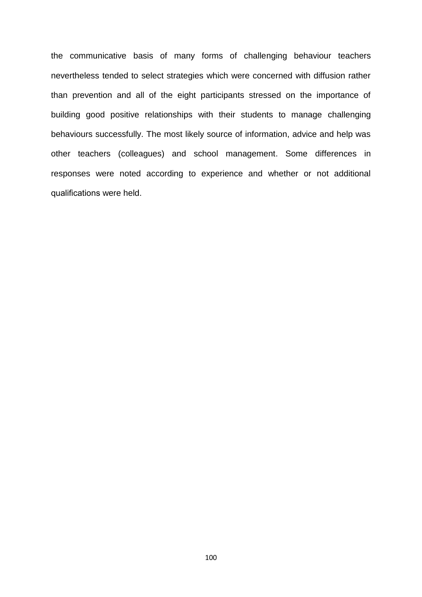the communicative basis of many forms of challenging behaviour teachers nevertheless tended to select strategies which were concerned with diffusion rather than prevention and all of the eight participants stressed on the importance of building good positive relationships with their students to manage challenging behaviours successfully. The most likely source of information, advice and help was other teachers (colleagues) and school management. Some differences in responses were noted according to experience and whether or not additional qualifications were held.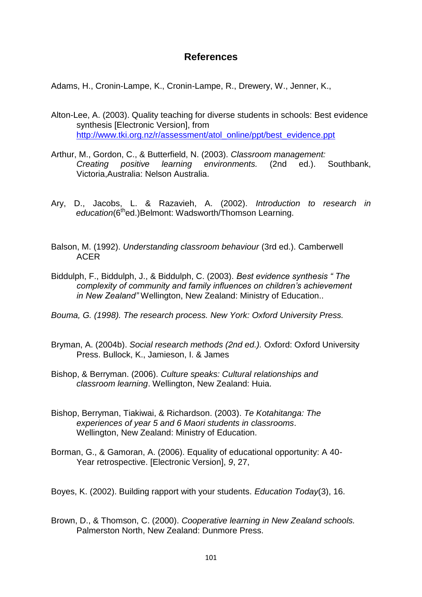# **References**

Adams, H., Cronin-Lampe, K., Cronin-Lampe, R., Drewery, W., Jenner, K.,

- Alton-Lee, A. (2003). Quality teaching for diverse students in schools: Best evidence synthesis [Electronic Version], from [http://www.tki.org.nz/r/assessment/atol\\_online/ppt/best\\_evidence.ppt](http://www.tki.org.nz/r/assessment/atol_online/ppt/best_evidence.ppt)
- Arthur, M., Gordon, C., & Butterfield, N. (2003). *Classroom management: Creating positive learning environments.* (2nd ed.). Southbank, Victoria,Australia: Nelson Australia.
- Ary, D., Jacobs, L. & Razavieh, A. (2002). *Introduction to research in* education(6<sup>th</sup>ed.)Belmont: Wadsworth/Thomson Learning.
- Balson, M. (1992). *Understanding classroom behaviour* (3rd ed.). Camberwell ACER
- Biddulph, F., Biddulph, J., & Biddulph, C. (2003). *Best evidence synthesis " The complexity of community and family influences on children's achievement in New Zealand"* Wellington, New Zealand: Ministry of Education..
- *Bouma, G. (1998). The research process. New York: Oxford University Press.*
- Bryman, A. (2004b). *Social research methods (2nd ed.).* Oxford: Oxford University Press. Bullock, K., Jamieson, I. & James
- Bishop, & Berryman. (2006). *Culture speaks: Cultural relationships and classroom learning*. Wellington, New Zealand: Huia.
- Bishop, Berryman, Tiakiwai, & Richardson. (2003). *Te Kotahitanga: The experiences of year 5 and 6 Maori students in classrooms*. Wellington, New Zealand: Ministry of Education.
- Borman, G., & Gamoran, A. (2006). Equality of educational opportunity: A 40- Year retrospective. [Electronic Version], *9*, 27,
- Boyes, K. (2002). Building rapport with your students. *Education Today*(3), 16.
- Brown, D., & Thomson, C. (2000). *Cooperative learning in New Zealand schools.* Palmerston North, New Zealand: Dunmore Press.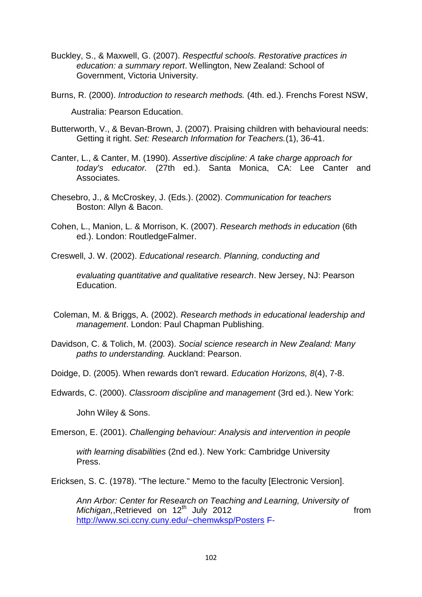- Buckley, S., & Maxwell, G. (2007). *Respectful schools. Restorative practices in education: a summary report*. Wellington, New Zealand: School of Government, Victoria University.
- Burns, R. (2000). *Introduction to research methods.* (4th. ed.). Frenchs Forest NSW,

Australia: Pearson Education.

- Butterworth, V., & Bevan-Brown, J. (2007). Praising children with behavioural needs: Getting it right. *Set: Research Information for Teachers.*(1), 36-41.
- Canter, L., & Canter, M. (1990). *Assertive discipline: A take charge approach for today's educator.* (27th ed.). Santa Monica, CA: Lee Canter and Associates.
- Chesebro, J., & McCroskey, J. (Eds.). (2002). *Communication for teachers* Boston: Allyn & Bacon.
- Cohen, L., Manion, L. & Morrison, K. (2007). *Research methods in education* (6th ed.). London: RoutledgeFalmer.
- Creswell, J. W. (2002). *Educational research. Planning, conducting and*

*evaluating quantitative and qualitative research*. New Jersey, NJ: Pearson **Education** 

- Coleman, M. & Briggs, A. (2002). *Research methods in educational leadership and management*. London: Paul Chapman Publishing.
- Davidson, C. & Tolich, M. (2003). *Social science research in New Zealand: Many paths to understanding.* Auckland: Pearson.

Doidge, D. (2005). When rewards don't reward. *Education Horizons, 8*(4), 7-8.

Edwards, C. (2000). *Classroom discipline and management* (3rd ed.). New York:

John Wiley & Sons.

Emerson, E. (2001). *Challenging behaviour: Analysis and intervention in people*

*with learning disabilities* (2nd ed.). New York: Cambridge University Press.

Ericksen, S. C. (1978). "The lecture." Memo to the faculty [Electronic Version].

*Ann Arbor: Center for Research on Teaching and Learning, University of Michigan,*,Retrieved on 12<sup>th</sup> July 2012 **19 12 contract to the from from the from the from the from the from the from the from the from the from the from the from the from the from the from the from the from the from the** <http://www.sci.ccny.cuny.edu/~chemwksp/Posters> F-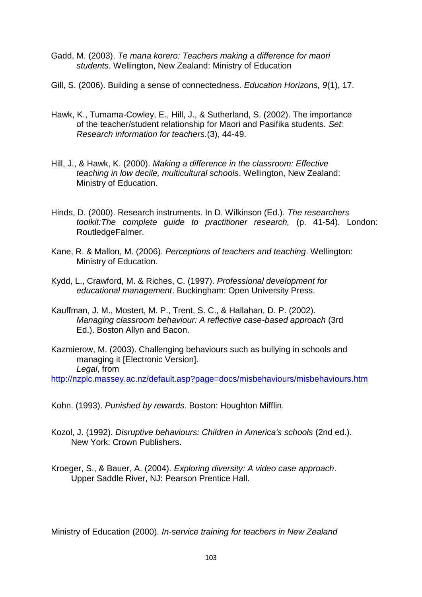- Gadd, M. (2003). *Te mana korero: Teachers making a difference for maori students*. Wellington, New Zealand: Ministry of Education
- Gill, S. (2006). Building a sense of connectedness. *Education Horizons, 9*(1), 17.
- Hawk, K., Tumama-Cowley, E., Hill, J., & Sutherland, S. (2002). The importance of the teacher/student relationship for Maori and Pasifika students. *Set: Research information for teachers.*(3), 44-49.
- Hill, J., & Hawk, K. (2000). *Making a difference in the classroom: Effective teaching in low decile, multicultural schools*. Wellington, New Zealand: Ministry of Education.
- Hinds, D. (2000). Research instruments. In D. Wilkinson (Ed.). *The researchers toolkit:The complete guide to practitioner research,* (p. 41-54). London: RoutledgeFalmer.
- Kane, R. & Mallon, M. (2006). *Perceptions of teachers and teaching*. Wellington: Ministry of Education.
- Kydd, L., Crawford, M. & Riches, C. (1997). *Professional development for educational management*. Buckingham: Open University Press.
- Kauffman, J. M., Mostert, M. P., Trent, S. C., & Hallahan, D. P. (2002). *Managing classroom behaviour: A reflective case-based approach* (3rd Ed.). Boston Allyn and Bacon.
- Kazmierow, M. (2003). Challenging behaviours such as bullying in schools and managing it [Electronic Version]. *Legal*, from <http://nzplc.massey.ac.nz/default.asp?page=docs/misbehaviours/misbehaviours.htm>

Kohn. (1993). *Punished by rewards*. Boston: Houghton Mifflin.

- Kozol, J. (1992). *Disruptive behaviours: Children in America's schools* (2nd ed.). New York: Crown Publishers.
- Kroeger, S., & Bauer, A. (2004). *Exploring diversity: A video case approach*. Upper Saddle River, NJ: Pearson Prentice Hall.

Ministry of Education (2000). *In-service training for teachers in New Zealand*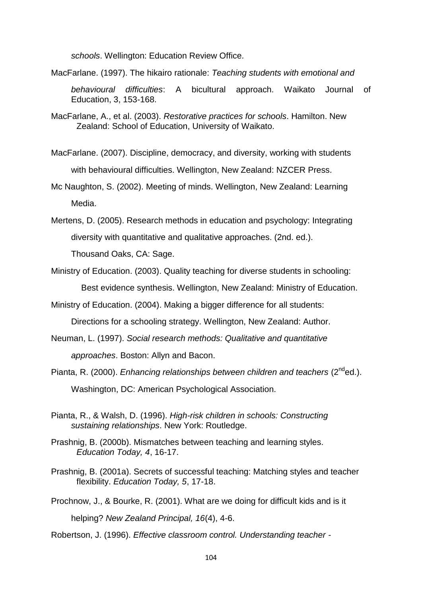*schools*. Wellington: Education Review Office.

MacFarlane. (1997). The hikairo rationale: *Teaching students with emotional and* 

*behavioural difficulties*: A bicultural approach. Waikato Journal of Education, 3, 153-168.

- MacFarlane, A., et al. (2003). *Restorative practices for schools*. Hamilton. New Zealand: School of Education, University of Waikato.
- MacFarlane. (2007). Discipline, democracy, and diversity, working with students with behavioural difficulties. Wellington, New Zealand: NZCER Press.
- Mc Naughton, S. (2002). Meeting of minds. Wellington, New Zealand: Learning Media.
- Mertens, D. (2005). Research methods in education and psychology: Integrating diversity with quantitative and qualitative approaches. (2nd. ed.). Thousand Oaks, CA: Sage.
- Ministry of Education. (2003). Quality teaching for diverse students in schooling: Best evidence synthesis. Wellington, New Zealand: Ministry of Education.

Ministry of Education. (2004). Making a bigger difference for all students:

Directions for a schooling strategy. Wellington, New Zealand: Author.

- Neuman, L. (1997). *Social research methods: Qualitative and quantitative approaches*. Boston: Allyn and Bacon.
- Pianta, R. (2000). *Enhancing relationships between children and teachers* (2<sup>nd</sup>ed.). Washington, DC: American Psychological Association.
- Pianta, R., & Walsh, D. (1996). *High-risk children in schools: Constructing sustaining relationships*. New York: Routledge.
- Prashnig, B. (2000b). Mismatches between teaching and learning styles. *Education Today, 4*, 16-17.
- Prashnig, B. (2001a). Secrets of successful teaching: Matching styles and teacher flexibility. *Education Today, 5*, 17-18.
- Prochnow, J., & Bourke, R. (2001). What are we doing for difficult kids and is it helping? *New Zealand Principal, 16*(4), 4-6.

Robertson, J. (1996). *Effective classroom control. Understanding teacher -*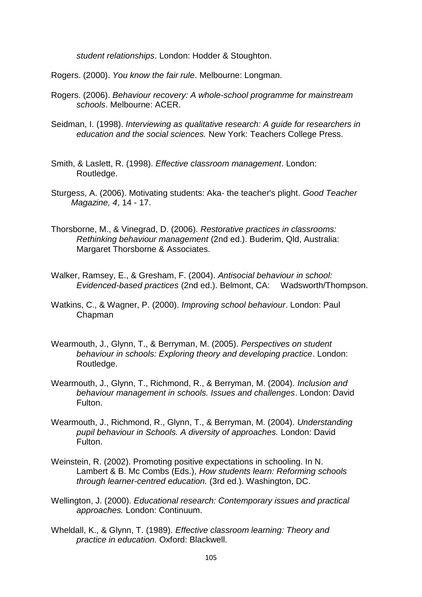*student relationships*. London: Hodder & Stoughton.

Rogers. (2000). *You know the fair rule*. Melbourne: Longman.

- Rogers. (2006). *Behaviour recovery: A whole-school programme for mainstream schools*. Melbourne: ACER.
- Seidman, I. (1998). *Interviewing as qualitative research: A guide for researchers in education and the social sciences.* New York: Teachers College Press.

Smith, & Laslett, R. (1998). *Effective classroom management*. London: Routledge.

- Sturgess, A. (2006). Motivating students: Aka- the teacher's plight. *Good Teacher Magazine, 4*, 14 - 17.
- Thorsborne, M., & Vinegrad, D. (2006). *Restorative practices in classrooms: Rethinking behaviour management* (2nd ed.). Buderim, Qld, Australia: Margaret Thorsborne & Associates.
- Walker, Ramsey, E., & Gresham, F. (2004). *Antisocial behaviour in school: Evidenced-based practices* (2nd ed.). Belmont, CA: Wadsworth/Thompson.
- Watkins, C., & Wagner, P. (2000). *Improving school behaviour*. London: Paul **Chapman**
- Wearmouth, J., Glynn, T., & Berryman, M. (2005). *Perspectives on student behaviour in schools: Exploring theory and developing practice*. London: Routledge.
- Wearmouth, J., Glynn, T., Richmond, R., & Berryman, M. (2004). *Inclusion and behaviour management in schools. Issues and challenges*. London: David Fulton.
- Wearmouth, J., Richmond, R., Glynn, T., & Berryman, M. (2004). *Understanding pupil behaviour in Schools. A diversity of approaches.* London: David Fulton.
- Weinstein, R. (2002). Promoting positive expectations in schooling. In N. Lambert & B. Mc Combs (Eds.), *How students learn: Reforming schools through learner-centred education.* (3rd ed.). Washington, DC.
- Wellington, J. (2000). *Educational research: Contemporary issues and practical approaches.* London: Continuum.
- Wheldall, K., & Glynn, T. (1989). *Effective classroom learning: Theory and practice in education.* Oxford: Blackwell.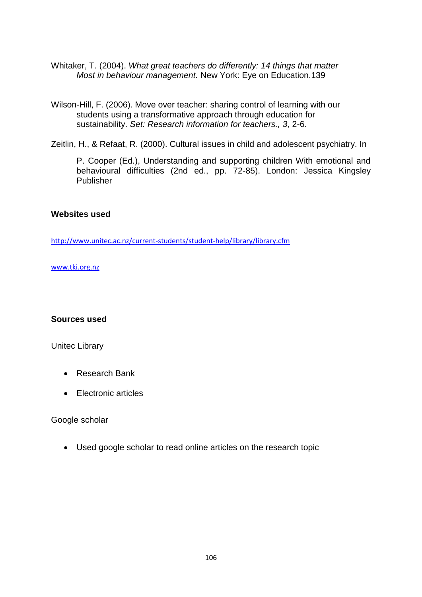- Whitaker, T. (2004). *What great teachers do differently: 14 things that matter Most in behaviour management.* New York: Eye on Education.139
- Wilson-Hill, F. (2006). Move over teacher: sharing control of learning with our students using a transformative approach through education for sustainability. *Set: Research information for teachers., 3*, 2-6.

Zeitlin, H., & Refaat, R. (2000). Cultural issues in child and adolescent psychiatry. In

P. Cooper (Ed.), Understanding and supporting children With emotional and behavioural difficulties (2nd ed., pp. 72-85). London: Jessica Kingsley Publisher

#### **Websites used**

<http://www.unitec.ac.nz/current-students/student-help/library/library.cfm>

[www.tki.org.nz](http://www.tki.org.nz/)

#### **Sources used**

Unitec Library

- Research Bank
- Electronic articles

Google scholar

Used google scholar to read online articles on the research topic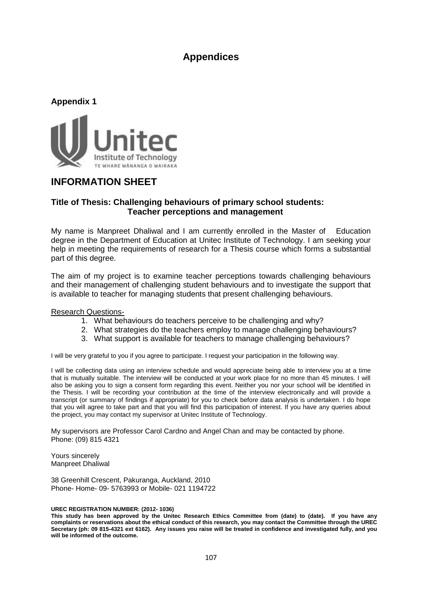## **Appendices**



# **INFORMATION SHEET**

#### **Title of Thesis: Challenging behaviours of primary school students: Teacher perceptions and management**

My name is Manpreet Dhaliwal and I am currently enrolled in the Master of Education degree in the Department of Education at Unitec Institute of Technology. I am seeking your help in meeting the requirements of research for a Thesis course which forms a substantial part of this degree.

The aim of my project is to examine teacher perceptions towards challenging behaviours and their management of challenging student behaviours and to investigate the support that is available to teacher for managing students that present challenging behaviours.

#### Research Questions-

- 1. What behaviours do teachers perceive to be challenging and why?
- 2. What strategies do the teachers employ to manage challenging behaviours?
- 3. What support is available for teachers to manage challenging behaviours?

I will be very grateful to you if you agree to participate. I request your participation in the following way.

I will be collecting data using an interview schedule and would appreciate being able to interview you at a time that is mutually suitable. The interview will be conducted at your work place for no more than 45 minutes. I will also be asking you to sign a consent form regarding this event. Neither you nor your school will be identified in the Thesis. I will be recording your contribution at the time of the interview electronically and will provide a transcript (or summary of findings if appropriate) for you to check before data analysis is undertaken. I do hope that you will agree to take part and that you will find this participation of interest. If you have any queries about the project, you may contact my supervisor at Unitec Institute of Technology.

My supervisors are Professor Carol Cardno and Angel Chan and may be contacted by phone. Phone: (09) 815 4321

Yours sincerely Manpreet Dhaliwal

38 Greenhill Crescent, Pakuranga, Auckland, 2010 Phone- Home- 09- 5763993 or Mobile- 021 1194722

#### **UREC REGISTRATION NUMBER: (2012- 1036)**

**This study has been approved by the Unitec Research Ethics Committee from (date) to (date). If you have any complaints or reservations about the ethical conduct of this research, you may contact the Committee through the UREC Secretary (ph: 09 815-4321 ext 6162). Any issues you raise will be treated in confidence and investigated fully, and you will be informed of the outcome.**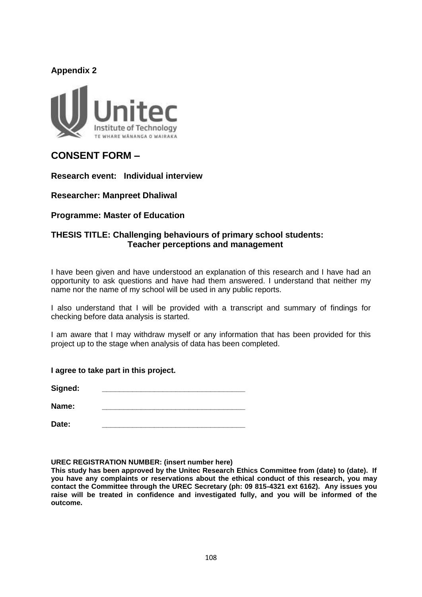### **Appendix 2**



# **CONSENT FORM –**

**Research event: Individual interview** 

**Researcher: Manpreet Dhaliwal**

**Programme: Master of Education**

### **THESIS TITLE: Challenging behaviours of primary school students: Teacher perceptions and management**

I have been given and have understood an explanation of this research and I have had an opportunity to ask questions and have had them answered. I understand that neither my name nor the name of my school will be used in any public reports.

I also understand that I will be provided with a transcript and summary of findings for checking before data analysis is started.

I am aware that I may withdraw myself or any information that has been provided for this project up to the stage when analysis of data has been completed.

**I agree to take part in this project.**

 $Signed:$ 

**Name: \_\_\_\_\_\_\_\_\_\_\_\_\_\_\_\_\_\_\_\_\_\_\_\_\_\_\_\_\_\_\_\_\_**

**Date: \_\_\_\_\_\_\_\_\_\_\_\_\_\_\_\_\_\_\_\_\_\_\_\_\_\_\_\_\_\_\_\_\_**

**UREC REGISTRATION NUMBER: (insert number here)**

**This study has been approved by the Unitec Research Ethics Committee from (date) to (date). If you have any complaints or reservations about the ethical conduct of this research, you may contact the Committee through the UREC Secretary (ph: 09 815-4321 ext 6162). Any issues you raise will be treated in confidence and investigated fully, and you will be informed of the outcome.**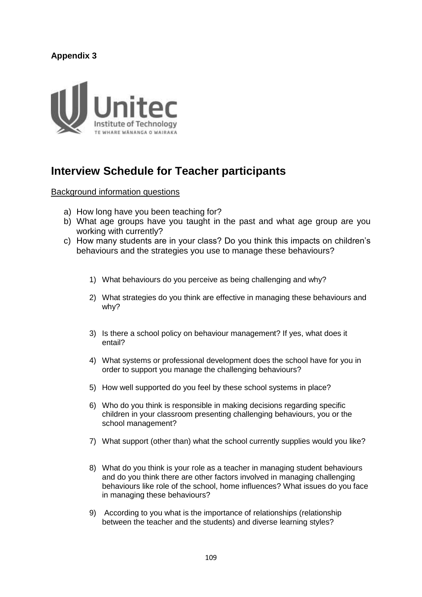# **Appendix 3**



# **Interview Schedule for Teacher participants**

Background information questions

- a) How long have you been teaching for?
- b) What age groups have you taught in the past and what age group are you working with currently?
- c) How many students are in your class? Do you think this impacts on children's behaviours and the strategies you use to manage these behaviours?
	- 1) What behaviours do you perceive as being challenging and why?
	- 2) What strategies do you think are effective in managing these behaviours and why?
	- 3) Is there a school policy on behaviour management? If yes, what does it entail?
	- 4) What systems or professional development does the school have for you in order to support you manage the challenging behaviours?
	- 5) How well supported do you feel by these school systems in place?
	- 6) Who do you think is responsible in making decisions regarding specific children in your classroom presenting challenging behaviours, you or the school management?
	- 7) What support (other than) what the school currently supplies would you like?
	- 8) What do you think is your role as a teacher in managing student behaviours and do you think there are other factors involved in managing challenging behaviours like role of the school, home influences? What issues do you face in managing these behaviours?
	- 9) According to you what is the importance of relationships (relationship between the teacher and the students) and diverse learning styles?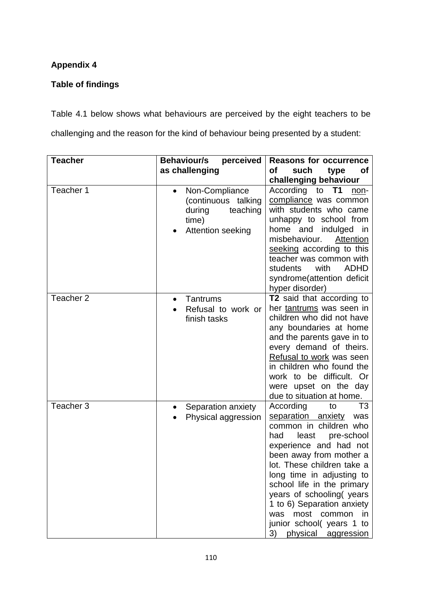# **Appendix 4**

# **Table of findings**

Table 4.1 below shows what behaviours are perceived by the eight teachers to be challenging and the reason for the kind of behaviour being presented by a student:

| <b>Teacher</b> | <b>Behaviour/s</b><br>perceived                                                                        | <b>Reasons for occurrence</b>                                                                                                                                                                                                                                                                                                                                                                                       |
|----------------|--------------------------------------------------------------------------------------------------------|---------------------------------------------------------------------------------------------------------------------------------------------------------------------------------------------------------------------------------------------------------------------------------------------------------------------------------------------------------------------------------------------------------------------|
|                | as challenging                                                                                         | οf<br>such<br>type<br><b>of</b>                                                                                                                                                                                                                                                                                                                                                                                     |
| Teacher 1      | Non-Compliance<br>$\bullet$<br>(continuous talking<br>during<br>teaching<br>time)<br>Attention seeking | challenging behaviour<br>According<br><b>T1</b><br>to<br>non-<br>compliance was common<br>with students who came<br>unhappy to school from<br>home and indulged in<br>misbehaviour.<br>Attention<br>seeking according to this<br>teacher was common with<br>with<br><b>ADHD</b><br>students<br>syndrome(attention deficit<br>hyper disorder)                                                                        |
| Teacher 2      | Tantrums<br>$\bullet$<br>Refusal to work or<br>finish tasks                                            | T2 said that according to<br>her tantrums was seen in<br>children who did not have<br>any boundaries at home<br>and the parents gave in to<br>every demand of theirs.<br>Refusal to work was seen<br>in children who found the<br>work to be difficult. Or<br>were upset on the day<br>due to situation at home.                                                                                                    |
| Teacher 3      | Separation anxiety<br>Physical aggression                                                              | According<br>T <sub>3</sub><br>to<br>separation anxiety<br>was<br>common in children who<br>least<br>pre-school<br>had<br>experience and had not<br>been away from mother a<br>lot. These children take a<br>long time in adjusting to<br>school life in the primary<br>years of schooling(years<br>1 to 6) Separation anxiety<br>most common<br>in in<br>was<br>junior school(years 1 to<br>3) physical aggression |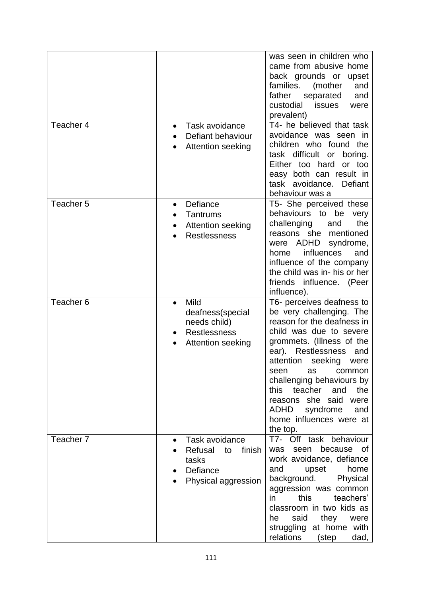| Teacher 4            | Task avoidance<br>$\bullet$<br>Defiant behaviour                                                  | was seen in children who<br>came from abusive home<br>back grounds or<br>upset<br>families.<br>(mother<br>and<br>father<br>separated<br>and<br>custodial<br><b>issues</b><br>were<br>prevalent)<br>T4- he believed that task<br>avoidance was seen in                                                                                                                                                     |
|----------------------|---------------------------------------------------------------------------------------------------|-----------------------------------------------------------------------------------------------------------------------------------------------------------------------------------------------------------------------------------------------------------------------------------------------------------------------------------------------------------------------------------------------------------|
|                      | Attention seeking                                                                                 | children who found the<br>task difficult<br>or<br>boring.<br>Either too hard<br>or too<br>easy both can result in<br>task avoidance.<br>Defiant<br>behaviour was a                                                                                                                                                                                                                                        |
| Teacher 5            | Defiance<br>$\bullet$<br>Tantrums<br>Attention seeking<br><b>Restlessness</b>                     | T5- She perceived these<br>behaviours to<br>be<br>very<br>the<br>challenging<br>and<br>reasons she<br>mentioned<br>ADHD<br>syndrome,<br>were<br><i>influences</i><br>and<br>home<br>influence of the company<br>the child was in- his or her<br>friends influence. (Peer<br>influence).                                                                                                                   |
| Teacher <sub>6</sub> | Mild<br>$\bullet$<br>deafness(special<br>needs child)<br><b>Restlessness</b><br>Attention seeking | T6- perceives deafness to<br>be very challenging. The<br>reason for the deafness in<br>child was due to severe<br>grommets. (Illness of the<br>Restlessness<br>ear).<br>and<br>attention<br>seeking<br>were<br>seen<br>as<br>common<br>challenging behaviours by<br>this<br>teacher<br>the<br>and<br>she said<br>reasons<br>were<br><b>ADHD</b><br>syndrome<br>and<br>home influences were at<br>the top. |
| Teacher 7            | Task avoidance<br>Refusal<br>finish<br>to<br>tasks<br>Defiance<br>Physical aggression             | T7- Off task behaviour<br>because<br>seen<br>of.<br>was<br>work avoidance, defiance<br>home<br>and<br>upset<br>background.<br>Physical<br>aggression was common<br>this<br>teachers'<br>in<br>classroom in two kids as<br>said<br>he<br>they<br>were<br>struggling<br>at home with<br>relations<br>(step<br>dad,                                                                                          |